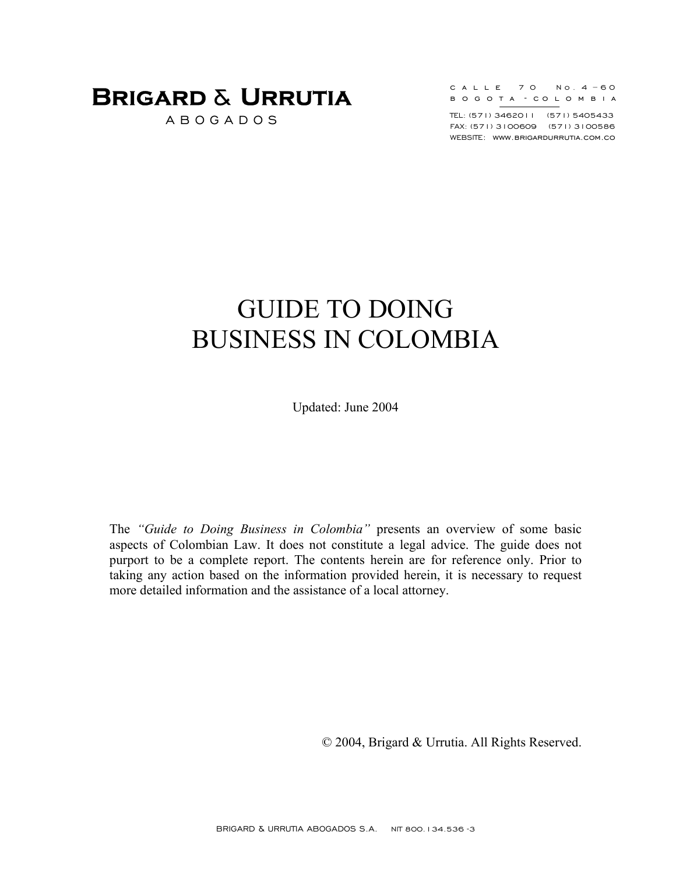A B O G A D O S

|  |  |  |  | CALLE 70 No.4-60             |  |  |  |
|--|--|--|--|------------------------------|--|--|--|
|  |  |  |  | B O G O T A – CO L O M B I A |  |  |  |

TEL: (571) 3462011 (571) 5405433 FAX: (571) 3100609 (571) 3100586 WEBSITE: www.brigardurrutia.com.co

# GUIDE TO DOING BUSINESS IN COLOMBIA

Updated: June 2004

The *"Guide to Doing Business in Colombia"* presents an overview of some basic aspects of Colombian Law. It does not constitute a legal advice. The guide does not purport to be a complete report. The contents herein are for reference only. Prior to taking any action based on the information provided herein, it is necessary to request more detailed information and the assistance of a local attorney.

© 2004, Brigard & Urrutia. All Rights Reserved.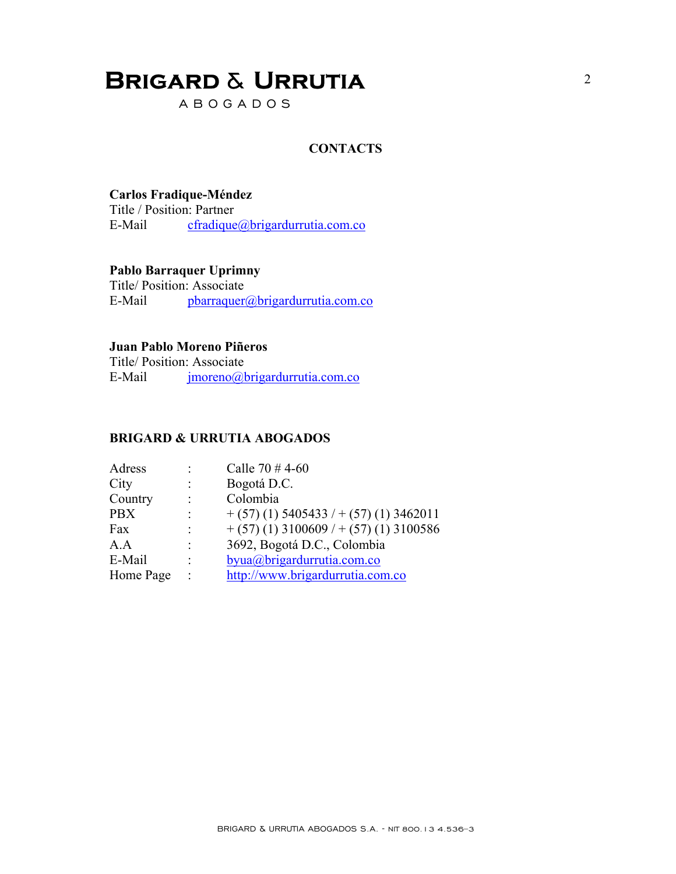A B O G A D O S

#### **CONTACTS**

#### **Carlos Fradique-Méndez**

Title / Position: Partner E-Mail cfradique@brigardurrutia.com.co

#### **Pablo Barraquer Uprimny**

Title/ Position: Associate E-Mail pbarraquer@brigardurrutia.com.co

#### **Juan Pablo Moreno Piñeros**

Title/ Position: Associate E-Mail imoreno@brigardurrutia.com.co

#### **BRIGARD & URRUTIA ABOGADOS**

|                | Calle $70 \# 4 - 60$                    |
|----------------|-----------------------------------------|
|                | Bogotá D.C.                             |
| ٠              | Colombia                                |
|                | $+(57)(1)$ 5405433 / $+(57)(1)$ 3462011 |
| ٠              | $+(57)(1)$ 3100609 / $+(57)(1)$ 3100586 |
| ٠              | 3692, Bogotá D.C., Colombia             |
|                | byua@brigardurrutia.com.co              |
| $\ddot{\cdot}$ | http://www.brigardurrutia.com.co        |
|                |                                         |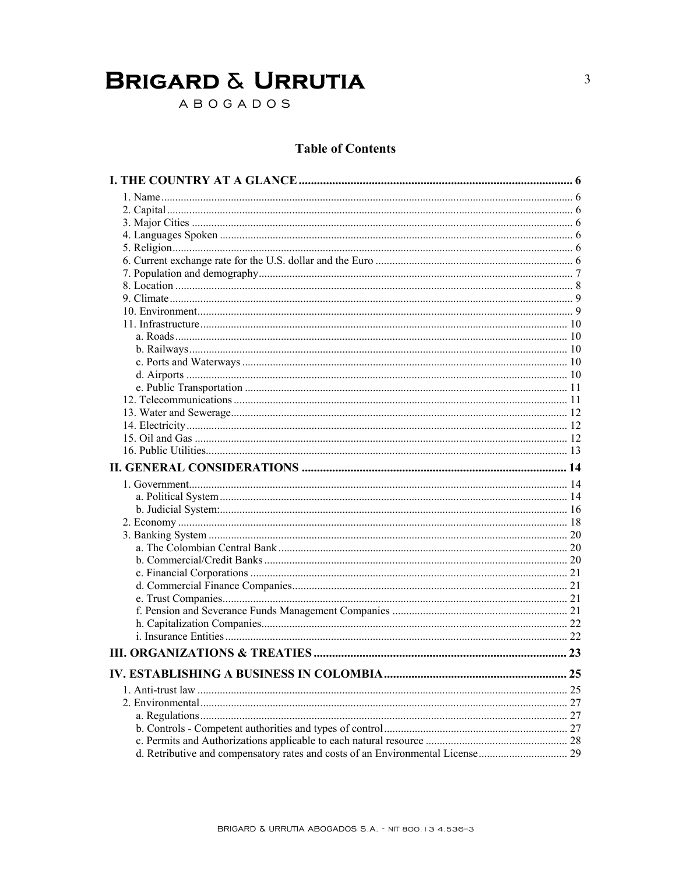ABOGADOS

### **Table of Contents**

| 23 |
|----|
|    |
| 25 |
|    |
|    |
|    |
|    |
|    |
|    |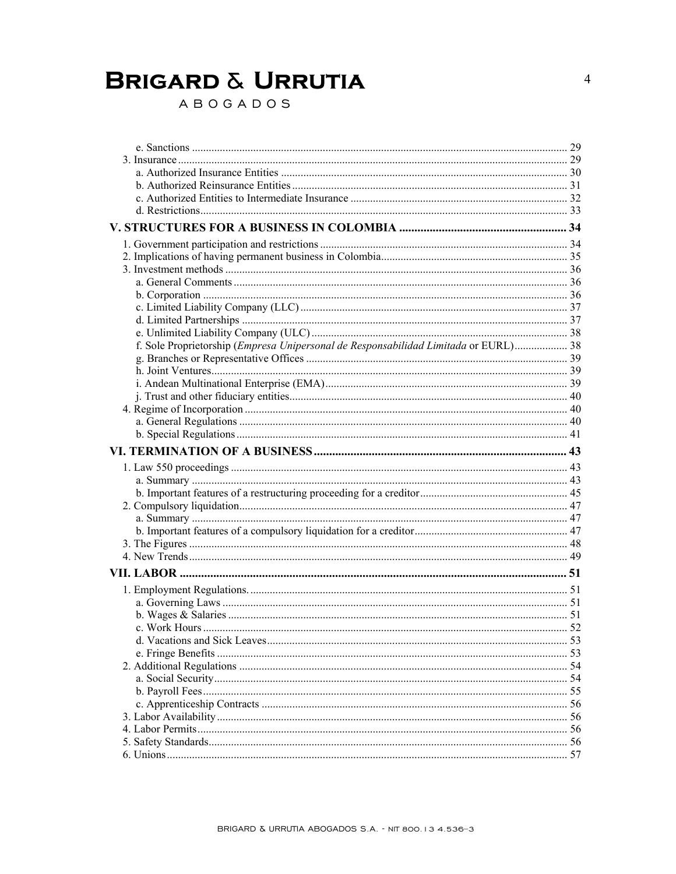ABOGADOS

| f. Sole Proprietorship (Empresa Unipersonal de Responsabilidad Limitada or EURL) 38 |     |
|-------------------------------------------------------------------------------------|-----|
|                                                                                     |     |
|                                                                                     |     |
|                                                                                     |     |
|                                                                                     |     |
|                                                                                     |     |
|                                                                                     |     |
|                                                                                     |     |
|                                                                                     |     |
|                                                                                     |     |
|                                                                                     |     |
|                                                                                     |     |
|                                                                                     |     |
|                                                                                     |     |
|                                                                                     |     |
|                                                                                     |     |
|                                                                                     |     |
|                                                                                     |     |
|                                                                                     |     |
|                                                                                     |     |
|                                                                                     |     |
|                                                                                     |     |
|                                                                                     |     |
|                                                                                     |     |
|                                                                                     |     |
|                                                                                     |     |
|                                                                                     |     |
|                                                                                     |     |
|                                                                                     |     |
|                                                                                     | 56  |
|                                                                                     | -56 |
|                                                                                     |     |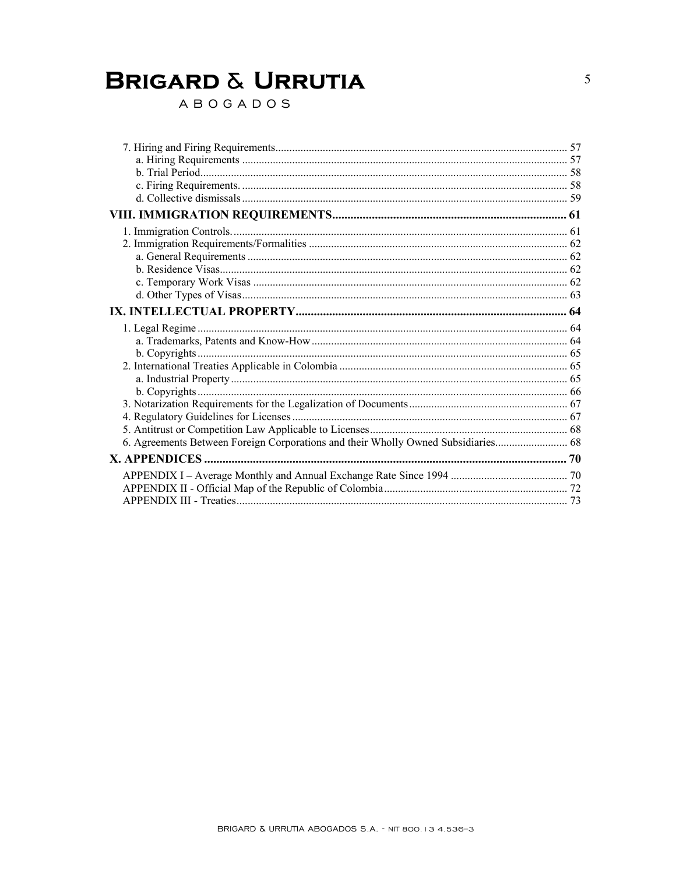ABOGADOS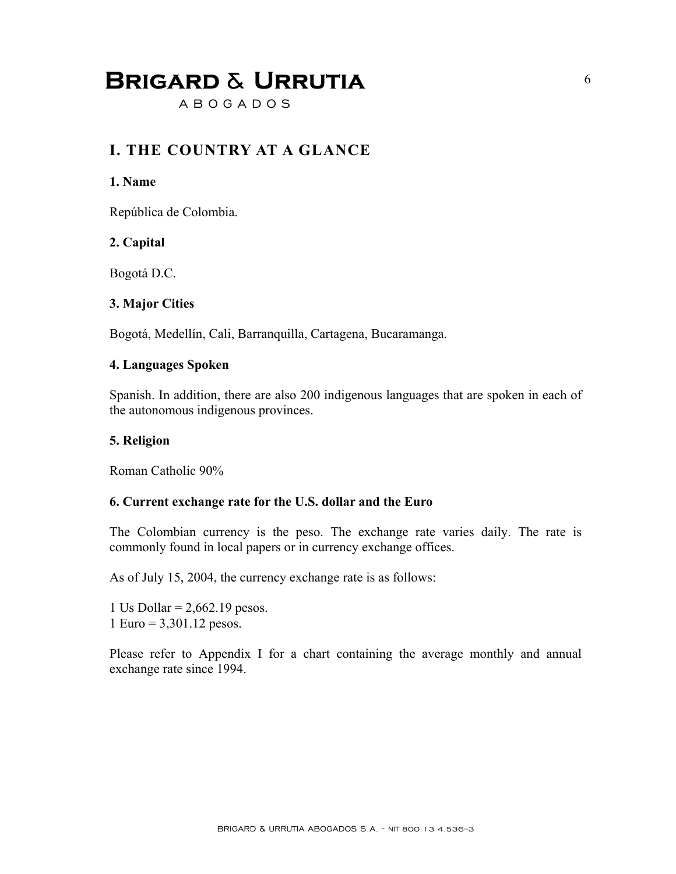A B O G A D O S

### **I. THE COUNTRY AT A GLANCE**

#### **1. Name**

República de Colombia.

#### **2. Capital**

Bogotá D.C.

#### **3. Major Cities**

Bogotá, Medellín, Cali, Barranquilla, Cartagena, Bucaramanga.

#### **4. Languages Spoken**

Spanish. In addition, there are also 200 indigenous languages that are spoken in each of the autonomous indigenous provinces.

#### **5. Religion**

Roman Catholic 90%

#### **6. Current exchange rate for the U.S. dollar and the Euro**

The Colombian currency is the peso. The exchange rate varies daily. The rate is commonly found in local papers or in currency exchange offices.

As of July 15, 2004, the currency exchange rate is as follows:

1 Us Dollar =  $2,662.19$  pesos. 1 Euro = 3,301.12 pesos.

Please refer to Appendix I for a chart containing the average monthly and annual exchange rate since 1994.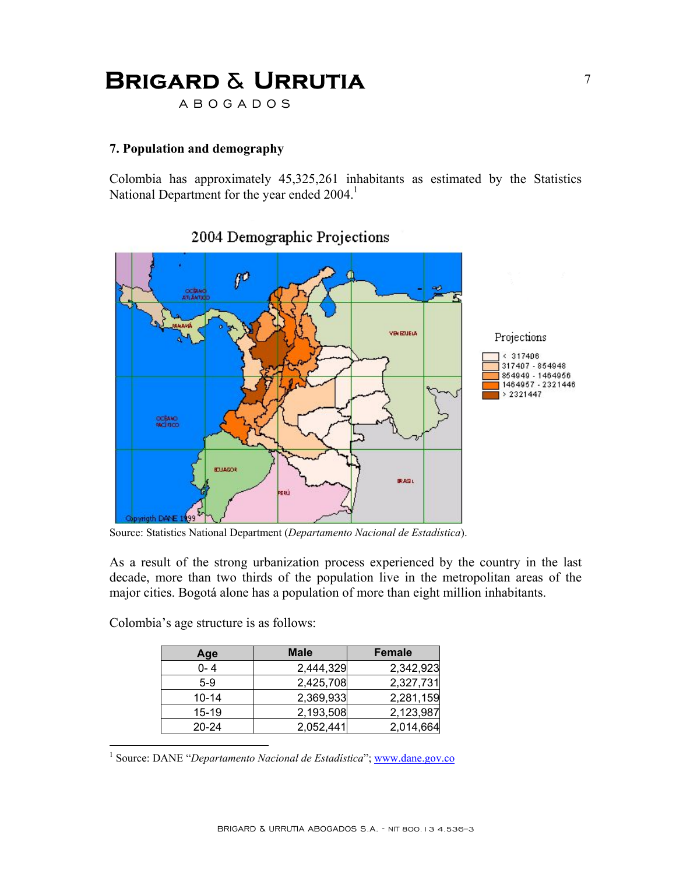A B O G A D O S

#### **7. Population and demography**

Colombia has approximately 45,325,261 inhabitants as estimated by the Statistics National Department for the year ended 2004.<sup>1</sup>



### 2004 Demographic Projections

Source: Statistics National Department (*Departamento Nacional de Estadística*).

As a result of the strong urbanization process experienced by the country in the last decade, more than two thirds of the population live in the metropolitan areas of the major cities. Bogotá alone has a population of more than eight million inhabitants.

| Colombia's age structure is as follows: |  |  |
|-----------------------------------------|--|--|
|                                         |  |  |
|                                         |  |  |
|                                         |  |  |

1

| Age       | <b>Male</b> | Female    |
|-----------|-------------|-----------|
| $0 - 4$   | 2,444,329   | 2,342,923 |
| $5-9$     | 2,425,708   | 2,327,731 |
| $10 - 14$ | 2,369,933   | 2,281,159 |
| 15-19     | 2,193,508   | 2,123,987 |
| $20 - 24$ | 2,052,441   | 2,014,664 |

<sup>1</sup> Source: DANE "Departamento Nacional de Estadística"; www.dane.gov.co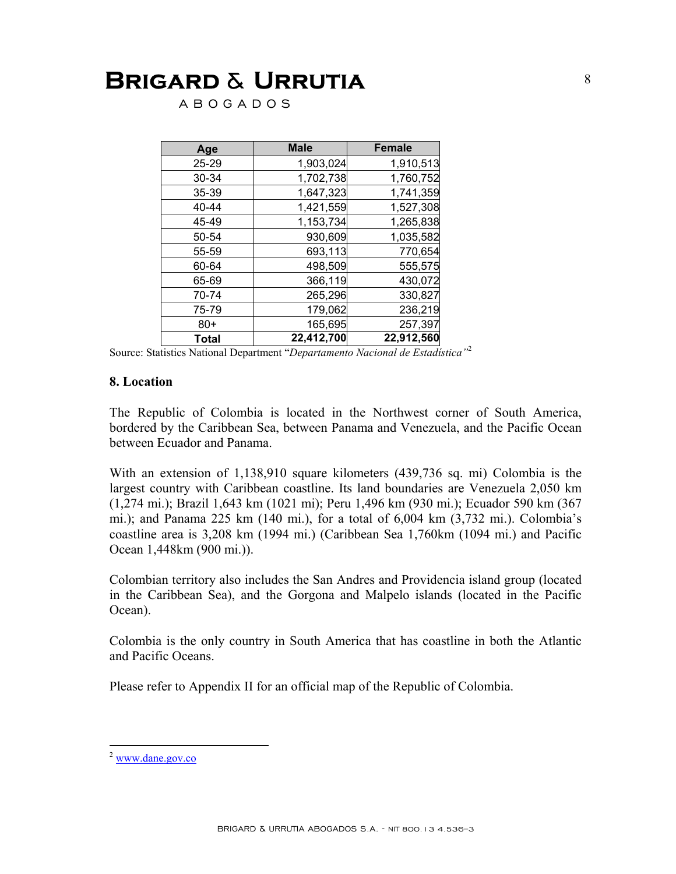A B O G A D O S

| Age   | <b>Male</b> | <b>Female</b> |
|-------|-------------|---------------|
| 25-29 | 1,903,024   | 1,910,513     |
| 30-34 | 1,702,738   | 1,760,752     |
| 35-39 | 1,647,323   | 1,741,359     |
| 40-44 | 1,421,559   | 1,527,308     |
| 45-49 | 1,153,734   | 1,265,838     |
| 50-54 | 930,609     | 1,035,582     |
| 55-59 | 693,113     | 770,654       |
| 60-64 | 498,509     | 555,575       |
| 65-69 | 366,119     | 430,072       |
| 70-74 | 265,296     | 330,827       |
| 75-79 | 179,062     | 236,219       |
| $80+$ | 165,695     | 257,397       |
| Total | 22,412,700  | 22,912,560    |

Source: Statistics National Department "*Departamento Nacional de Estadística"*<sup>2</sup>

#### **8. Location**

The Republic of Colombia is located in the Northwest corner of South America, bordered by the Caribbean Sea, between Panama and Venezuela, and the Pacific Ocean between Ecuador and Panama.

With an extension of 1,138,910 square kilometers (439,736 sq. mi) Colombia is the largest country with Caribbean coastline. Its land boundaries are Venezuela 2,050 km (1,274 mi.); Brazil 1,643 km (1021 mi); Peru 1,496 km (930 mi.); Ecuador 590 km (367 mi.); and Panama 225 km (140 mi.), for a total of 6,004 km (3,732 mi.). Colombia's coastline area is 3,208 km (1994 mi.) (Caribbean Sea 1,760km (1094 mi.) and Pacific Ocean 1,448km (900 mi.)).

Colombian territory also includes the San Andres and Providencia island group (located in the Caribbean Sea), and the Gorgona and Malpelo islands (located in the Pacific Ocean).

Colombia is the only country in South America that has coastline in both the Atlantic and Pacific Oceans.

Please refer to Appendix II for an official map of the Republic of Colombia.

1

<sup>2</sup> www.dane.gov.co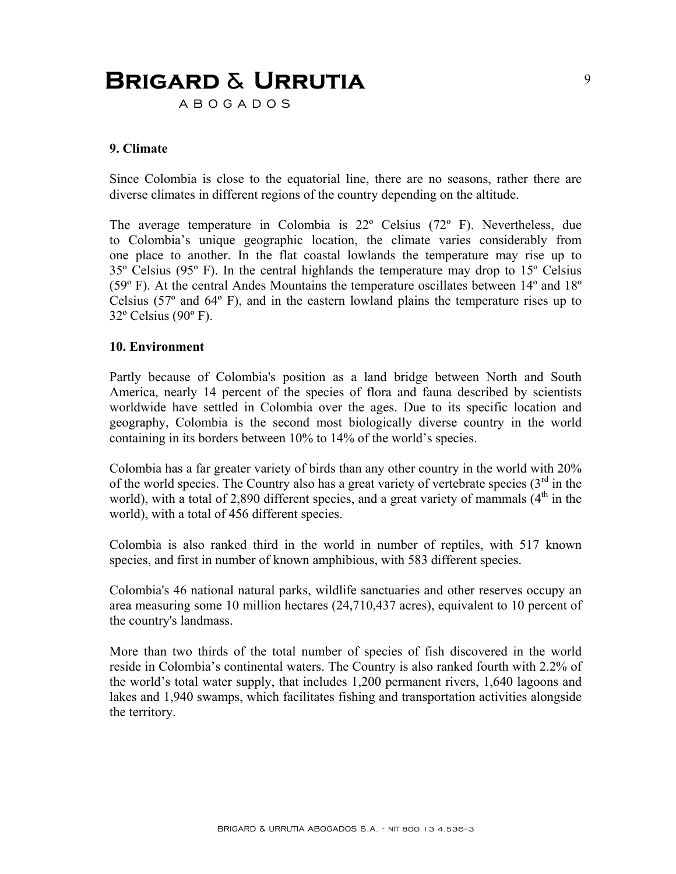A B O G A D O S

#### **9. Climate**

Since Colombia is close to the equatorial line, there are no seasons, rather there are diverse climates in different regions of the country depending on the altitude.

The average temperature in Colombia is 22º Celsius (72º F). Nevertheless, due to Colombia's unique geographic location, the climate varies considerably from one place to another. In the flat coastal lowlands the temperature may rise up to 35º Celsius (95º F). In the central highlands the temperature may drop to 15º Celsius (59º F). At the central Andes Mountains the temperature oscillates between 14º and 18º Celsius (57º and 64º F), and in the eastern lowland plains the temperature rises up to 32º Celsius (90º F).

#### **10. Environment**

Partly because of Colombia's position as a land bridge between North and South America, nearly 14 percent of the species of flora and fauna described by scientists worldwide have settled in Colombia over the ages. Due to its specific location and geography, Colombia is the second most biologically diverse country in the world containing in its borders between 10% to 14% of the world's species.

Colombia has a far greater variety of birds than any other country in the world with 20% of the world species. The Country also has a great variety of vertebrate species  $3<sup>rd</sup>$  in the world), with a total of 2,890 different species, and a great variety of mammals  $(4<sup>th</sup>$  in the world), with a total of 456 different species.

Colombia is also ranked third in the world in number of reptiles, with 517 known species, and first in number of known amphibious, with 583 different species.

Colombia's 46 national natural parks, wildlife sanctuaries and other reserves occupy an area measuring some 10 million hectares (24,710,437 acres), equivalent to 10 percent of the country's landmass.

More than two thirds of the total number of species of fish discovered in the world reside in Colombia's continental waters. The Country is also ranked fourth with 2.2% of the world's total water supply, that includes 1,200 permanent rivers, 1,640 lagoons and lakes and 1,940 swamps, which facilitates fishing and transportation activities alongside the territory.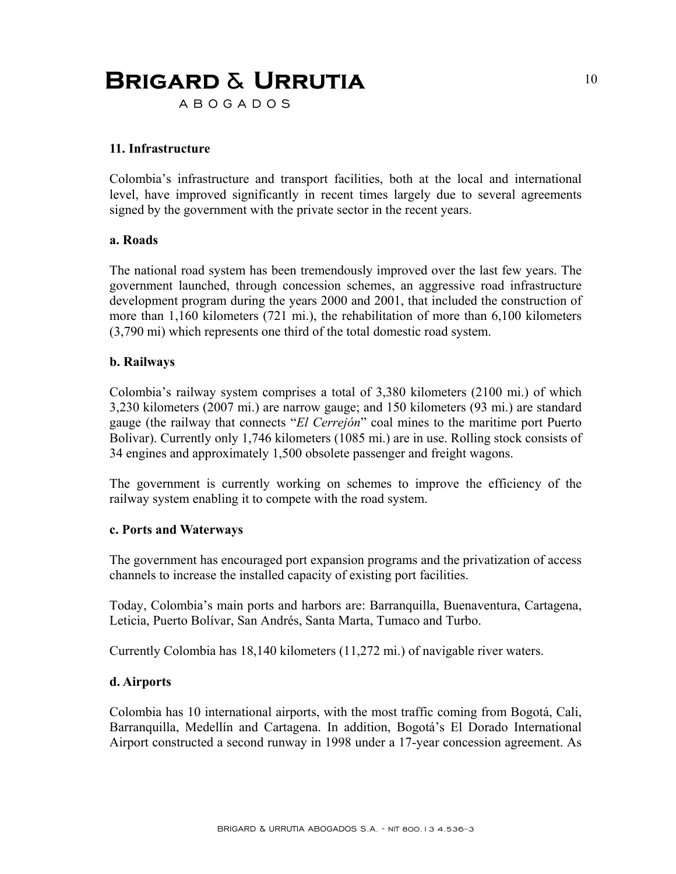A B O G A D O S

#### **11. Infrastructure**

Colombia's infrastructure and transport facilities, both at the local and international level, have improved significantly in recent times largely due to several agreements signed by the government with the private sector in the recent years.

#### **a. Roads**

The national road system has been tremendously improved over the last few years. The government launched, through concession schemes, an aggressive road infrastructure development program during the years 2000 and 2001, that included the construction of more than 1,160 kilometers (721 mi.), the rehabilitation of more than 6,100 kilometers (3,790 mi) which represents one third of the total domestic road system.

#### **b. Railways**

Colombia's railway system comprises a total of 3,380 kilometers (2100 mi.) of which 3,230 kilometers (2007 mi.) are narrow gauge; and 150 kilometers (93 mi.) are standard gauge (the railway that connects "*El Cerrejón*" coal mines to the maritime port Puerto Bolivar). Currently only 1,746 kilometers (1085 mi.) are in use. Rolling stock consists of 34 engines and approximately 1,500 obsolete passenger and freight wagons.

The government is currently working on schemes to improve the efficiency of the railway system enabling it to compete with the road system.

#### **c. Ports and Waterways**

The government has encouraged port expansion programs and the privatization of access channels to increase the installed capacity of existing port facilities.

Today, Colombia's main ports and harbors are: Barranquilla, Buenaventura, Cartagena, Leticia, Puerto Bolívar, San Andrés, Santa Marta, Tumaco and Turbo.

Currently Colombia has 18,140 kilometers (11,272 mi.) of navigable river waters.

#### **d. Airports**

Colombia has 10 international airports, with the most traffic coming from Bogotá, Cali, Barranquilla, Medellín and Cartagena. In addition, Bogotá's El Dorado International Airport constructed a second runway in 1998 under a 17-year concession agreement. As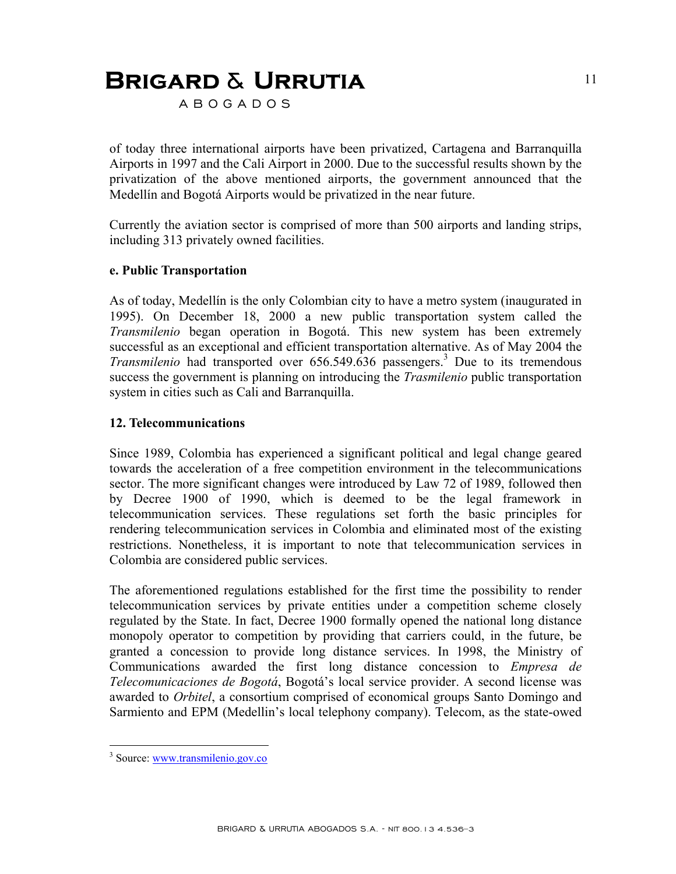A B O G A D O S

of today three international airports have been privatized, Cartagena and Barranquilla Airports in 1997 and the Cali Airport in 2000. Due to the successful results shown by the privatization of the above mentioned airports, the government announced that the Medellín and Bogotá Airports would be privatized in the near future.

Currently the aviation sector is comprised of more than 500 airports and landing strips, including 313 privately owned facilities.

#### **e. Public Transportation**

As of today, Medellín is the only Colombian city to have a metro system (inaugurated in 1995). On December 18, 2000 a new public transportation system called the *Transmilenio* began operation in Bogotá. This new system has been extremely successful as an exceptional and efficient transportation alternative. As of May 2004 the Transmilenio had transported over 656.549.636 passengers.<sup>3</sup> Due to its tremendous success the government is planning on introducing the *Trasmilenio* public transportation system in cities such as Cali and Barranquilla.

#### **12. Telecommunications**

Since 1989, Colombia has experienced a significant political and legal change geared towards the acceleration of a free competition environment in the telecommunications sector. The more significant changes were introduced by Law 72 of 1989, followed then by Decree 1900 of 1990, which is deemed to be the legal framework in telecommunication services. These regulations set forth the basic principles for rendering telecommunication services in Colombia and eliminated most of the existing restrictions. Nonetheless, it is important to note that telecommunication services in Colombia are considered public services.

The aforementioned regulations established for the first time the possibility to render telecommunication services by private entities under a competition scheme closely regulated by the State. In fact, Decree 1900 formally opened the national long distance monopoly operator to competition by providing that carriers could, in the future, be granted a concession to provide long distance services. In 1998, the Ministry of Communications awarded the first long distance concession to *Empresa de Telecomunicaciones de Bogotá*, Bogotá's local service provider. A second license was awarded to *Orbitel*, a consortium comprised of economical groups Santo Domingo and Sarmiento and EPM (Medellin's local telephony company). Telecom, as the state-owed

1

<sup>&</sup>lt;sup>3</sup> Source: www.transmilenio.gov.co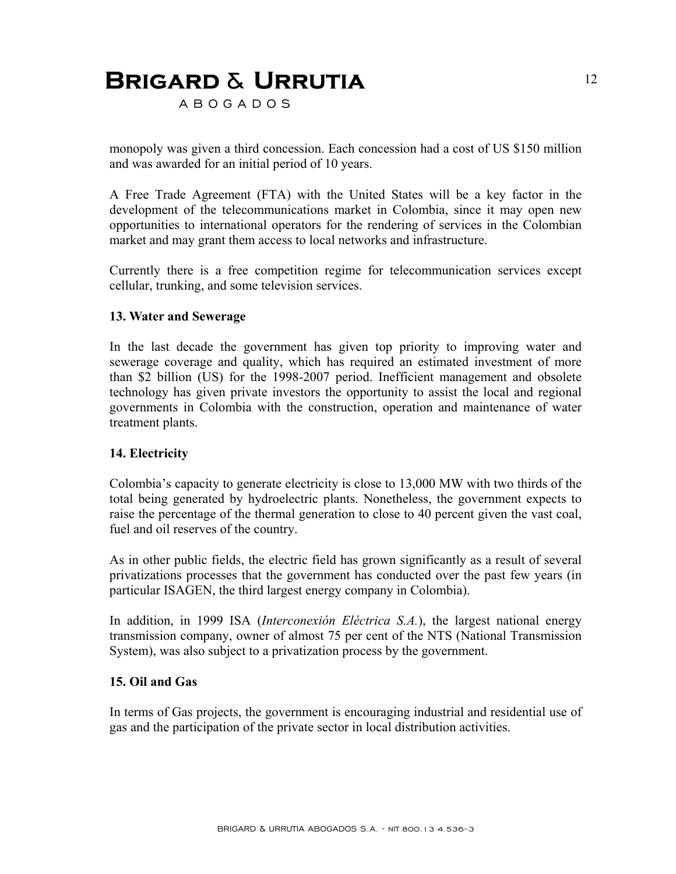A B O G A D O S

monopoly was given a third concession. Each concession had a cost of US \$150 million and was awarded for an initial period of 10 years.

A Free Trade Agreement (FTA) with the United States will be a key factor in the development of the telecommunications market in Colombia, since it may open new opportunities to international operators for the rendering of services in the Colombian market and may grant them access to local networks and infrastructure.

Currently there is a free competition regime for telecommunication services except cellular, trunking, and some television services.

#### **13. Water and Sewerage**

In the last decade the government has given top priority to improving water and sewerage coverage and quality, which has required an estimated investment of more than \$2 billion (US) for the 1998-2007 period. Inefficient management and obsolete technology has given private investors the opportunity to assist the local and regional governments in Colombia with the construction, operation and maintenance of water treatment plants.

#### **14. Electricity**

Colombia's capacity to generate electricity is close to 13,000 MW with two thirds of the total being generated by hydroelectric plants. Nonetheless, the government expects to raise the percentage of the thermal generation to close to 40 percent given the vast coal, fuel and oil reserves of the country.

As in other public fields, the electric field has grown significantly as a result of several privatizations processes that the government has conducted over the past few years (in particular ISAGEN, the third largest energy company in Colombia).

In addition, in 1999 ISA (*Interconexión Eléctrica S.A.*), the largest national energy transmission company, owner of almost 75 per cent of the NTS (National Transmission System), was also subject to a privatization process by the government.

#### **15. Oil and Gas**

In terms of Gas projects, the government is encouraging industrial and residential use of gas and the participation of the private sector in local distribution activities.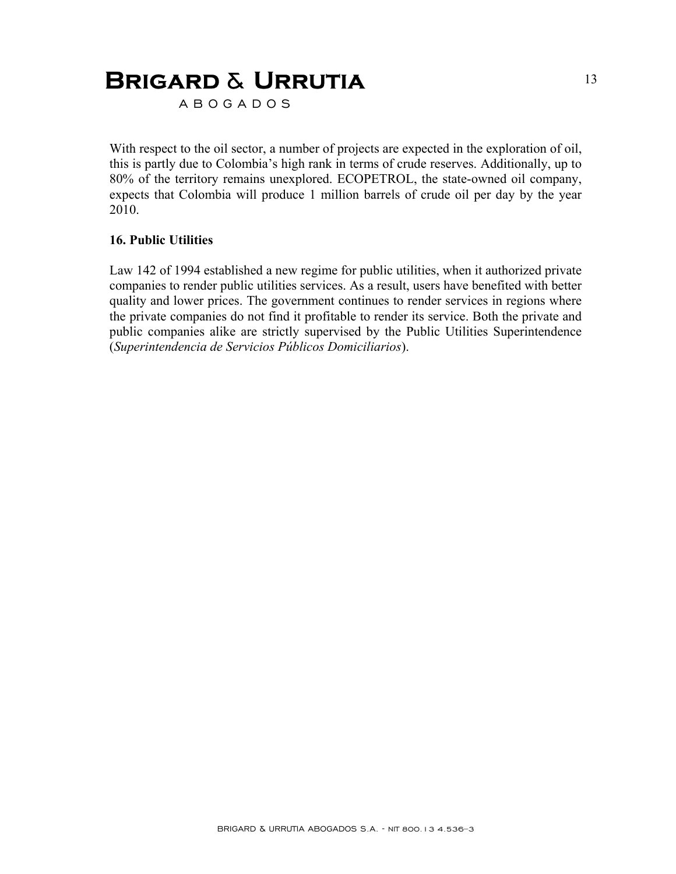A B O G A D O S

With respect to the oil sector, a number of projects are expected in the exploration of oil, this is partly due to Colombia's high rank in terms of crude reserves. Additionally, up to 80% of the territory remains unexplored. ECOPETROL, the state-owned oil company, expects that Colombia will produce 1 million barrels of crude oil per day by the year 2010.

#### **16. Public Utilities**

Law 142 of 1994 established a new regime for public utilities, when it authorized private companies to render public utilities services. As a result, users have benefited with better quality and lower prices. The government continues to render services in regions where the private companies do not find it profitable to render its service. Both the private and public companies alike are strictly supervised by the Public Utilities Superintendence (*Superintendencia de Servicios Públicos Domiciliarios*).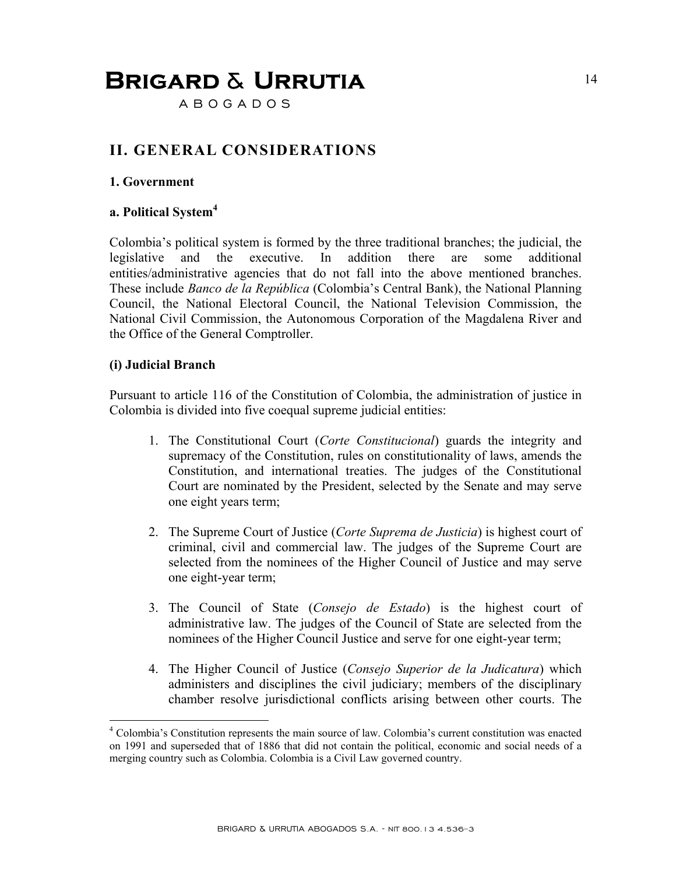A B O G A D O S

### **II. GENERAL CONSIDERATIONS**

#### **1. Government**

#### **a. Political System<sup>4</sup>**

Colombia's political system is formed by the three traditional branches; the judicial, the legislative and the executive. In addition there are some additional entities/administrative agencies that do not fall into the above mentioned branches. These include *Banco de la República* (Colombia's Central Bank), the National Planning Council, the National Electoral Council, the National Television Commission, the National Civil Commission, the Autonomous Corporation of the Magdalena River and the Office of the General Comptroller.

#### **(i) Judicial Branch**

1

Pursuant to article 116 of the Constitution of Colombia, the administration of justice in Colombia is divided into five coequal supreme judicial entities:

- 1. The Constitutional Court (*Corte Constitucional*) guards the integrity and supremacy of the Constitution, rules on constitutionality of laws, amends the Constitution, and international treaties. The judges of the Constitutional Court are nominated by the President, selected by the Senate and may serve one eight years term;
- 2. The Supreme Court of Justice (*Corte Suprema de Justicia*) is highest court of criminal, civil and commercial law. The judges of the Supreme Court are selected from the nominees of the Higher Council of Justice and may serve one eight-year term;
- 3. The Council of State (*Consejo de Estado*) is the highest court of administrative law. The judges of the Council of State are selected from the nominees of the Higher Council Justice and serve for one eight-year term;
- 4. The Higher Council of Justice (*Consejo Superior de la Judicatura*) which administers and disciplines the civil judiciary; members of the disciplinary chamber resolve jurisdictional conflicts arising between other courts. The

<sup>&</sup>lt;sup>4</sup> Colombia's Constitution represents the main source of law. Colombia's current constitution was enacted on 1991 and superseded that of 1886 that did not contain the political, economic and social needs of a merging country such as Colombia. Colombia is a Civil Law governed country.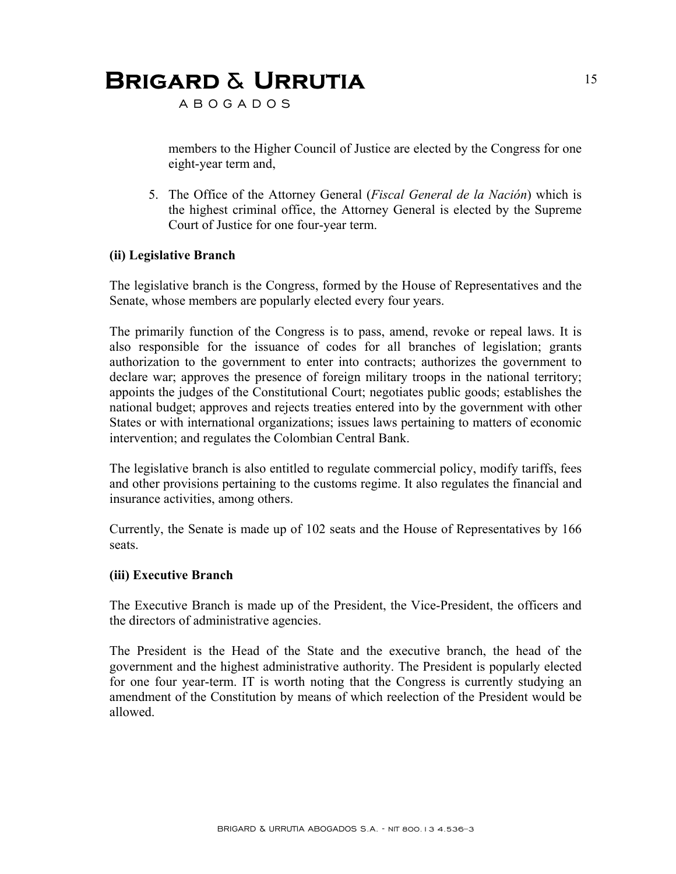A B O G A D O S

members to the Higher Council of Justice are elected by the Congress for one eight-year term and,

5. The Office of the Attorney General (*Fiscal General de la Nación*) which is the highest criminal office, the Attorney General is elected by the Supreme Court of Justice for one four-year term.

#### **(ii) Legislative Branch**

The legislative branch is the Congress, formed by the House of Representatives and the Senate, whose members are popularly elected every four years.

The primarily function of the Congress is to pass, amend, revoke or repeal laws. It is also responsible for the issuance of codes for all branches of legislation; grants authorization to the government to enter into contracts; authorizes the government to declare war; approves the presence of foreign military troops in the national territory; appoints the judges of the Constitutional Court; negotiates public goods; establishes the national budget; approves and rejects treaties entered into by the government with other States or with international organizations; issues laws pertaining to matters of economic intervention; and regulates the Colombian Central Bank.

The legislative branch is also entitled to regulate commercial policy, modify tariffs, fees and other provisions pertaining to the customs regime. It also regulates the financial and insurance activities, among others.

Currently, the Senate is made up of 102 seats and the House of Representatives by 166 seats.

#### **(iii) Executive Branch**

The Executive Branch is made up of the President, the Vice-President, the officers and the directors of administrative agencies.

The President is the Head of the State and the executive branch, the head of the government and the highest administrative authority. The President is popularly elected for one four year-term. IT is worth noting that the Congress is currently studying an amendment of the Constitution by means of which reelection of the President would be allowed.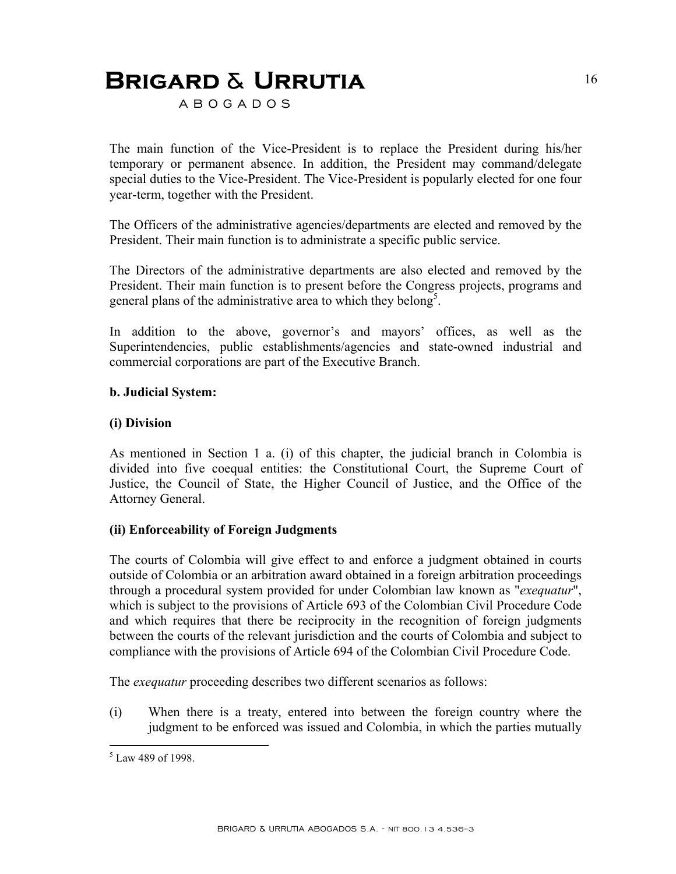A B O G A D O S

The main function of the Vice-President is to replace the President during his/her temporary or permanent absence. In addition, the President may command/delegate special duties to the Vice-President. The Vice-President is popularly elected for one four year-term, together with the President.

The Officers of the administrative agencies/departments are elected and removed by the President. Their main function is to administrate a specific public service.

The Directors of the administrative departments are also elected and removed by the President. Their main function is to present before the Congress projects, programs and general plans of the administrative area to which they belong<sup>5</sup>.

In addition to the above, governor's and mayors' offices, as well as the Superintendencies, public establishments/agencies and state-owned industrial and commercial corporations are part of the Executive Branch.

#### **b. Judicial System:**

#### **(i) Division**

As mentioned in Section 1 a. (i) of this chapter, the judicial branch in Colombia is divided into five coequal entities: the Constitutional Court, the Supreme Court of Justice, the Council of State, the Higher Council of Justice, and the Office of the Attorney General.

#### **(ii) Enforceability of Foreign Judgments**

The courts of Colombia will give effect to and enforce a judgment obtained in courts outside of Colombia or an arbitration award obtained in a foreign arbitration proceedings through a procedural system provided for under Colombian law known as "*exequatur*", which is subject to the provisions of Article 693 of the Colombian Civil Procedure Code and which requires that there be reciprocity in the recognition of foreign judgments between the courts of the relevant jurisdiction and the courts of Colombia and subject to compliance with the provisions of Article 694 of the Colombian Civil Procedure Code.

The *exequatur* proceeding describes two different scenarios as follows:

(i) When there is a treaty, entered into between the foreign country where the judgment to be enforced was issued and Colombia, in which the parties mutually

 5 Law 489 of 1998.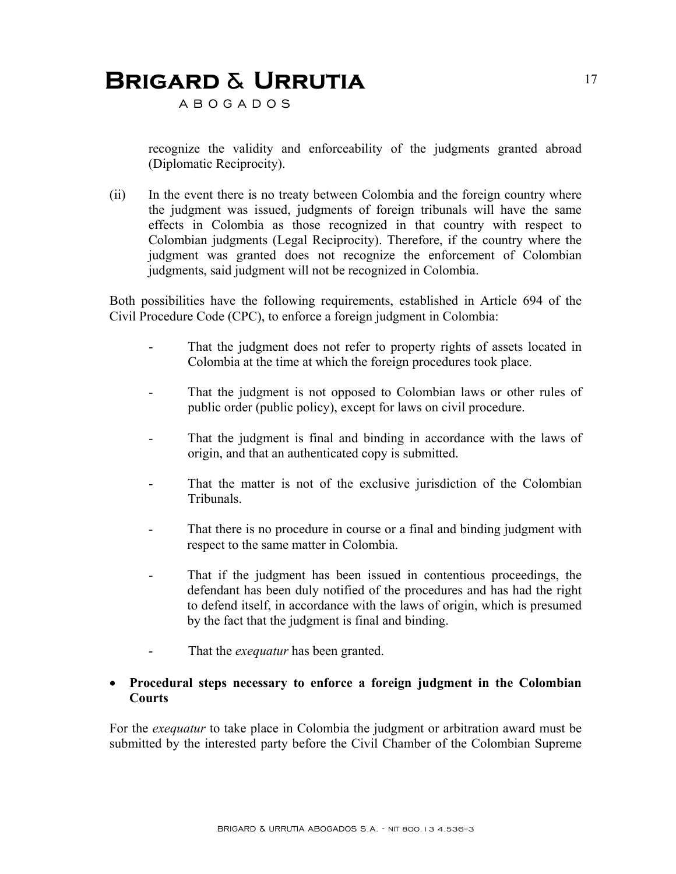A B O G A D O S

recognize the validity and enforceability of the judgments granted abroad (Diplomatic Reciprocity).

(ii) In the event there is no treaty between Colombia and the foreign country where the judgment was issued, judgments of foreign tribunals will have the same effects in Colombia as those recognized in that country with respect to Colombian judgments (Legal Reciprocity). Therefore, if the country where the judgment was granted does not recognize the enforcement of Colombian judgments, said judgment will not be recognized in Colombia.

Both possibilities have the following requirements, established in Article 694 of the Civil Procedure Code (CPC), to enforce a foreign judgment in Colombia:

- That the judgment does not refer to property rights of assets located in Colombia at the time at which the foreign procedures took place.
- That the judgment is not opposed to Colombian laws or other rules of public order (public policy), except for laws on civil procedure.
- That the judgment is final and binding in accordance with the laws of origin, and that an authenticated copy is submitted.
- That the matter is not of the exclusive jurisdiction of the Colombian Tribunals.
- That there is no procedure in course or a final and binding judgment with respect to the same matter in Colombia.
- That if the judgment has been issued in contentious proceedings, the defendant has been duly notified of the procedures and has had the right to defend itself, in accordance with the laws of origin, which is presumed by the fact that the judgment is final and binding.
- That the *exequatur* has been granted.

#### • **Procedural steps necessary to enforce a foreign judgment in the Colombian Courts**

For the *exequatur* to take place in Colombia the judgment or arbitration award must be submitted by the interested party before the Civil Chamber of the Colombian Supreme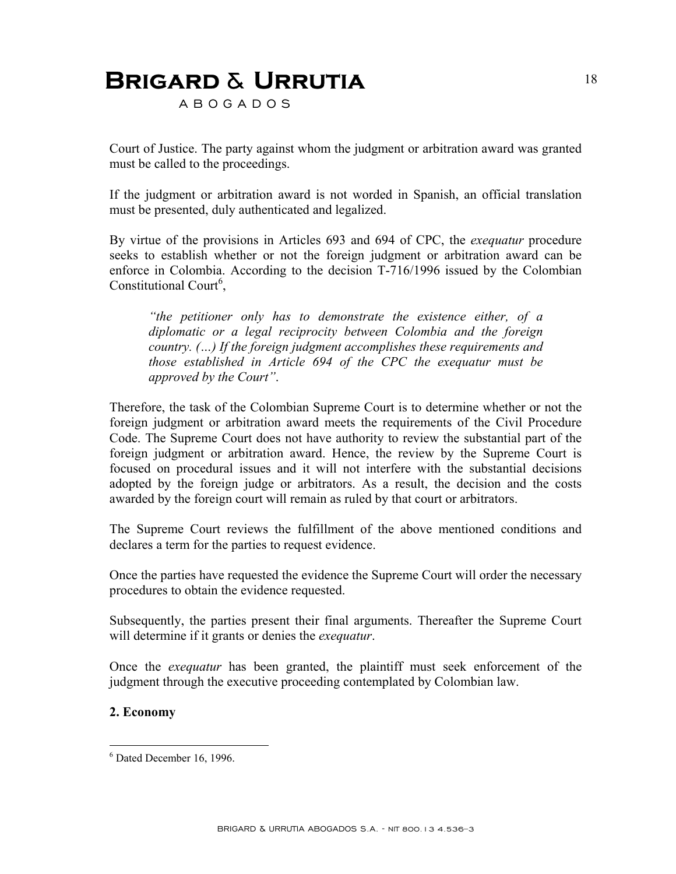A B O G A D O S

Court of Justice. The party against whom the judgment or arbitration award was granted must be called to the proceedings.

If the judgment or arbitration award is not worded in Spanish, an official translation must be presented, duly authenticated and legalized.

By virtue of the provisions in Articles 693 and 694 of CPC, the *exequatur* procedure seeks to establish whether or not the foreign judgment or arbitration award can be enforce in Colombia. According to the decision T-716/1996 issued by the Colombian Constitutional Court<sup>6</sup>,

*"the petitioner only has to demonstrate the existence either, of a diplomatic or a legal reciprocity between Colombia and the foreign country. (…) If the foreign judgment accomplishes these requirements and those established in Article 694 of the CPC the exequatur must be approved by the Court"*.

Therefore, the task of the Colombian Supreme Court is to determine whether or not the foreign judgment or arbitration award meets the requirements of the Civil Procedure Code. The Supreme Court does not have authority to review the substantial part of the foreign judgment or arbitration award. Hence, the review by the Supreme Court is focused on procedural issues and it will not interfere with the substantial decisions adopted by the foreign judge or arbitrators. As a result, the decision and the costs awarded by the foreign court will remain as ruled by that court or arbitrators.

The Supreme Court reviews the fulfillment of the above mentioned conditions and declares a term for the parties to request evidence.

Once the parties have requested the evidence the Supreme Court will order the necessary procedures to obtain the evidence requested.

Subsequently, the parties present their final arguments. Thereafter the Supreme Court will determine if it grants or denies the *exequatur*.

Once the *exequatur* has been granted, the plaintiff must seek enforcement of the judgment through the executive proceeding contemplated by Colombian law.

#### **2. Economy**

1

<sup>6</sup> Dated December 16, 1996.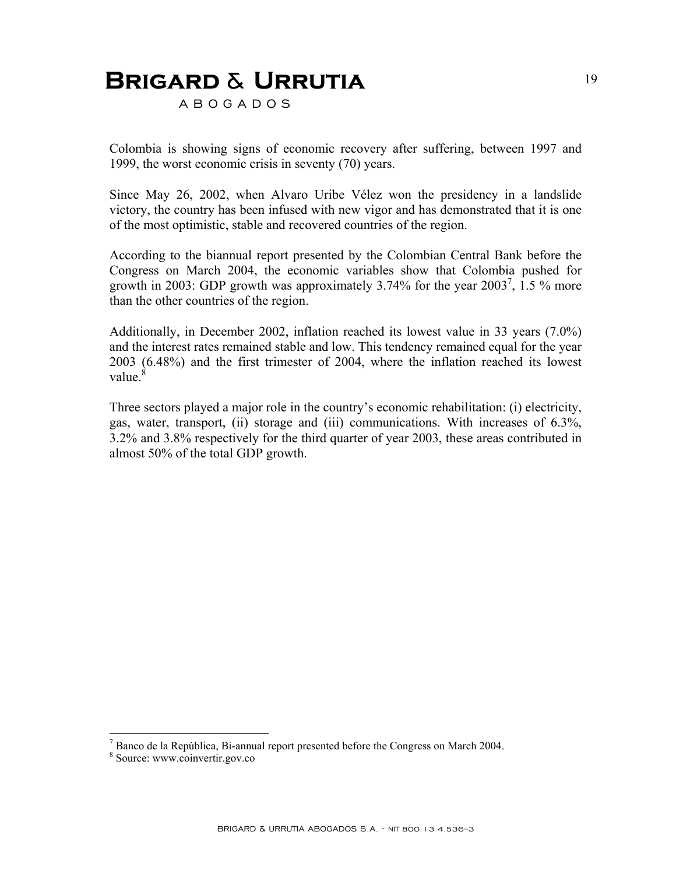A B O G A D O S

Colombia is showing signs of economic recovery after suffering, between 1997 and 1999, the worst economic crisis in seventy (70) years.

Since May 26, 2002, when Alvaro Uribe Vélez won the presidency in a landslide victory, the country has been infused with new vigor and has demonstrated that it is one of the most optimistic, stable and recovered countries of the region.

According to the biannual report presented by the Colombian Central Bank before the Congress on March 2004, the economic variables show that Colombia pushed for growth in 2003: GDP growth was approximately 3.74% for the year  $2003^7$ , 1.5 % more than the other countries of the region.

Additionally, in December 2002, inflation reached its lowest value in 33 years (7.0%) and the interest rates remained stable and low. This tendency remained equal for the year 2003 (6.48%) and the first trimester of 2004, where the inflation reached its lowest value. $\frac{8}{3}$ 

Three sectors played a major role in the country's economic rehabilitation: (i) electricity, gas, water, transport, (ii) storage and (iii) communications. With increases of 6.3%, 3.2% and 3.8% respectively for the third quarter of year 2003, these areas contributed in almost 50% of the total GDP growth.

<u>.</u>

 $^7$  Banco de la República, Bi-annual report presented before the Congress on March 2004.

<sup>&</sup>lt;sup>8</sup> Source: www.coinvertir.gov.co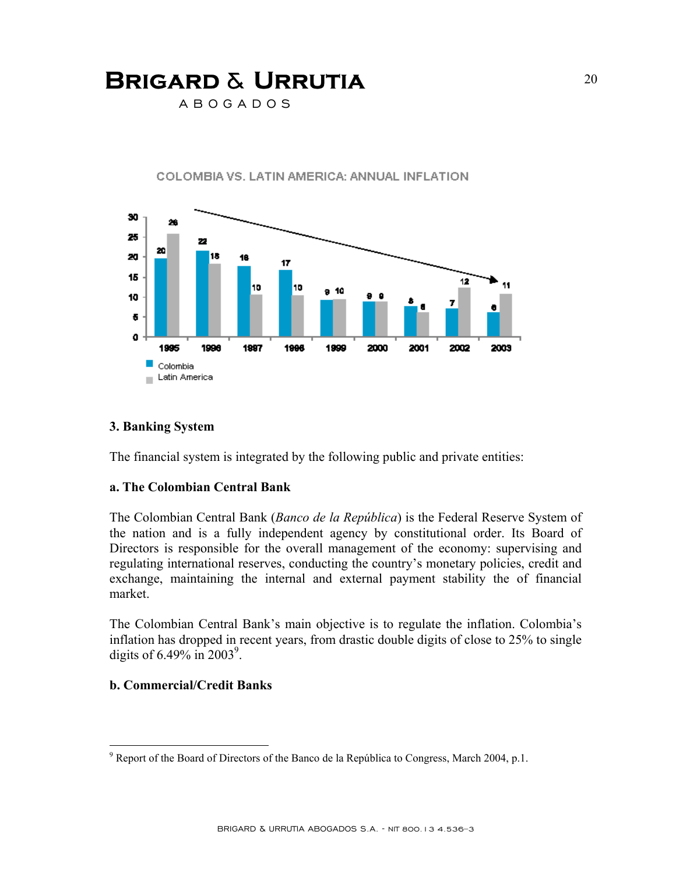A B O G A D O S



COLOMBIA VS. LATIN AMERICA: ANNUAL INFLATION

#### **3. Banking System**

The financial system is integrated by the following public and private entities:

#### **a. The Colombian Central Bank**

The Colombian Central Bank (*Banco de la República*) is the Federal Reserve System of the nation and is a fully independent agency by constitutional order. Its Board of Directors is responsible for the overall management of the economy: supervising and regulating international reserves, conducting the country's monetary policies, credit and exchange, maintaining the internal and external payment stability the of financial market.

The Colombian Central Bank's main objective is to regulate the inflation. Colombia's inflation has dropped in recent years, from drastic double digits of close to 25% to single digits of  $6.49\%$  in  $2003^9$ .

#### **b. Commercial/Credit Banks**

1

 $9^9$  Report of the Board of Directors of the Banco de la República to Congress, March 2004, p.1.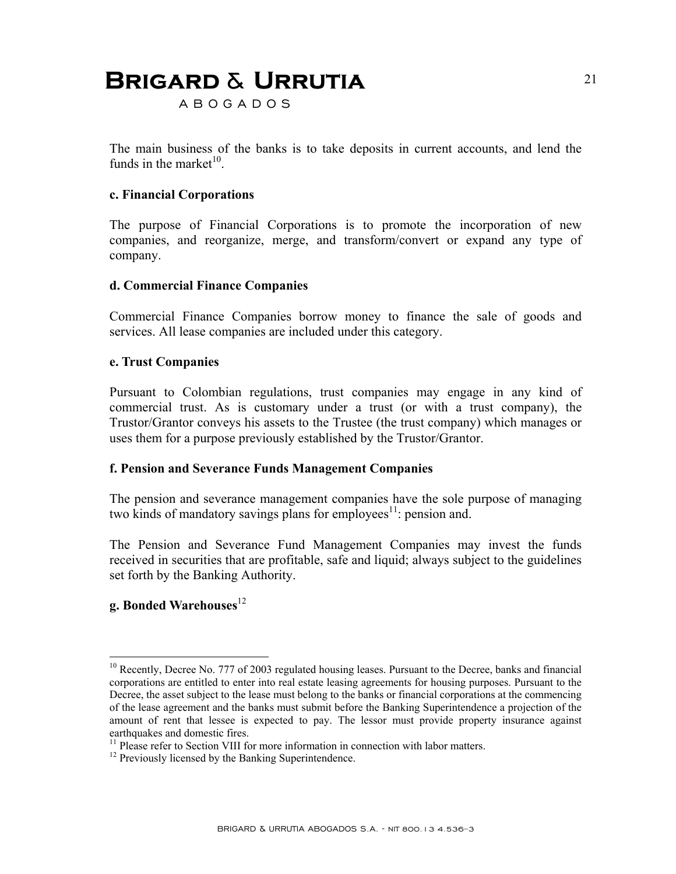A B O G A D O S

The main business of the banks is to take deposits in current accounts, and lend the funds in the market $10^{-1}$ .

#### **c. Financial Corporations**

The purpose of Financial Corporations is to promote the incorporation of new companies, and reorganize, merge, and transform/convert or expand any type of company.

#### **d. Commercial Finance Companies**

Commercial Finance Companies borrow money to finance the sale of goods and services. All lease companies are included under this category.

#### **e. Trust Companies**

Pursuant to Colombian regulations, trust companies may engage in any kind of commercial trust. As is customary under a trust (or with a trust company), the Trustor/Grantor conveys his assets to the Trustee (the trust company) which manages or uses them for a purpose previously established by the Trustor/Grantor.

#### **f. Pension and Severance Funds Management Companies**

The pension and severance management companies have the sole purpose of managing two kinds of mandatory savings plans for employees $11$ : pension and.

The Pension and Severance Fund Management Companies may invest the funds received in securities that are profitable, safe and liquid; always subject to the guidelines set forth by the Banking Authority.

#### **g. Bonded Warehouses**<sup>12</sup>

<u>.</u>

<sup>&</sup>lt;sup>10</sup> Recently, Decree No. 777 of 2003 regulated housing leases. Pursuant to the Decree, banks and financial corporations are entitled to enter into real estate leasing agreements for housing purposes. Pursuant to the Decree, the asset subject to the lease must belong to the banks or financial corporations at the commencing of the lease agreement and the banks must submit before the Banking Superintendence a projection of the amount of rent that lessee is expected to pay. The lessor must provide property insurance against earthquakes and domestic fires.

<sup>&</sup>lt;sup>11</sup> Please refer to Section VIII for more information in connection with labor matters.

<sup>&</sup>lt;sup>12</sup> Previously licensed by the Banking Superintendence.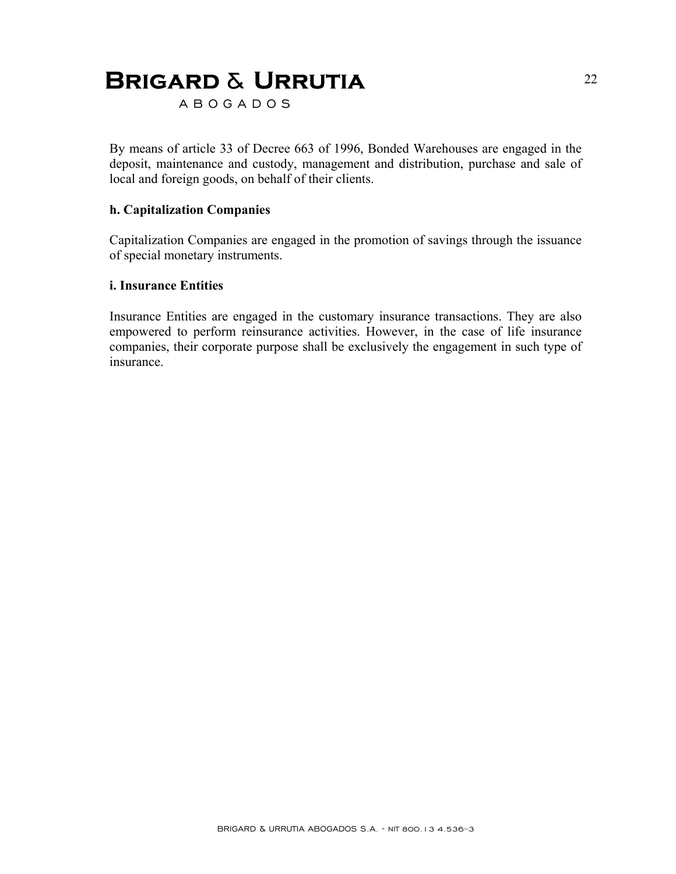A B O G A D O S

By means of article 33 of Decree 663 of 1996, Bonded Warehouses are engaged in the deposit, maintenance and custody, management and distribution, purchase and sale of local and foreign goods, on behalf of their clients.

#### **h. Capitalization Companies**

Capitalization Companies are engaged in the promotion of savings through the issuance of special monetary instruments.

#### **i. Insurance Entities**

Insurance Entities are engaged in the customary insurance transactions. They are also empowered to perform reinsurance activities. However, in the case of life insurance companies, their corporate purpose shall be exclusively the engagement in such type of insurance.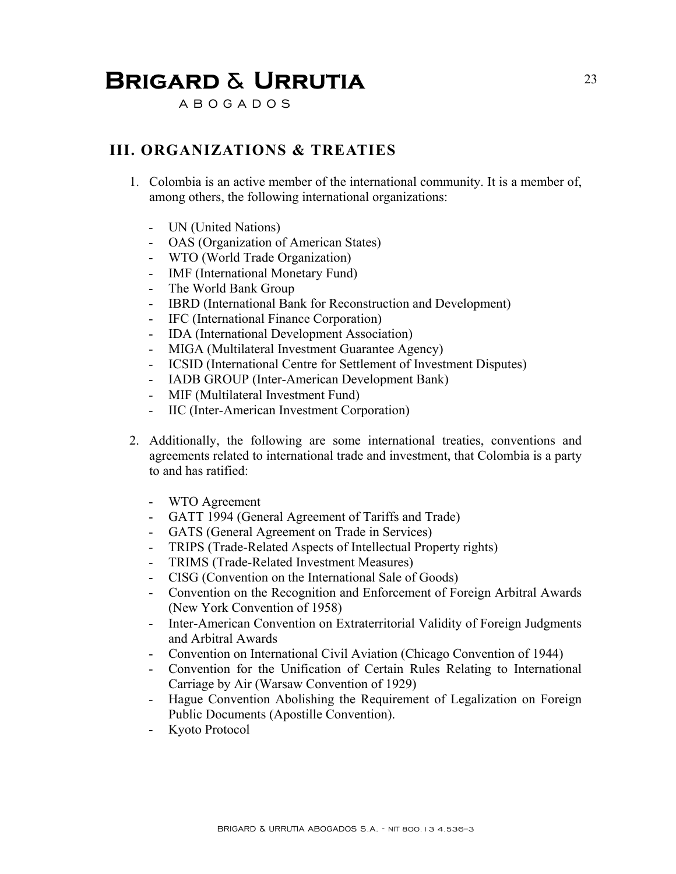A B O G A D O S

### **III. ORGANIZATIONS & TREATIES**

- 1. Colombia is an active member of the international community. It is a member of, among others, the following international organizations:
	- UN (United Nations)
	- OAS (Organization of American States)
	- WTO (World Trade Organization)
	- IMF (International Monetary Fund)
	- The World Bank Group
	- IBRD (International Bank for Reconstruction and Development)
	- IFC (International Finance Corporation)
	- IDA (International Development Association)
	- MIGA (Multilateral Investment Guarantee Agency)
	- ICSID (International Centre for Settlement of Investment Disputes)
	- IADB GROUP (Inter-American Development Bank)
	- MIF (Multilateral Investment Fund)
	- IIC (Inter-American Investment Corporation)
- 2. Additionally, the following are some international treaties, conventions and agreements related to international trade and investment, that Colombia is a party to and has ratified:
	- WTO Agreement
	- GATT 1994 (General Agreement of Tariffs and Trade)
	- GATS (General Agreement on Trade in Services)
	- TRIPS (Trade-Related Aspects of Intellectual Property rights)
	- TRIMS (Trade-Related Investment Measures)
	- CISG (Convention on the International Sale of Goods)
	- Convention on the Recognition and Enforcement of Foreign Arbitral Awards (New York Convention of 1958)
	- Inter-American Convention on Extraterritorial Validity of Foreign Judgments and Arbitral Awards
	- Convention on International Civil Aviation (Chicago Convention of 1944)
	- Convention for the Unification of Certain Rules Relating to International Carriage by Air (Warsaw Convention of 1929)
	- Hague Convention Abolishing the Requirement of Legalization on Foreign Public Documents (Apostille Convention).
	- Kyoto Protocol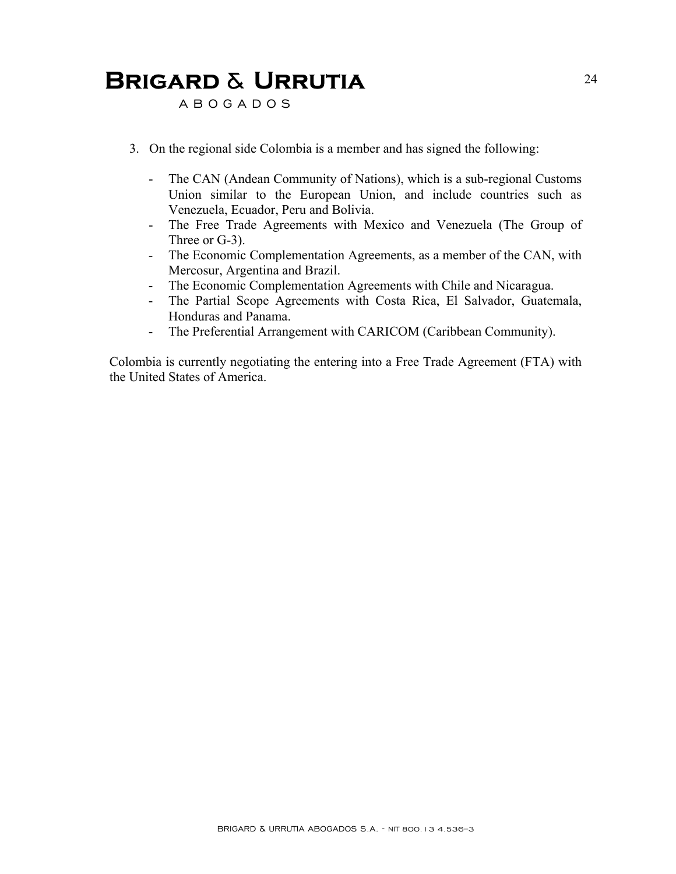A B O G A D O S

- 3. On the regional side Colombia is a member and has signed the following:
	- The CAN (Andean Community of Nations), which is a sub-regional Customs Union similar to the European Union, and include countries such as Venezuela, Ecuador, Peru and Bolivia.
	- The Free Trade Agreements with Mexico and Venezuela (The Group of Three or G-3).
	- The Economic Complementation Agreements, as a member of the CAN, with Mercosur, Argentina and Brazil.
	- The Economic Complementation Agreements with Chile and Nicaragua.
	- The Partial Scope Agreements with Costa Rica, El Salvador, Guatemala, Honduras and Panama.
	- The Preferential Arrangement with CARICOM (Caribbean Community).

Colombia is currently negotiating the entering into a Free Trade Agreement (FTA) with the United States of America.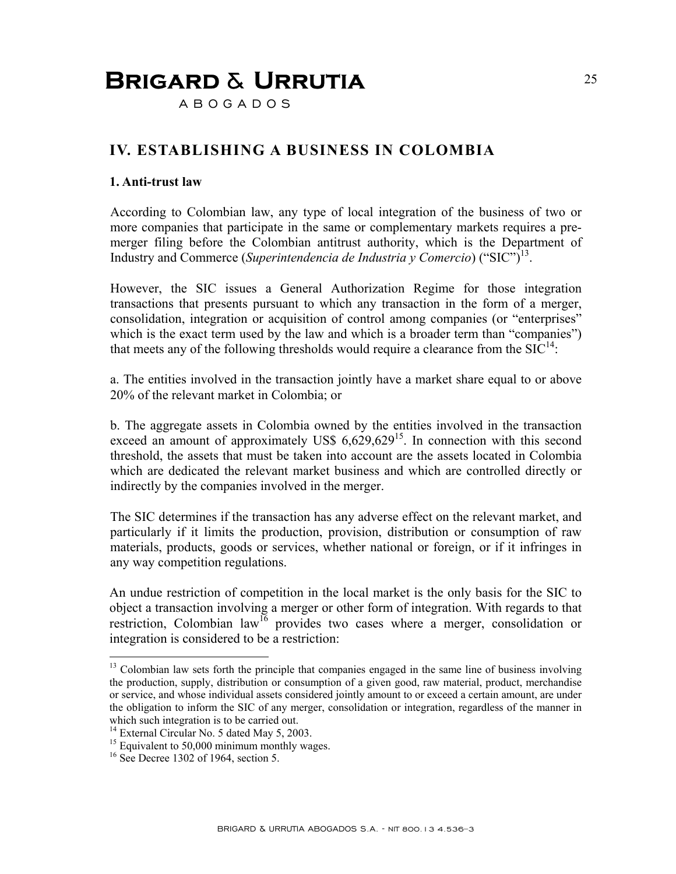A B O G A D O S

### **IV. ESTABLISHING A BUSINESS IN COLOMBIA**

#### **1. Anti-trust law**

According to Colombian law, any type of local integration of the business of two or more companies that participate in the same or complementary markets requires a premerger filing before the Colombian antitrust authority, which is the Department of Industry and Commerce (*Superintendencia de Industria y Comercio*) ("SIC")13.

However, the SIC issues a General Authorization Regime for those integration transactions that presents pursuant to which any transaction in the form of a merger, consolidation, integration or acquisition of control among companies (or "enterprises" which is the exact term used by the law and which is a broader term than "companies") that meets any of the following thresholds would require a clearance from the  $SIC^{14}$ .

a. The entities involved in the transaction jointly have a market share equal to or above 20% of the relevant market in Colombia; or

b. The aggregate assets in Colombia owned by the entities involved in the transaction exceed an amount of approximately US\$  $6,629,629^{15}$ . In connection with this second threshold, the assets that must be taken into account are the assets located in Colombia which are dedicated the relevant market business and which are controlled directly or indirectly by the companies involved in the merger.

The SIC determines if the transaction has any adverse effect on the relevant market, and particularly if it limits the production, provision, distribution or consumption of raw materials, products, goods or services, whether national or foreign, or if it infringes in any way competition regulations.

An undue restriction of competition in the local market is the only basis for the SIC to object a transaction involving a merger or other form of integration. With regards to that restriction, Colombian law<sup>16</sup> provides two cases where a merger, consolidation or integration is considered to be a restriction:

<u>.</u>

<sup>&</sup>lt;sup>13</sup> Colombian law sets forth the principle that companies engaged in the same line of business involving the production, supply, distribution or consumption of a given good, raw material, product, merchandise or service, and whose individual assets considered jointly amount to or exceed a certain amount, are under the obligation to inform the SIC of any merger, consolidation or integration, regardless of the manner in which such integration is to be carried out.

<sup>&</sup>lt;sup>14</sup> External Circular No. 5 dated May 5, 2003.

<sup>&</sup>lt;sup>15</sup> Equivalent to 50,000 minimum monthly wages.

 $16$  See Decree 1302 of 1964, section 5.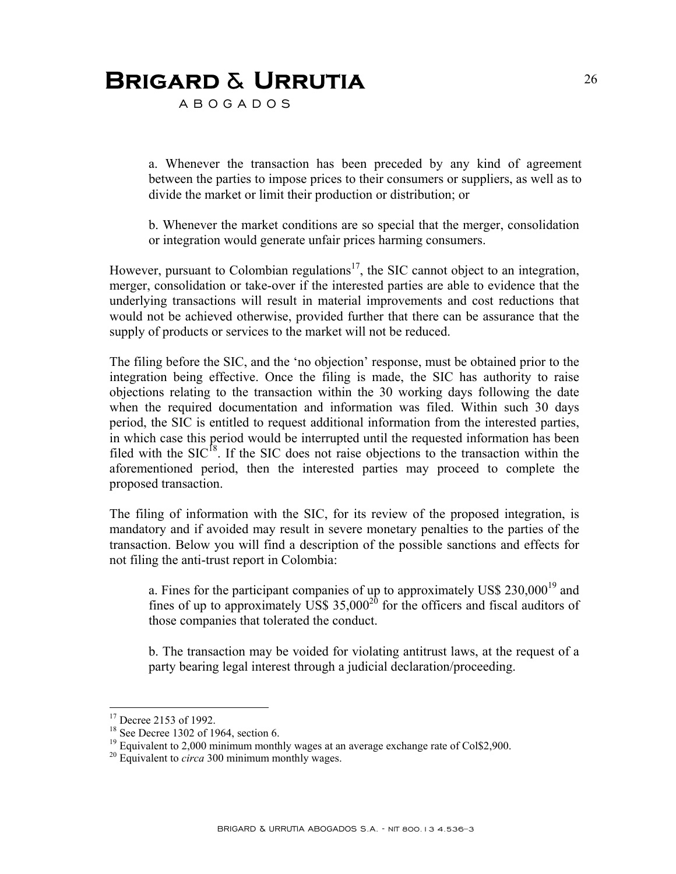A B O G A D O S

a. Whenever the transaction has been preceded by any kind of agreement between the parties to impose prices to their consumers or suppliers, as well as to divide the market or limit their production or distribution; or

b. Whenever the market conditions are so special that the merger, consolidation or integration would generate unfair prices harming consumers.

However, pursuant to Colombian regulations<sup>17</sup>, the SIC cannot object to an integration, merger, consolidation or take-over if the interested parties are able to evidence that the underlying transactions will result in material improvements and cost reductions that would not be achieved otherwise, provided further that there can be assurance that the supply of products or services to the market will not be reduced.

The filing before the SIC, and the 'no objection' response, must be obtained prior to the integration being effective. Once the filing is made, the SIC has authority to raise objections relating to the transaction within the 30 working days following the date when the required documentation and information was filed. Within such 30 days period, the SIC is entitled to request additional information from the interested parties, in which case this period would be interrupted until the requested information has been filed with the  $SIC<sup>18</sup>$ . If the SIC does not raise objections to the transaction within the aforementioned period, then the interested parties may proceed to complete the proposed transaction.

The filing of information with the SIC, for its review of the proposed integration, is mandatory and if avoided may result in severe monetary penalties to the parties of the transaction. Below you will find a description of the possible sanctions and effects for not filing the anti-trust report in Colombia:

a. Fines for the participant companies of up to approximately US\$  $230,000^{19}$  and fines of up to approximately US\$  $35,000^{20}$  for the officers and fiscal auditors of those companies that tolerated the conduct.

b. The transaction may be voided for violating antitrust laws, at the request of a party bearing legal interest through a judicial declaration/proceeding.

1

<sup>&</sup>lt;sup>17</sup> Decree 2153 of 1992.

 $18$  See Decree 1302 of 1964, section 6.

<sup>&</sup>lt;sup>19</sup> Equivalent to 2,000 minimum monthly wages at an average exchange rate of Col\$2,900.

<sup>20</sup> Equivalent to *circa* 300 minimum monthly wages.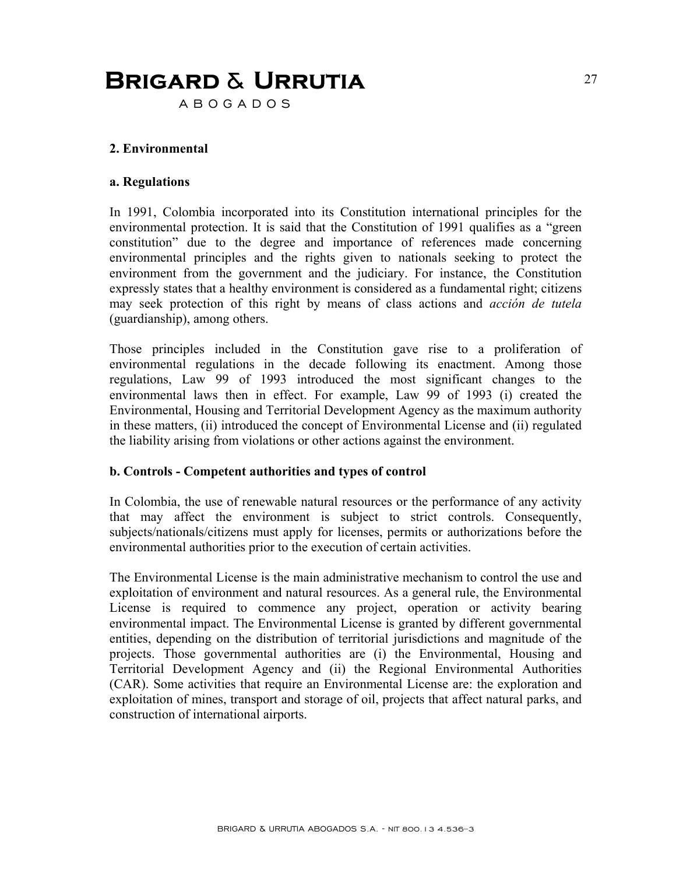A B O G A D O S

#### **2. Environmental**

#### **a. Regulations**

In 1991, Colombia incorporated into its Constitution international principles for the environmental protection. It is said that the Constitution of 1991 qualifies as a "green constitution" due to the degree and importance of references made concerning environmental principles and the rights given to nationals seeking to protect the environment from the government and the judiciary. For instance, the Constitution expressly states that a healthy environment is considered as a fundamental right; citizens may seek protection of this right by means of class actions and *acción de tutela* (guardianship), among others.

Those principles included in the Constitution gave rise to a proliferation of environmental regulations in the decade following its enactment. Among those regulations, Law 99 of 1993 introduced the most significant changes to the environmental laws then in effect. For example, Law 99 of 1993 (i) created the Environmental, Housing and Territorial Development Agency as the maximum authority in these matters, (ii) introduced the concept of Environmental License and (ii) regulated the liability arising from violations or other actions against the environment.

#### **b. Controls - Competent authorities and types of control**

In Colombia, the use of renewable natural resources or the performance of any activity that may affect the environment is subject to strict controls. Consequently, subjects/nationals/citizens must apply for licenses, permits or authorizations before the environmental authorities prior to the execution of certain activities.

The Environmental License is the main administrative mechanism to control the use and exploitation of environment and natural resources. As a general rule, the Environmental License is required to commence any project, operation or activity bearing environmental impact. The Environmental License is granted by different governmental entities, depending on the distribution of territorial jurisdictions and magnitude of the projects. Those governmental authorities are (i) the Environmental, Housing and Territorial Development Agency and (ii) the Regional Environmental Authorities (CAR). Some activities that require an Environmental License are: the exploration and exploitation of mines, transport and storage of oil, projects that affect natural parks, and construction of international airports.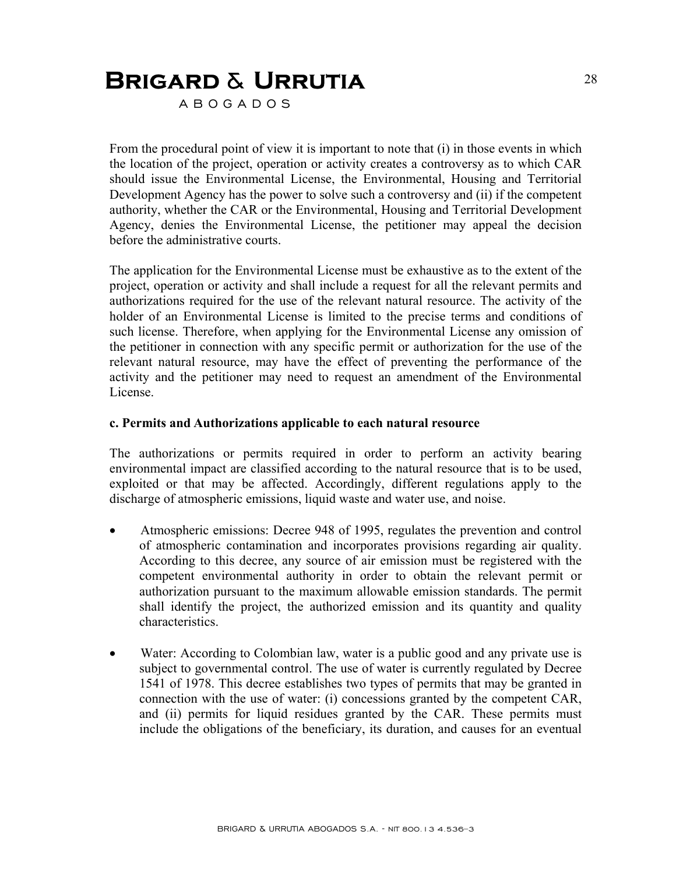A B O G A D O S

From the procedural point of view it is important to note that (i) in those events in which the location of the project, operation or activity creates a controversy as to which CAR should issue the Environmental License, the Environmental, Housing and Territorial Development Agency has the power to solve such a controversy and (ii) if the competent authority, whether the CAR or the Environmental, Housing and Territorial Development Agency, denies the Environmental License, the petitioner may appeal the decision before the administrative courts.

The application for the Environmental License must be exhaustive as to the extent of the project, operation or activity and shall include a request for all the relevant permits and authorizations required for the use of the relevant natural resource. The activity of the holder of an Environmental License is limited to the precise terms and conditions of such license. Therefore, when applying for the Environmental License any omission of the petitioner in connection with any specific permit or authorization for the use of the relevant natural resource, may have the effect of preventing the performance of the activity and the petitioner may need to request an amendment of the Environmental License.

#### **c. Permits and Authorizations applicable to each natural resource**

The authorizations or permits required in order to perform an activity bearing environmental impact are classified according to the natural resource that is to be used, exploited or that may be affected. Accordingly, different regulations apply to the discharge of atmospheric emissions, liquid waste and water use, and noise.

- Atmospheric emissions: Decree 948 of 1995, regulates the prevention and control of atmospheric contamination and incorporates provisions regarding air quality. According to this decree, any source of air emission must be registered with the competent environmental authority in order to obtain the relevant permit or authorization pursuant to the maximum allowable emission standards. The permit shall identify the project, the authorized emission and its quantity and quality characteristics.
- Water: According to Colombian law, water is a public good and any private use is subject to governmental control. The use of water is currently regulated by Decree 1541 of 1978. This decree establishes two types of permits that may be granted in connection with the use of water: (i) concessions granted by the competent CAR, and (ii) permits for liquid residues granted by the CAR. These permits must include the obligations of the beneficiary, its duration, and causes for an eventual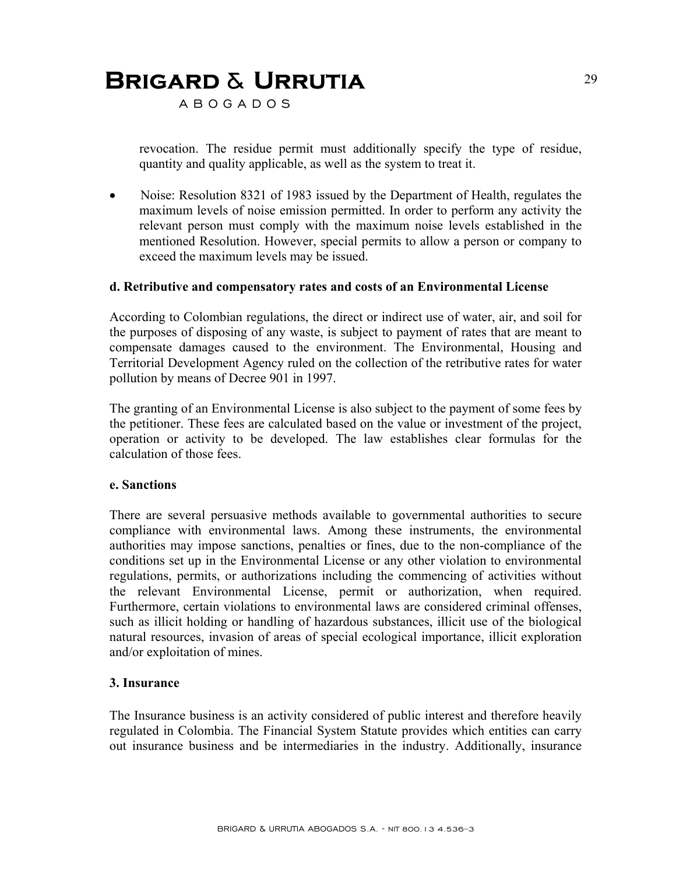A B O G A D O S

revocation. The residue permit must additionally specify the type of residue, quantity and quality applicable, as well as the system to treat it.

• Noise: Resolution 8321 of 1983 issued by the Department of Health, regulates the maximum levels of noise emission permitted. In order to perform any activity the relevant person must comply with the maximum noise levels established in the mentioned Resolution. However, special permits to allow a person or company to exceed the maximum levels may be issued.

#### **d. Retributive and compensatory rates and costs of an Environmental License**

According to Colombian regulations, the direct or indirect use of water, air, and soil for the purposes of disposing of any waste, is subject to payment of rates that are meant to compensate damages caused to the environment. The Environmental, Housing and Territorial Development Agency ruled on the collection of the retributive rates for water pollution by means of Decree 901 in 1997.

The granting of an Environmental License is also subject to the payment of some fees by the petitioner. These fees are calculated based on the value or investment of the project, operation or activity to be developed. The law establishes clear formulas for the calculation of those fees.

#### **e. Sanctions**

There are several persuasive methods available to governmental authorities to secure compliance with environmental laws. Among these instruments, the environmental authorities may impose sanctions, penalties or fines, due to the non-compliance of the conditions set up in the Environmental License or any other violation to environmental regulations, permits, or authorizations including the commencing of activities without the relevant Environmental License, permit or authorization, when required. Furthermore, certain violations to environmental laws are considered criminal offenses, such as illicit holding or handling of hazardous substances, illicit use of the biological natural resources, invasion of areas of special ecological importance, illicit exploration and/or exploitation of mines.

#### **3. Insurance**

The Insurance business is an activity considered of public interest and therefore heavily regulated in Colombia. The Financial System Statute provides which entities can carry out insurance business and be intermediaries in the industry. Additionally, insurance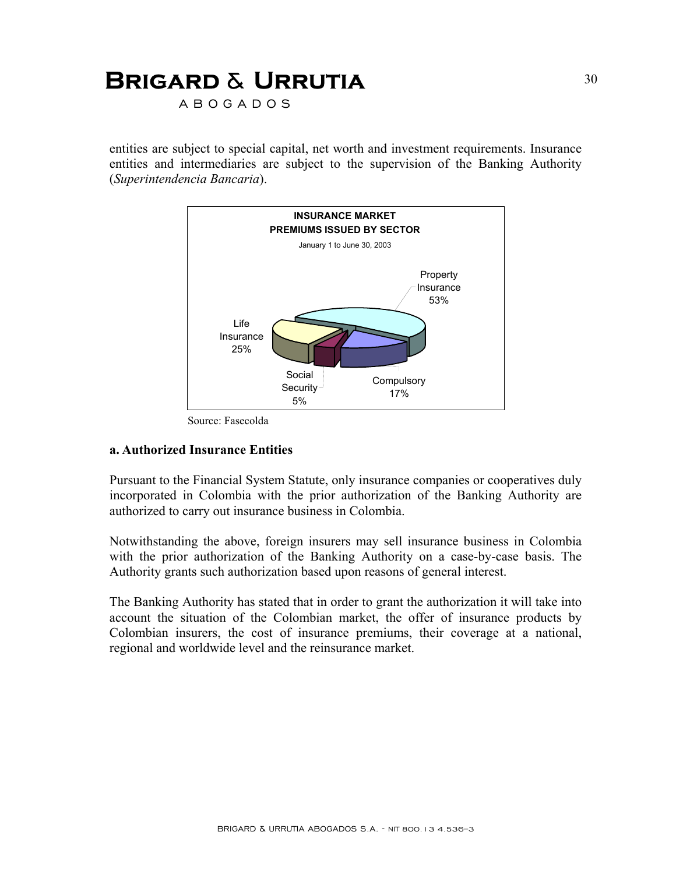A B O G A D O S

entities are subject to special capital, net worth and investment requirements. Insurance entities and intermediaries are subject to the supervision of the Banking Authority (*Superintendencia Bancaria*).



Source: Fasecolda

#### **a. Authorized Insurance Entities**

Pursuant to the Financial System Statute, only insurance companies or cooperatives duly incorporated in Colombia with the prior authorization of the Banking Authority are authorized to carry out insurance business in Colombia.

Notwithstanding the above, foreign insurers may sell insurance business in Colombia with the prior authorization of the Banking Authority on a case-by-case basis. The Authority grants such authorization based upon reasons of general interest.

The Banking Authority has stated that in order to grant the authorization it will take into account the situation of the Colombian market, the offer of insurance products by Colombian insurers, the cost of insurance premiums, their coverage at a national, regional and worldwide level and the reinsurance market.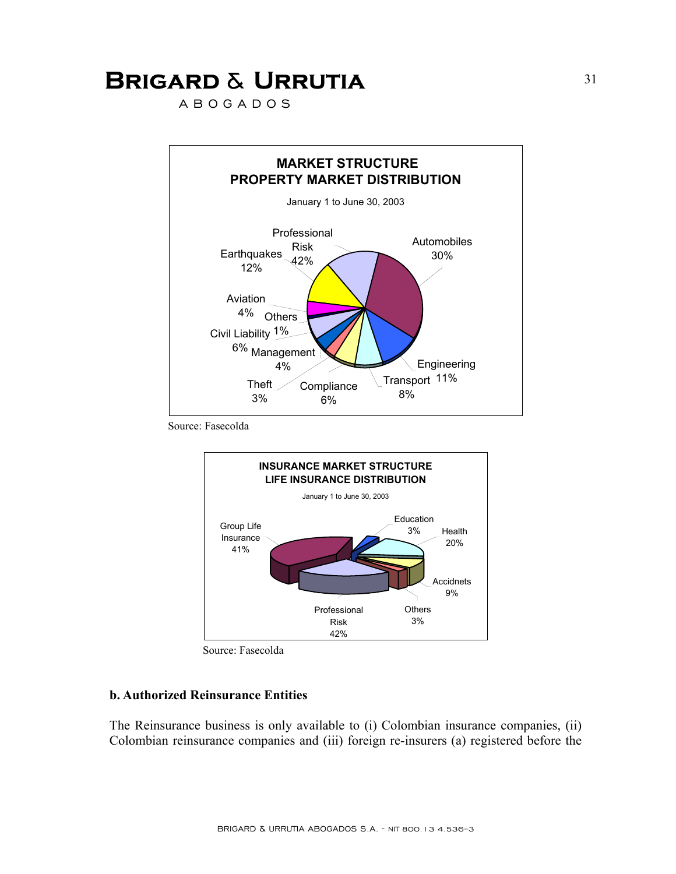A B O G A D O S



Source: Fasecolda





#### **b. Authorized Reinsurance Entities**

The Reinsurance business is only available to (i) Colombian insurance companies, (ii) Colombian reinsurance companies and (iii) foreign re-insurers (a) registered before the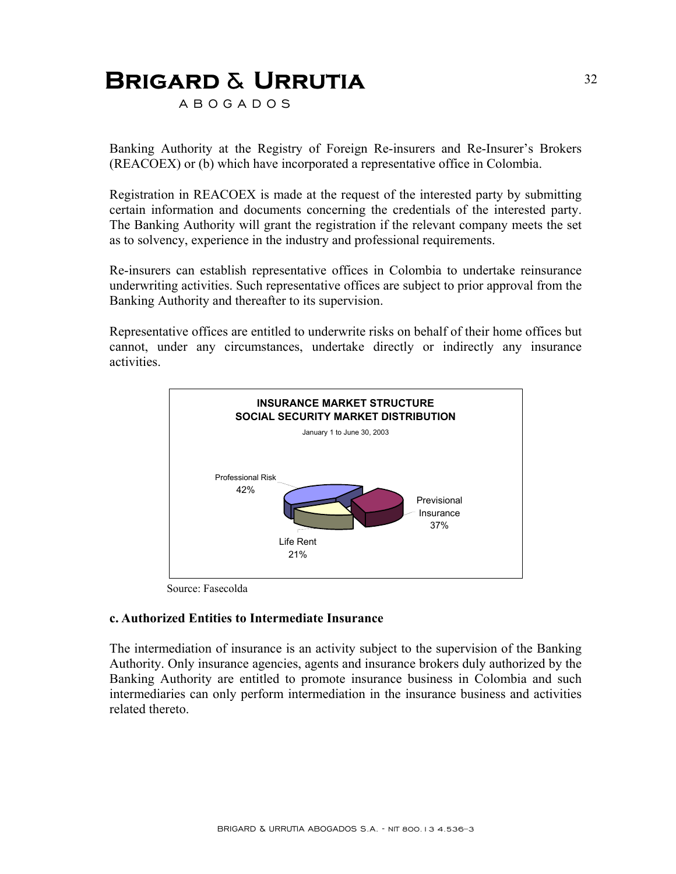A B O G A D O S

Banking Authority at the Registry of Foreign Re-insurers and Re-Insurer's Brokers (REACOEX) or (b) which have incorporated a representative office in Colombia.

Registration in REACOEX is made at the request of the interested party by submitting certain information and documents concerning the credentials of the interested party. The Banking Authority will grant the registration if the relevant company meets the set as to solvency, experience in the industry and professional requirements.

Re-insurers can establish representative offices in Colombia to undertake reinsurance underwriting activities. Such representative offices are subject to prior approval from the Banking Authority and thereafter to its supervision.

Representative offices are entitled to underwrite risks on behalf of their home offices but cannot, under any circumstances, undertake directly or indirectly any insurance activities.



Source: Fasecolda

#### **c. Authorized Entities to Intermediate Insurance**

The intermediation of insurance is an activity subject to the supervision of the Banking Authority. Only insurance agencies, agents and insurance brokers duly authorized by the Banking Authority are entitled to promote insurance business in Colombia and such intermediaries can only perform intermediation in the insurance business and activities related thereto.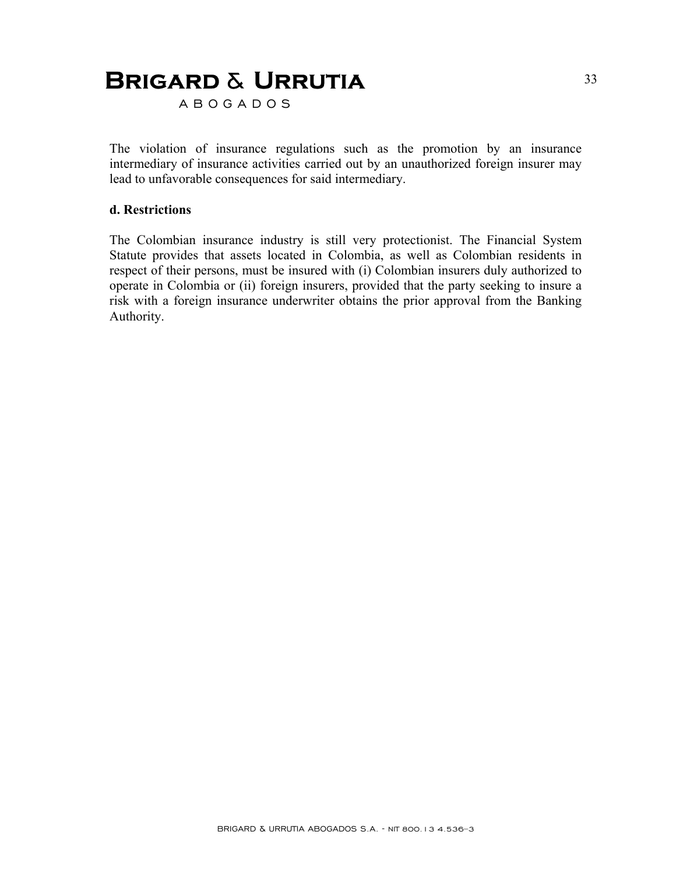A B O G A D O S

The violation of insurance regulations such as the promotion by an insurance intermediary of insurance activities carried out by an unauthorized foreign insurer may lead to unfavorable consequences for said intermediary.

#### **d. Restrictions**

The Colombian insurance industry is still very protectionist. The Financial System Statute provides that assets located in Colombia, as well as Colombian residents in respect of their persons, must be insured with (i) Colombian insurers duly authorized to operate in Colombia or (ii) foreign insurers, provided that the party seeking to insure a risk with a foreign insurance underwriter obtains the prior approval from the Banking Authority.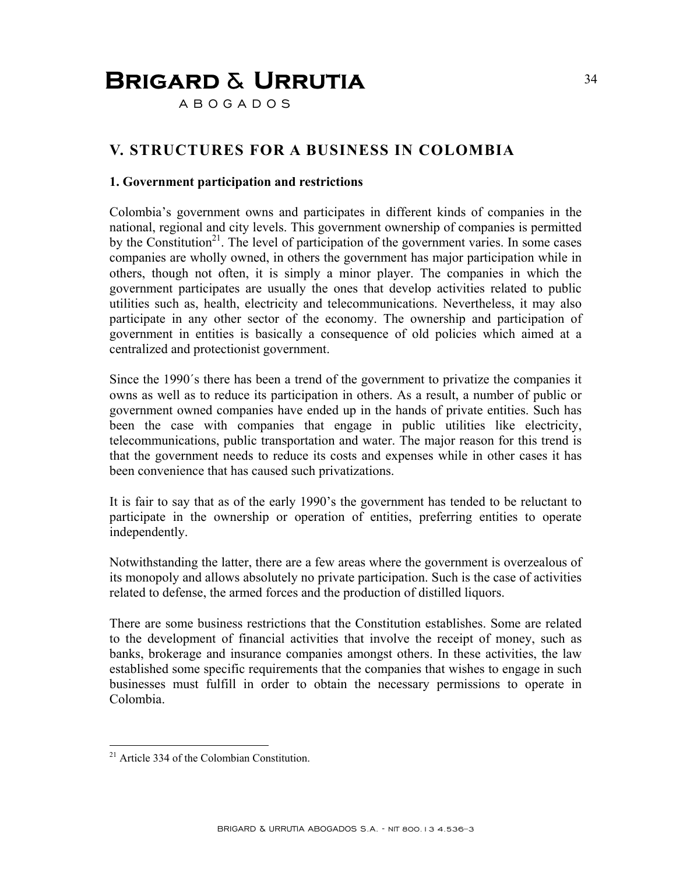A B O G A D O S

### **V. STRUCTURES FOR A BUSINESS IN COLOMBIA**

#### **1. Government participation and restrictions**

Colombia's government owns and participates in different kinds of companies in the national, regional and city levels. This government ownership of companies is permitted by the Constitution<sup>21</sup>. The level of participation of the government varies. In some cases companies are wholly owned, in others the government has major participation while in others, though not often, it is simply a minor player. The companies in which the government participates are usually the ones that develop activities related to public utilities such as, health, electricity and telecommunications. Nevertheless, it may also participate in any other sector of the economy. The ownership and participation of government in entities is basically a consequence of old policies which aimed at a centralized and protectionist government.

Since the 1990´s there has been a trend of the government to privatize the companies it owns as well as to reduce its participation in others. As a result, a number of public or government owned companies have ended up in the hands of private entities. Such has been the case with companies that engage in public utilities like electricity, telecommunications, public transportation and water. The major reason for this trend is that the government needs to reduce its costs and expenses while in other cases it has been convenience that has caused such privatizations.

It is fair to say that as of the early 1990's the government has tended to be reluctant to participate in the ownership or operation of entities, preferring entities to operate independently.

Notwithstanding the latter, there are a few areas where the government is overzealous of its monopoly and allows absolutely no private participation. Such is the case of activities related to defense, the armed forces and the production of distilled liquors.

There are some business restrictions that the Constitution establishes. Some are related to the development of financial activities that involve the receipt of money, such as banks, brokerage and insurance companies amongst others. In these activities, the law established some specific requirements that the companies that wishes to engage in such businesses must fulfill in order to obtain the necessary permissions to operate in Colombia.

1

<sup>&</sup>lt;sup>21</sup> Article 334 of the Colombian Constitution.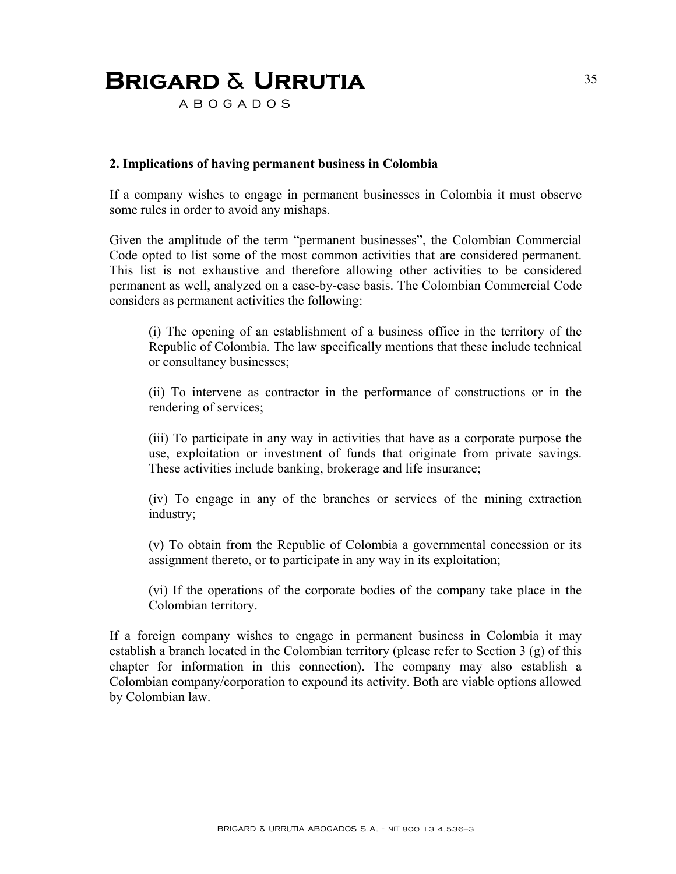A B O G A D O S

#### **2. Implications of having permanent business in Colombia**

If a company wishes to engage in permanent businesses in Colombia it must observe some rules in order to avoid any mishaps.

Given the amplitude of the term "permanent businesses", the Colombian Commercial Code opted to list some of the most common activities that are considered permanent. This list is not exhaustive and therefore allowing other activities to be considered permanent as well, analyzed on a case-by-case basis. The Colombian Commercial Code considers as permanent activities the following:

(i) The opening of an establishment of a business office in the territory of the Republic of Colombia. The law specifically mentions that these include technical or consultancy businesses;

(ii) To intervene as contractor in the performance of constructions or in the rendering of services;

(iii) To participate in any way in activities that have as a corporate purpose the use, exploitation or investment of funds that originate from private savings. These activities include banking, brokerage and life insurance;

(iv) To engage in any of the branches or services of the mining extraction industry;

(v) To obtain from the Republic of Colombia a governmental concession or its assignment thereto, or to participate in any way in its exploitation;

(vi) If the operations of the corporate bodies of the company take place in the Colombian territory.

If a foreign company wishes to engage in permanent business in Colombia it may establish a branch located in the Colombian territory (please refer to Section 3 (g) of this chapter for information in this connection). The company may also establish a Colombian company/corporation to expound its activity. Both are viable options allowed by Colombian law.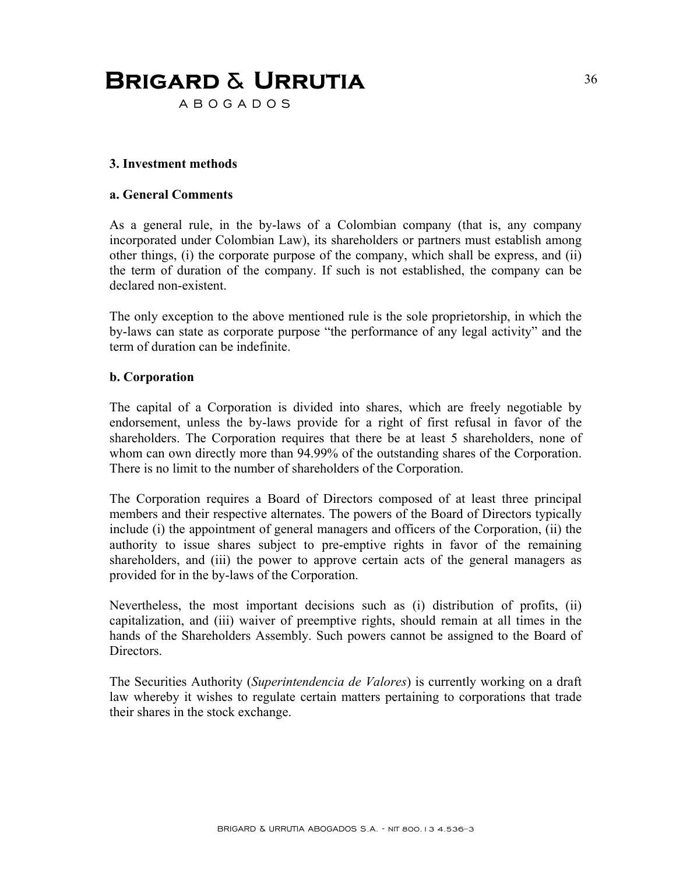A B O G A D O S

#### **3. Investment methods**

#### **a. General Comments**

As a general rule, in the by-laws of a Colombian company (that is, any company incorporated under Colombian Law), its shareholders or partners must establish among other things, (i) the corporate purpose of the company, which shall be express, and (ii) the term of duration of the company. If such is not established, the company can be declared non-existent.

The only exception to the above mentioned rule is the sole proprietorship, in which the by-laws can state as corporate purpose "the performance of any legal activity" and the term of duration can be indefinite.

#### **b. Corporation**

The capital of a Corporation is divided into shares, which are freely negotiable by endorsement, unless the by-laws provide for a right of first refusal in favor of the shareholders. The Corporation requires that there be at least 5 shareholders, none of whom can own directly more than 94.99% of the outstanding shares of the Corporation. There is no limit to the number of shareholders of the Corporation.

The Corporation requires a Board of Directors composed of at least three principal members and their respective alternates. The powers of the Board of Directors typically include (i) the appointment of general managers and officers of the Corporation, (ii) the authority to issue shares subject to pre-emptive rights in favor of the remaining shareholders, and (iii) the power to approve certain acts of the general managers as provided for in the by-laws of the Corporation.

Nevertheless, the most important decisions such as (i) distribution of profits, (ii) capitalization, and (iii) waiver of preemptive rights, should remain at all times in the hands of the Shareholders Assembly. Such powers cannot be assigned to the Board of Directors.

The Securities Authority (*Superintendencia de Valores*) is currently working on a draft law whereby it wishes to regulate certain matters pertaining to corporations that trade their shares in the stock exchange.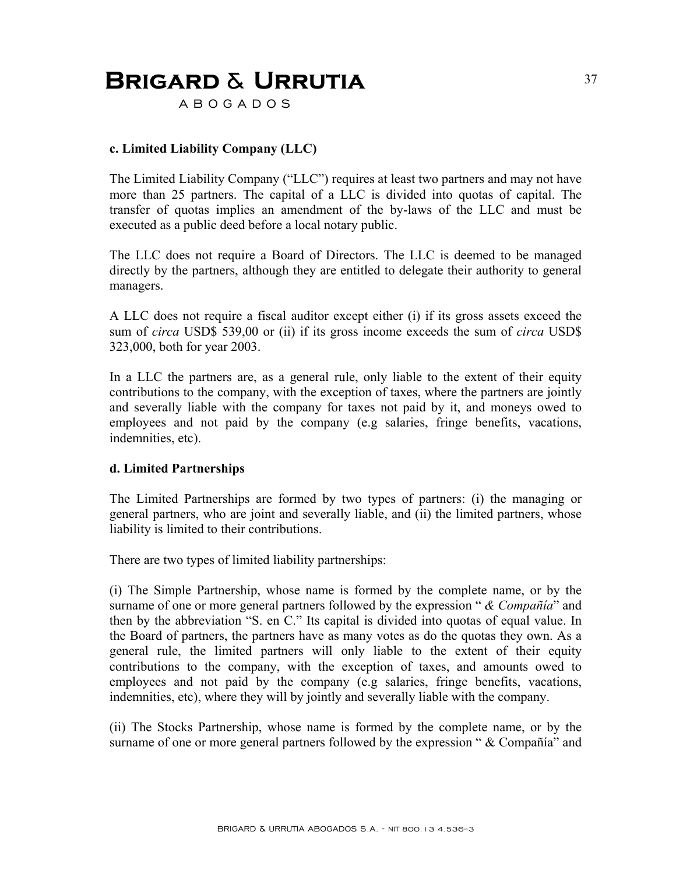A B O G A D O S

### **c. Limited Liability Company (LLC)**

The Limited Liability Company ("LLC") requires at least two partners and may not have more than 25 partners. The capital of a LLC is divided into quotas of capital. The transfer of quotas implies an amendment of the by-laws of the LLC and must be executed as a public deed before a local notary public.

The LLC does not require a Board of Directors. The LLC is deemed to be managed directly by the partners, although they are entitled to delegate their authority to general managers.

A LLC does not require a fiscal auditor except either (i) if its gross assets exceed the sum of *circa* USD\$ 539,00 or (ii) if its gross income exceeds the sum of *circa* USD\$ 323,000, both for year 2003.

In a LLC the partners are, as a general rule, only liable to the extent of their equity contributions to the company, with the exception of taxes, where the partners are jointly and severally liable with the company for taxes not paid by it, and moneys owed to employees and not paid by the company (e.g salaries, fringe benefits, vacations, indemnities, etc).

#### **d. Limited Partnerships**

The Limited Partnerships are formed by two types of partners: (i) the managing or general partners, who are joint and severally liable, and (ii) the limited partners, whose liability is limited to their contributions.

There are two types of limited liability partnerships:

(i) The Simple Partnership, whose name is formed by the complete name, or by the surname of one or more general partners followed by the expression " *& Compañía*" and then by the abbreviation "S. en C." Its capital is divided into quotas of equal value. In the Board of partners, the partners have as many votes as do the quotas they own. As a general rule, the limited partners will only liable to the extent of their equity contributions to the company, with the exception of taxes, and amounts owed to employees and not paid by the company (e.g salaries, fringe benefits, vacations, indemnities, etc), where they will by jointly and severally liable with the company.

(ii) The Stocks Partnership, whose name is formed by the complete name, or by the surname of one or more general partners followed by the expression " & Compañía" and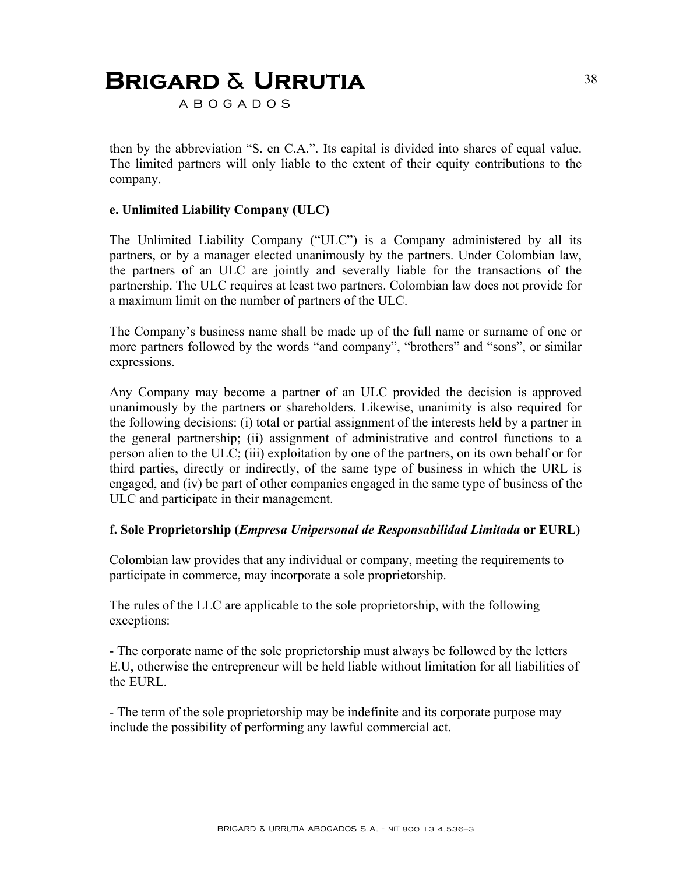A B O G A D O S

then by the abbreviation "S. en C.A.". Its capital is divided into shares of equal value. The limited partners will only liable to the extent of their equity contributions to the company.

#### **e. Unlimited Liability Company (ULC)**

The Unlimited Liability Company ("ULC") is a Company administered by all its partners, or by a manager elected unanimously by the partners. Under Colombian law, the partners of an ULC are jointly and severally liable for the transactions of the partnership. The ULC requires at least two partners. Colombian law does not provide for a maximum limit on the number of partners of the ULC.

The Company's business name shall be made up of the full name or surname of one or more partners followed by the words "and company", "brothers" and "sons", or similar expressions.

Any Company may become a partner of an ULC provided the decision is approved unanimously by the partners or shareholders. Likewise, unanimity is also required for the following decisions: (i) total or partial assignment of the interests held by a partner in the general partnership; (ii) assignment of administrative and control functions to a person alien to the ULC; (iii) exploitation by one of the partners, on its own behalf or for third parties, directly or indirectly, of the same type of business in which the URL is engaged, and (iv) be part of other companies engaged in the same type of business of the ULC and participate in their management.

#### **f. Sole Proprietorship (***Empresa Unipersonal de Responsabilidad Limitada* **or EURL)**

Colombian law provides that any individual or company, meeting the requirements to participate in commerce, may incorporate a sole proprietorship.

The rules of the LLC are applicable to the sole proprietorship, with the following exceptions:

- The corporate name of the sole proprietorship must always be followed by the letters E.U, otherwise the entrepreneur will be held liable without limitation for all liabilities of the EURL.

- The term of the sole proprietorship may be indefinite and its corporate purpose may include the possibility of performing any lawful commercial act.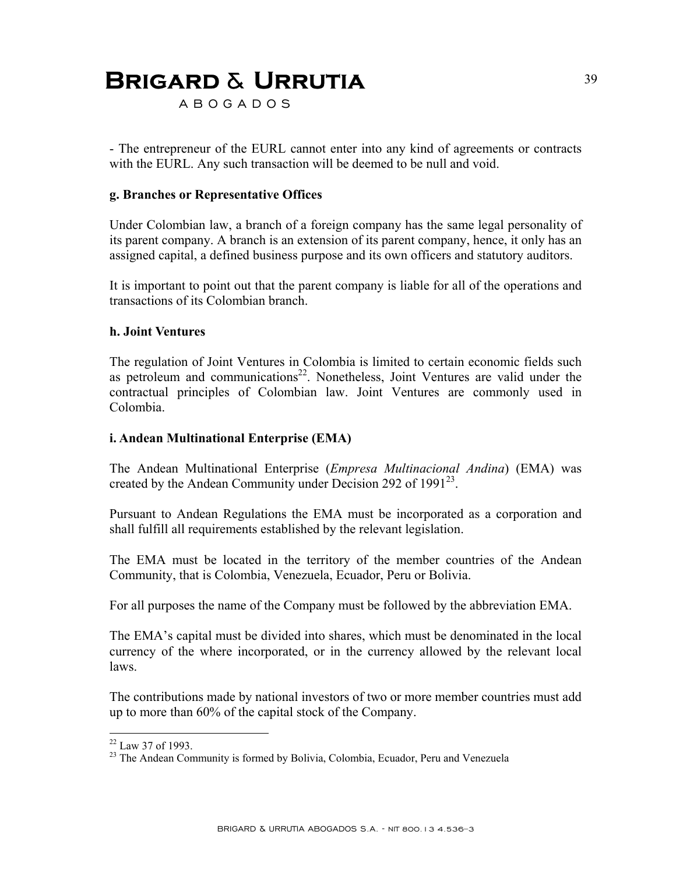A B O G A D O S

- The entrepreneur of the EURL cannot enter into any kind of agreements or contracts with the EURL. Any such transaction will be deemed to be null and void.

#### **g. Branches or Representative Offices**

Under Colombian law, a branch of a foreign company has the same legal personality of its parent company. A branch is an extension of its parent company, hence, it only has an assigned capital, a defined business purpose and its own officers and statutory auditors.

It is important to point out that the parent company is liable for all of the operations and transactions of its Colombian branch.

#### **h. Joint Ventures**

The regulation of Joint Ventures in Colombia is limited to certain economic fields such as petroleum and communications<sup>22</sup>. Nonetheless, Joint Ventures are valid under the contractual principles of Colombian law. Joint Ventures are commonly used in Colombia.

#### **i. Andean Multinational Enterprise (EMA)**

The Andean Multinational Enterprise (*Empresa Multinacional Andina*) (EMA) was created by the Andean Community under Decision 292 of  $1991^{23}$ .

Pursuant to Andean Regulations the EMA must be incorporated as a corporation and shall fulfill all requirements established by the relevant legislation.

The EMA must be located in the territory of the member countries of the Andean Community, that is Colombia, Venezuela, Ecuador, Peru or Bolivia.

For all purposes the name of the Company must be followed by the abbreviation EMA.

The EMA's capital must be divided into shares, which must be denominated in the local currency of the where incorporated, or in the currency allowed by the relevant local laws.

The contributions made by national investors of two or more member countries must add up to more than 60% of the capital stock of the Company.

<u>.</u>

 $22$  Law 37 of 1993.

<sup>&</sup>lt;sup>23</sup> The Andean Community is formed by Bolivia, Colombia, Ecuador, Peru and Venezuela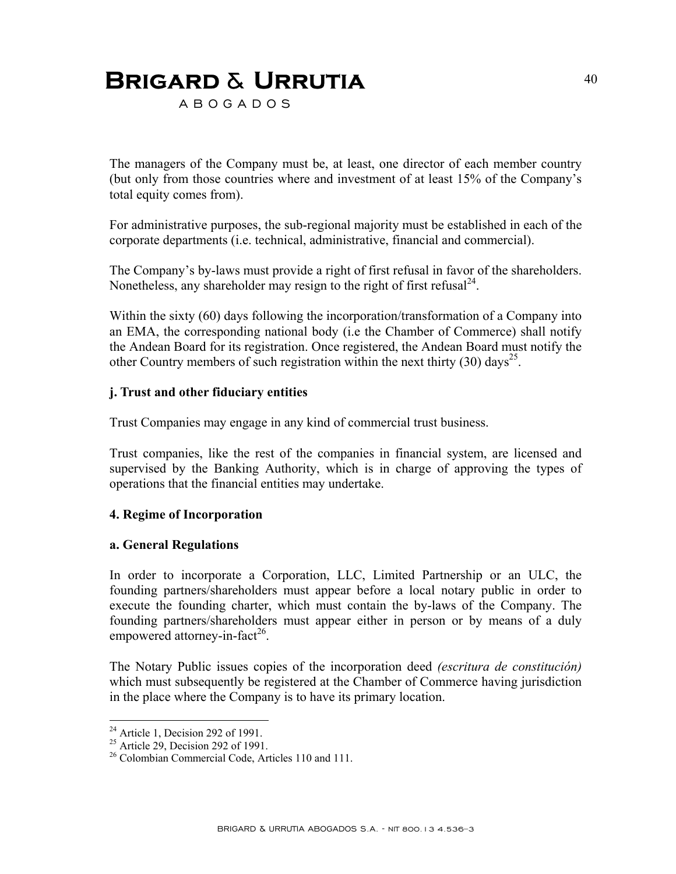A B O G A D O S

The managers of the Company must be, at least, one director of each member country (but only from those countries where and investment of at least 15% of the Company's total equity comes from).

For administrative purposes, the sub-regional majority must be established in each of the corporate departments (i.e. technical, administrative, financial and commercial).

The Company's by-laws must provide a right of first refusal in favor of the shareholders. Nonetheless, any shareholder may resign to the right of first refusal  $24$ .

Within the sixty (60) days following the incorporation/transformation of a Company into an EMA, the corresponding national body (i.e the Chamber of Commerce) shall notify the Andean Board for its registration. Once registered, the Andean Board must notify the other Country members of such registration within the next thirty (30) days<sup>25</sup>.

#### **j. Trust and other fiduciary entities**

Trust Companies may engage in any kind of commercial trust business.

Trust companies, like the rest of the companies in financial system, are licensed and supervised by the Banking Authority, which is in charge of approving the types of operations that the financial entities may undertake.

#### **4. Regime of Incorporation**

#### **a. General Regulations**

In order to incorporate a Corporation, LLC, Limited Partnership or an ULC, the founding partners/shareholders must appear before a local notary public in order to execute the founding charter, which must contain the by-laws of the Company. The founding partners/shareholders must appear either in person or by means of a duly empowered attorney-in-fact<sup>26</sup>.

The Notary Public issues copies of the incorporation deed *(escritura de constitución)*  which must subsequently be registered at the Chamber of Commerce having jurisdiction in the place where the Company is to have its primary location.

1

 $24$  Article 1, Decision 292 of 1991.

<sup>&</sup>lt;sup>25</sup> Article 29, Decision 292 of 1991.

<sup>&</sup>lt;sup>26</sup> Colombian Commercial Code, Articles 110 and 111.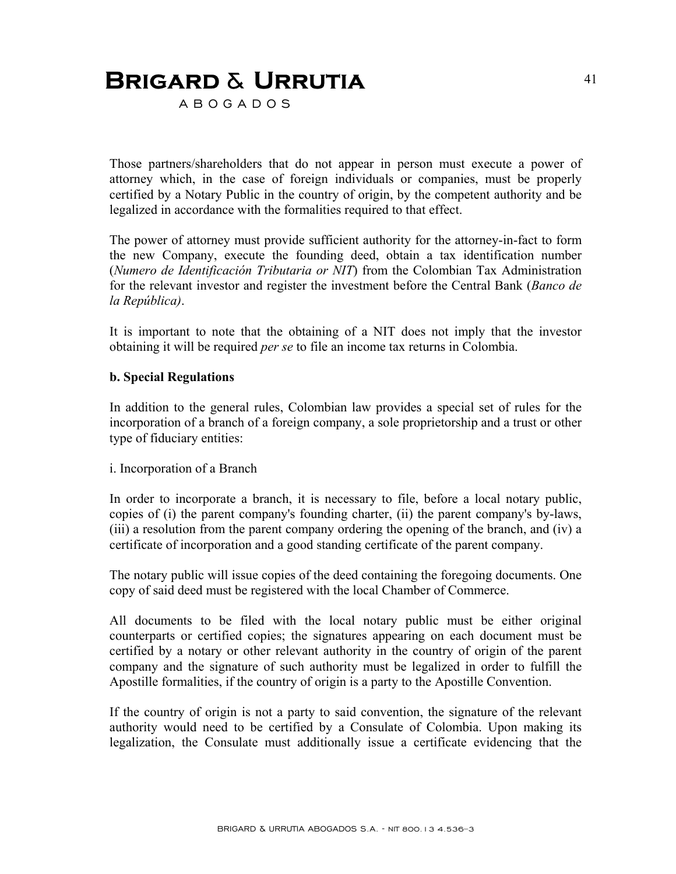A B O G A D O S

Those partners/shareholders that do not appear in person must execute a power of attorney which, in the case of foreign individuals or companies, must be properly certified by a Notary Public in the country of origin, by the competent authority and be legalized in accordance with the formalities required to that effect.

The power of attorney must provide sufficient authority for the attorney-in-fact to form the new Company, execute the founding deed, obtain a tax identification number (*Numero de Identificación Tributaria or NIT*) from the Colombian Tax Administration for the relevant investor and register the investment before the Central Bank (*Banco de la República)*.

It is important to note that the obtaining of a NIT does not imply that the investor obtaining it will be required *per se* to file an income tax returns in Colombia.

#### **b. Special Regulations**

In addition to the general rules, Colombian law provides a special set of rules for the incorporation of a branch of a foreign company, a sole proprietorship and a trust or other type of fiduciary entities:

#### i. Incorporation of a Branch

In order to incorporate a branch, it is necessary to file, before a local notary public, copies of (i) the parent company's founding charter, (ii) the parent company's by-laws, (iii) a resolution from the parent company ordering the opening of the branch, and (iv) a certificate of incorporation and a good standing certificate of the parent company.

The notary public will issue copies of the deed containing the foregoing documents. One copy of said deed must be registered with the local Chamber of Commerce.

All documents to be filed with the local notary public must be either original counterparts or certified copies; the signatures appearing on each document must be certified by a notary or other relevant authority in the country of origin of the parent company and the signature of such authority must be legalized in order to fulfill the Apostille formalities, if the country of origin is a party to the Apostille Convention.

If the country of origin is not a party to said convention, the signature of the relevant authority would need to be certified by a Consulate of Colombia. Upon making its legalization, the Consulate must additionally issue a certificate evidencing that the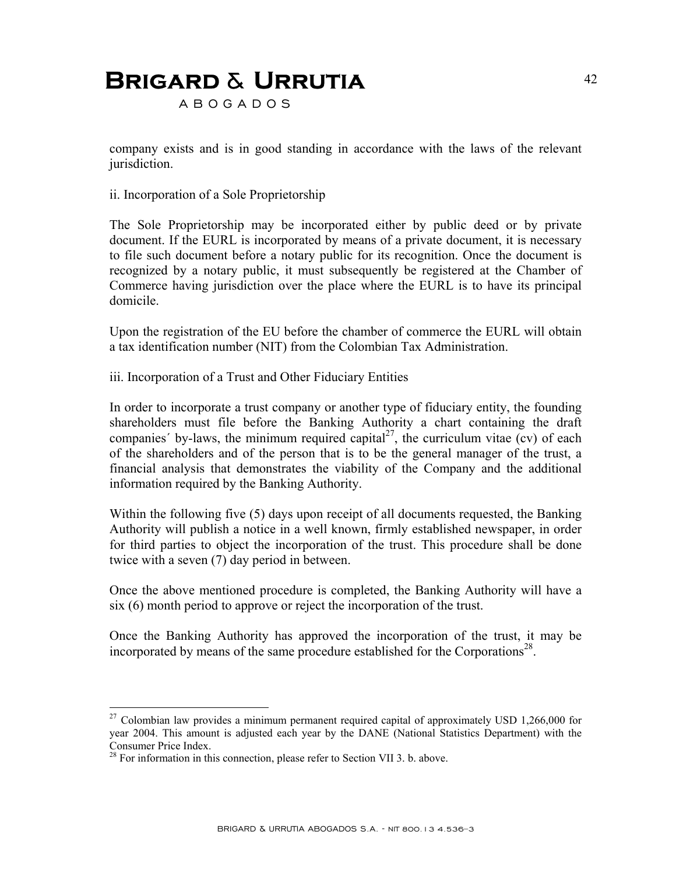A B O G A D O S

company exists and is in good standing in accordance with the laws of the relevant jurisdiction.

ii. Incorporation of a Sole Proprietorship

The Sole Proprietorship may be incorporated either by public deed or by private document. If the EURL is incorporated by means of a private document, it is necessary to file such document before a notary public for its recognition. Once the document is recognized by a notary public, it must subsequently be registered at the Chamber of Commerce having jurisdiction over the place where the EURL is to have its principal domicile.

Upon the registration of the EU before the chamber of commerce the EURL will obtain a tax identification number (NIT) from the Colombian Tax Administration.

iii. Incorporation of a Trust and Other Fiduciary Entities

In order to incorporate a trust company or another type of fiduciary entity, the founding shareholders must file before the Banking Authority a chart containing the draft companies' by-laws, the minimum required capital<sup>27</sup>, the curriculum vitae (cv) of each of the shareholders and of the person that is to be the general manager of the trust, a financial analysis that demonstrates the viability of the Company and the additional information required by the Banking Authority.

Within the following five (5) days upon receipt of all documents requested, the Banking Authority will publish a notice in a well known, firmly established newspaper, in order for third parties to object the incorporation of the trust. This procedure shall be done twice with a seven (7) day period in between.

Once the above mentioned procedure is completed, the Banking Authority will have a six (6) month period to approve or reject the incorporation of the trust.

Once the Banking Authority has approved the incorporation of the trust, it may be incorporated by means of the same procedure established for the Corporations<sup>28</sup>.

1

<sup>27</sup> Colombian law provides a minimum permanent required capital of approximately USD 1,266,000 for year 2004. This amount is adjusted each year by the DANE (National Statistics Department) with the Consumer Price Index.

 $28$  For information in this connection, please refer to Section VII 3. b. above.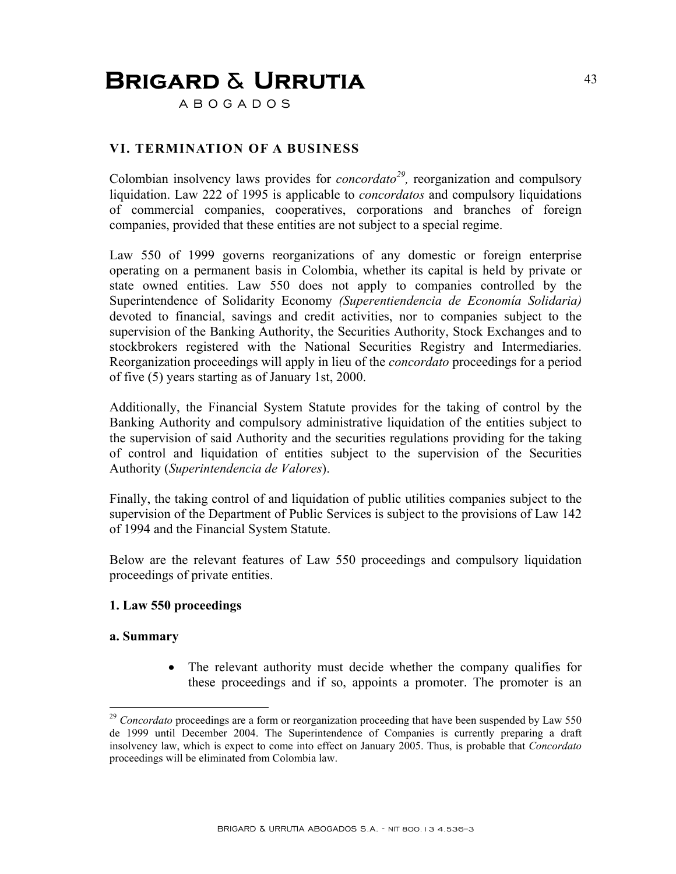A B O G A D O S

### **VI. TERMINATION OF A BUSINESS**

Colombian insolvency laws provides for *concordato*<sup>29</sup>, reorganization and compulsory liquidation. Law 222 of 1995 is applicable to *concordatos* and compulsory liquidations of commercial companies, cooperatives, corporations and branches of foreign companies, provided that these entities are not subject to a special regime.

Law 550 of 1999 governs reorganizations of any domestic or foreign enterprise operating on a permanent basis in Colombia, whether its capital is held by private or state owned entities. Law 550 does not apply to companies controlled by the Superintendence of Solidarity Economy *(Superentiendencia de Economía Solidaria)* devoted to financial, savings and credit activities, nor to companies subject to the supervision of the Banking Authority, the Securities Authority, Stock Exchanges and to stockbrokers registered with the National Securities Registry and Intermediaries. Reorganization proceedings will apply in lieu of the *concordato* proceedings for a period of five (5) years starting as of January 1st, 2000.

Additionally, the Financial System Statute provides for the taking of control by the Banking Authority and compulsory administrative liquidation of the entities subject to the supervision of said Authority and the securities regulations providing for the taking of control and liquidation of entities subject to the supervision of the Securities Authority (*Superintendencia de Valores*).

Finally, the taking control of and liquidation of public utilities companies subject to the supervision of the Department of Public Services is subject to the provisions of Law 142 of 1994 and the Financial System Statute.

Below are the relevant features of Law 550 proceedings and compulsory liquidation proceedings of private entities.

#### **1. Law 550 proceedings**

#### **a. Summary**

1

• The relevant authority must decide whether the company qualifies for these proceedings and if so, appoints a promoter. The promoter is an

<sup>&</sup>lt;sup>29</sup> *Concordato* proceedings are a form or reorganization proceeding that have been suspended by Law 550 de 1999 until December 2004. The Superintendence of Companies is currently preparing a draft insolvency law, which is expect to come into effect on January 2005. Thus, is probable that *Concordato*  proceedings will be eliminated from Colombia law.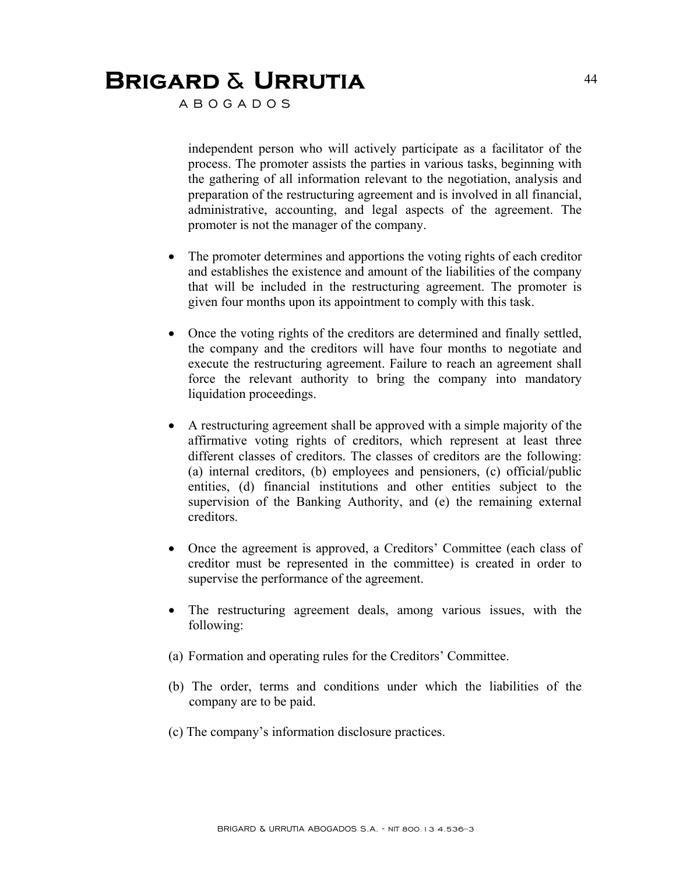A B O G A D O S

independent person who will actively participate as a facilitator of the process. The promoter assists the parties in various tasks, beginning with the gathering of all information relevant to the negotiation, analysis and preparation of the restructuring agreement and is involved in all financial, administrative, accounting, and legal aspects of the agreement. The promoter is not the manager of the company.

- The promoter determines and apportions the voting rights of each creditor and establishes the existence and amount of the liabilities of the company that will be included in the restructuring agreement. The promoter is given four months upon its appointment to comply with this task.
- Once the voting rights of the creditors are determined and finally settled, the company and the creditors will have four months to negotiate and execute the restructuring agreement. Failure to reach an agreement shall force the relevant authority to bring the company into mandatory liquidation proceedings.
- A restructuring agreement shall be approved with a simple majority of the affirmative voting rights of creditors, which represent at least three different classes of creditors. The classes of creditors are the following: (a) internal creditors, (b) employees and pensioners, (c) official/public entities, (d) financial institutions and other entities subject to the supervision of the Banking Authority, and (e) the remaining external creditors.
- Once the agreement is approved, a Creditors' Committee (each class of creditor must be represented in the committee) is created in order to supervise the performance of the agreement.
- The restructuring agreement deals, among various issues, with the following:
- (a) Formation and operating rules for the Creditors' Committee.
- (b) The order, terms and conditions under which the liabilities of the company are to be paid.
- (c) The company's information disclosure practices.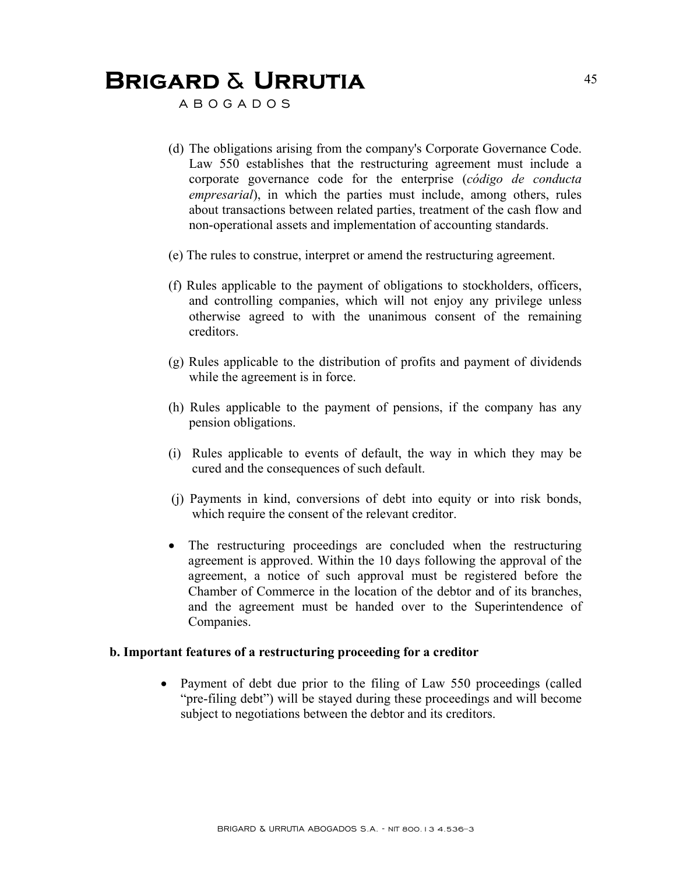A B O G A D O S

- (d) The obligations arising from the company's Corporate Governance Code. Law 550 establishes that the restructuring agreement must include a corporate governance code for the enterprise (*código de conducta empresarial*), in which the parties must include, among others, rules about transactions between related parties, treatment of the cash flow and non-operational assets and implementation of accounting standards.
- (e) The rules to construe, interpret or amend the restructuring agreement.
- (f) Rules applicable to the payment of obligations to stockholders, officers, and controlling companies, which will not enjoy any privilege unless otherwise agreed to with the unanimous consent of the remaining creditors.
- (g) Rules applicable to the distribution of profits and payment of dividends while the agreement is in force.
- (h) Rules applicable to the payment of pensions, if the company has any pension obligations.
- (i) Rules applicable to events of default, the way in which they may be cured and the consequences of such default.
- (j) Payments in kind, conversions of debt into equity or into risk bonds, which require the consent of the relevant creditor.
- The restructuring proceedings are concluded when the restructuring agreement is approved. Within the 10 days following the approval of the agreement, a notice of such approval must be registered before the Chamber of Commerce in the location of the debtor and of its branches, and the agreement must be handed over to the Superintendence of Companies.

#### **b. Important features of a restructuring proceeding for a creditor**

• Payment of debt due prior to the filing of Law 550 proceedings (called "pre-filing debt") will be stayed during these proceedings and will become subject to negotiations between the debtor and its creditors.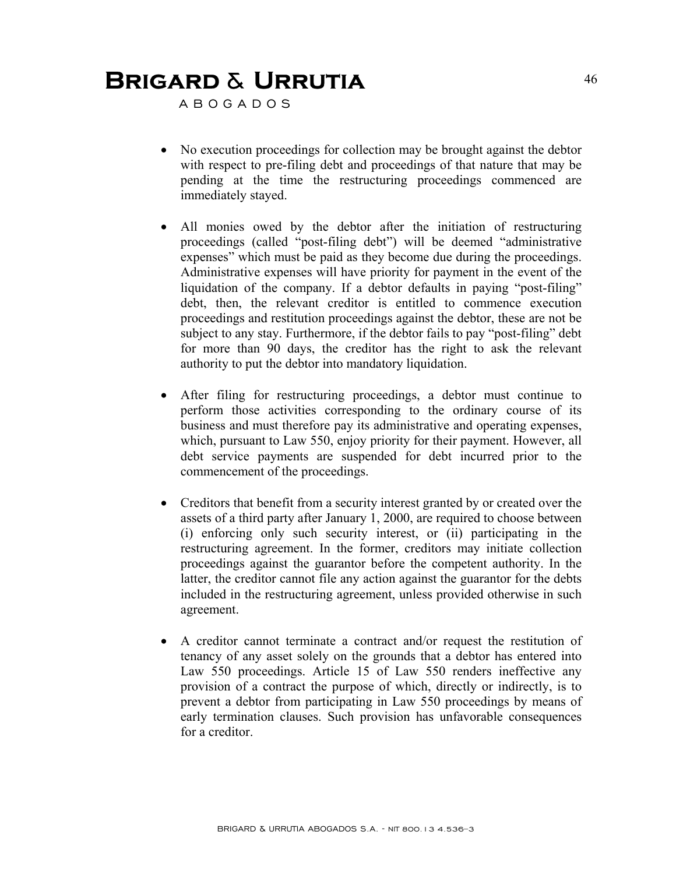A B O G A D O S

- No execution proceedings for collection may be brought against the debtor with respect to pre-filing debt and proceedings of that nature that may be pending at the time the restructuring proceedings commenced are immediately stayed.
- All monies owed by the debtor after the initiation of restructuring proceedings (called "post-filing debt") will be deemed "administrative expenses" which must be paid as they become due during the proceedings. Administrative expenses will have priority for payment in the event of the liquidation of the company. If a debtor defaults in paying "post-filing" debt, then, the relevant creditor is entitled to commence execution proceedings and restitution proceedings against the debtor, these are not be subject to any stay. Furthermore, if the debtor fails to pay "post-filing" debt for more than 90 days, the creditor has the right to ask the relevant authority to put the debtor into mandatory liquidation.
- After filing for restructuring proceedings, a debtor must continue to perform those activities corresponding to the ordinary course of its business and must therefore pay its administrative and operating expenses, which, pursuant to Law 550, enjoy priority for their payment. However, all debt service payments are suspended for debt incurred prior to the commencement of the proceedings.
- Creditors that benefit from a security interest granted by or created over the assets of a third party after January 1, 2000, are required to choose between (i) enforcing only such security interest, or (ii) participating in the restructuring agreement. In the former, creditors may initiate collection proceedings against the guarantor before the competent authority. In the latter, the creditor cannot file any action against the guarantor for the debts included in the restructuring agreement, unless provided otherwise in such agreement.
- A creditor cannot terminate a contract and/or request the restitution of tenancy of any asset solely on the grounds that a debtor has entered into Law 550 proceedings. Article 15 of Law 550 renders ineffective any provision of a contract the purpose of which, directly or indirectly, is to prevent a debtor from participating in Law 550 proceedings by means of early termination clauses. Such provision has unfavorable consequences for a creditor.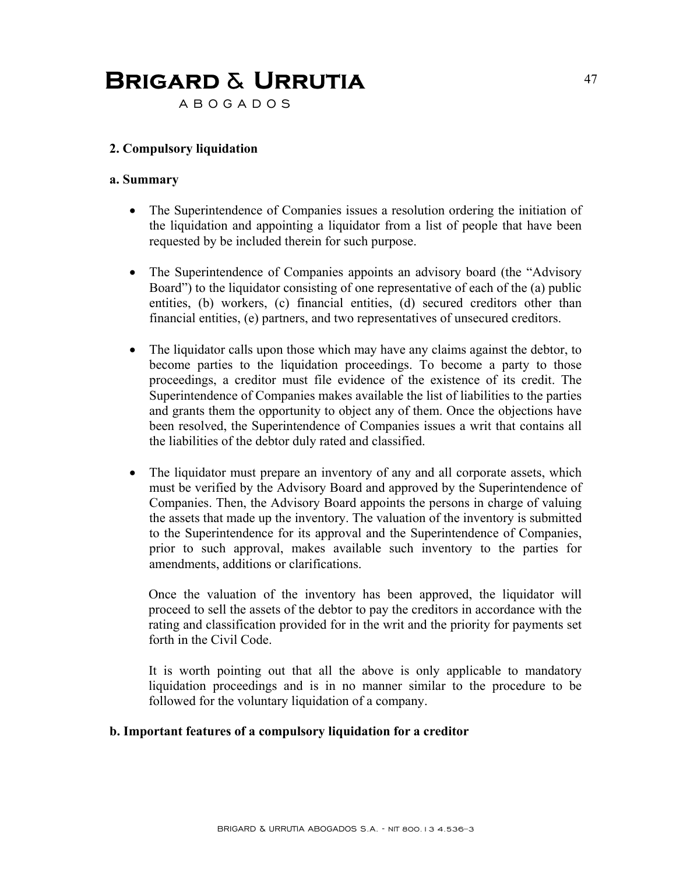A B O G A D O S

### **2. Compulsory liquidation**

#### **a. Summary**

- The Superintendence of Companies issues a resolution ordering the initiation of the liquidation and appointing a liquidator from a list of people that have been requested by be included therein for such purpose.
- The Superintendence of Companies appoints an advisory board (the "Advisory" Board") to the liquidator consisting of one representative of each of the (a) public entities, (b) workers, (c) financial entities, (d) secured creditors other than financial entities, (e) partners, and two representatives of unsecured creditors.
- The liquidator calls upon those which may have any claims against the debtor, to become parties to the liquidation proceedings. To become a party to those proceedings, a creditor must file evidence of the existence of its credit. The Superintendence of Companies makes available the list of liabilities to the parties and grants them the opportunity to object any of them. Once the objections have been resolved, the Superintendence of Companies issues a writ that contains all the liabilities of the debtor duly rated and classified.
- The liquidator must prepare an inventory of any and all corporate assets, which must be verified by the Advisory Board and approved by the Superintendence of Companies. Then, the Advisory Board appoints the persons in charge of valuing the assets that made up the inventory. The valuation of the inventory is submitted to the Superintendence for its approval and the Superintendence of Companies, prior to such approval, makes available such inventory to the parties for amendments, additions or clarifications.

Once the valuation of the inventory has been approved, the liquidator will proceed to sell the assets of the debtor to pay the creditors in accordance with the rating and classification provided for in the writ and the priority for payments set forth in the Civil Code.

It is worth pointing out that all the above is only applicable to mandatory liquidation proceedings and is in no manner similar to the procedure to be followed for the voluntary liquidation of a company.

#### **b. Important features of a compulsory liquidation for a creditor**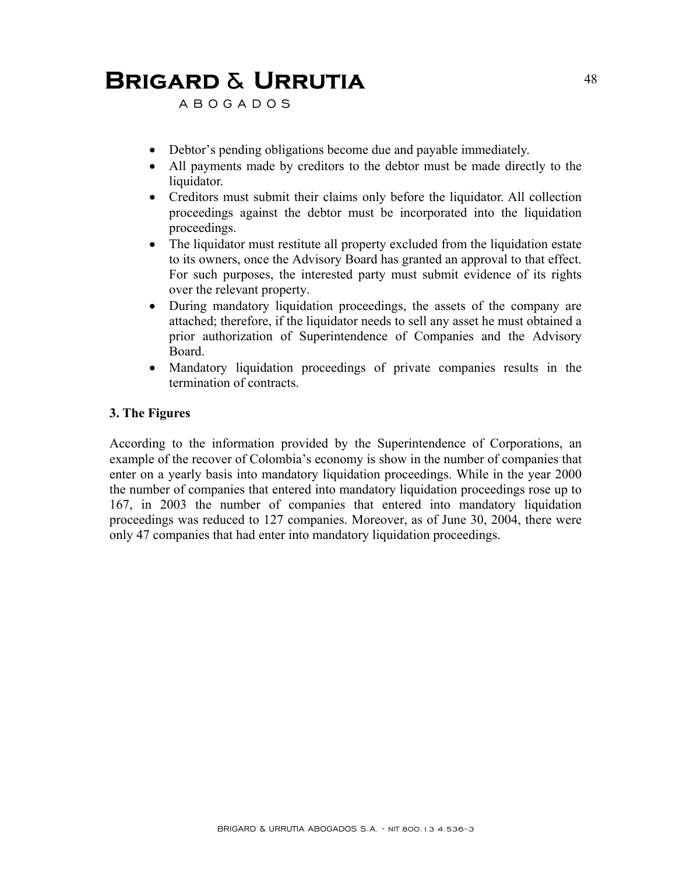A B O G A D O S

- Debtor's pending obligations become due and payable immediately.
- All payments made by creditors to the debtor must be made directly to the liquidator.
- Creditors must submit their claims only before the liquidator. All collection proceedings against the debtor must be incorporated into the liquidation proceedings.
- The liquidator must restitute all property excluded from the liquidation estate to its owners, once the Advisory Board has granted an approval to that effect. For such purposes, the interested party must submit evidence of its rights over the relevant property.
- During mandatory liquidation proceedings, the assets of the company are attached; therefore, if the liquidator needs to sell any asset he must obtained a prior authorization of Superintendence of Companies and the Advisory Board.
- Mandatory liquidation proceedings of private companies results in the termination of contracts.

#### **3. The Figures**

According to the information provided by the Superintendence of Corporations, an example of the recover of Colombia's economy is show in the number of companies that enter on a yearly basis into mandatory liquidation proceedings. While in the year 2000 the number of companies that entered into mandatory liquidation proceedings rose up to 167, in 2003 the number of companies that entered into mandatory liquidation proceedings was reduced to 127 companies. Moreover, as of June 30, 2004, there were only 47 companies that had enter into mandatory liquidation proceedings.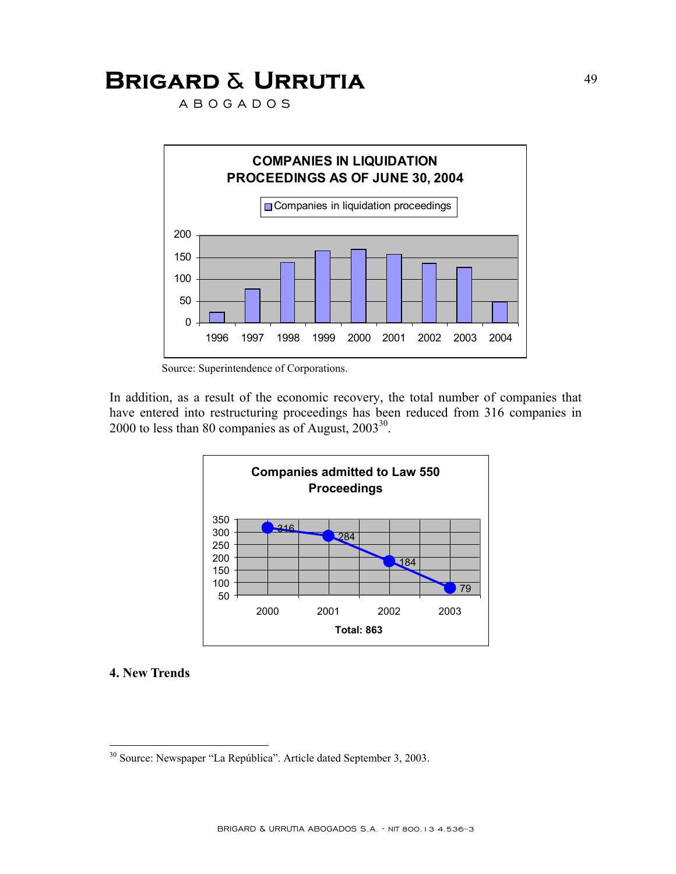A B O G A D O S



Source: Superintendence of Corporations.

In addition, as a result of the economic recovery, the total number of companies that have entered into restructuring proceedings has been reduced from 316 companies in 2000 to less than 80 companies as of August,  $2003^{30}$ .



#### **4. New Trends**

1

<sup>30</sup> Source: Newspaper "La República". Article dated September 3, 2003.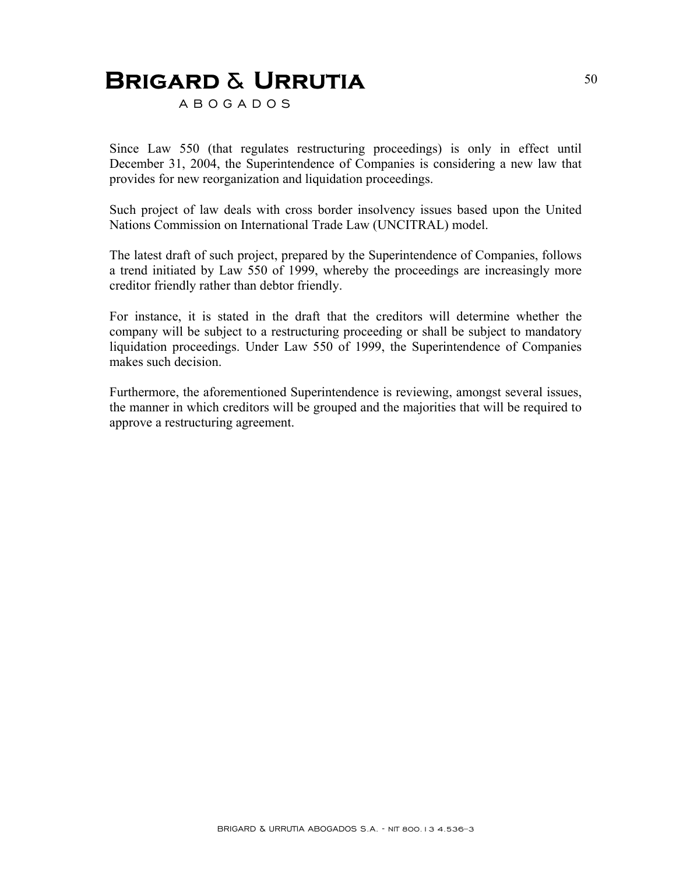A B O G A D O S

Since Law 550 (that regulates restructuring proceedings) is only in effect until December 31, 2004, the Superintendence of Companies is considering a new law that provides for new reorganization and liquidation proceedings.

Such project of law deals with cross border insolvency issues based upon the United Nations Commission on International Trade Law (UNCITRAL) model.

The latest draft of such project, prepared by the Superintendence of Companies, follows a trend initiated by Law 550 of 1999, whereby the proceedings are increasingly more creditor friendly rather than debtor friendly.

For instance, it is stated in the draft that the creditors will determine whether the company will be subject to a restructuring proceeding or shall be subject to mandatory liquidation proceedings. Under Law 550 of 1999, the Superintendence of Companies makes such decision.

Furthermore, the aforementioned Superintendence is reviewing, amongst several issues, the manner in which creditors will be grouped and the majorities that will be required to approve a restructuring agreement.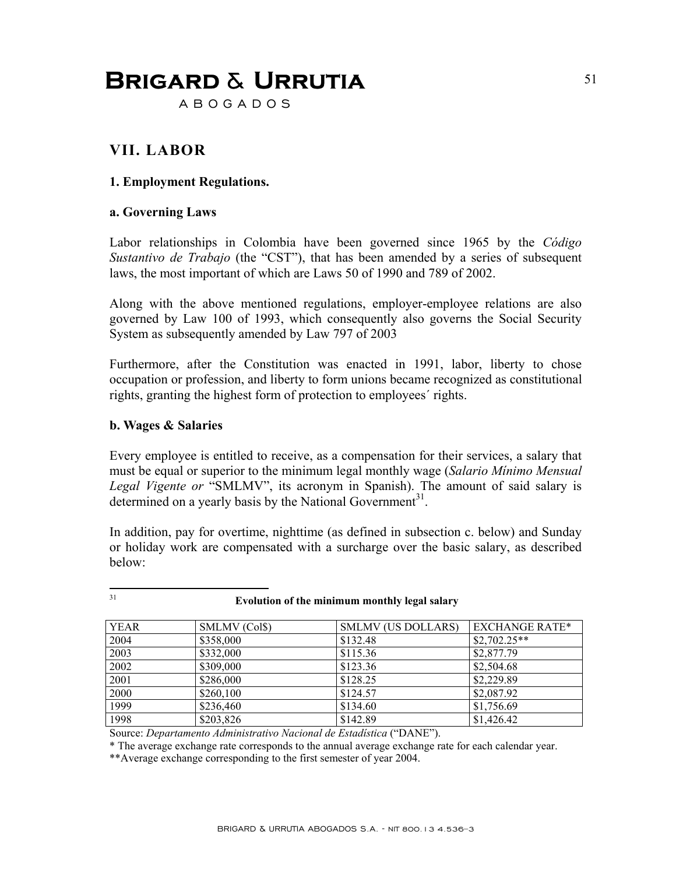A B O G A D O S

### **VII. LABOR**

### **1. Employment Regulations.**

#### **a. Governing Laws**

Labor relationships in Colombia have been governed since 1965 by the *Código Sustantivo de Trabajo* (the "CST"), that has been amended by a series of subsequent laws, the most important of which are Laws 50 of 1990 and 789 of 2002.

Along with the above mentioned regulations, employer-employee relations are also governed by Law 100 of 1993, which consequently also governs the Social Security System as subsequently amended by Law 797 of 2003

Furthermore, after the Constitution was enacted in 1991, labor, liberty to chose occupation or profession, and liberty to form unions became recognized as constitutional rights, granting the highest form of protection to employees´ rights.

#### **b. Wages & Salaries**

 $31$ 

Every employee is entitled to receive, as a compensation for their services, a salary that must be equal or superior to the minimum legal monthly wage (*Salario Mínimo Mensual Legal Vigente or* "SMLMV", its acronym in Spanish). The amount of said salary is determined on a yearly basis by the National Government<sup>31</sup>.

In addition, pay for overtime, nighttime (as defined in subsection c. below) and Sunday or holiday work are compensated with a surcharge over the basic salary, as described below:

| <b>YEAR</b> | SMLMV (Col\$) | <b>SMLMV (US DOLLARS)</b> | <b>EXCHANGE RATE*</b> |
|-------------|---------------|---------------------------|-----------------------|
| 2004        | \$358,000     | \$132.48                  | $$2,702.25**$$        |
| 2003        | \$332,000     | \$115.36                  | \$2,877.79            |
| 2002        | \$309,000     | \$123.36                  | \$2,504.68            |
| 2001        | \$286,000     | \$128.25                  | \$2,229.89            |
| 2000        | \$260,100     | \$124.57                  | \$2,087.92            |
| 1999        | \$236,460     | \$134.60                  | \$1,756.69            |
| 1998        | \$203,826     | \$142.89                  | \$1,426.42            |

31 **Evolution of the minimum monthly legal salary**

Source: *Departamento Administrativo Nacional de Estadística* ("DANE").

\* The average exchange rate corresponds to the annual average exchange rate for each calendar year.

\*\*Average exchange corresponding to the first semester of year 2004.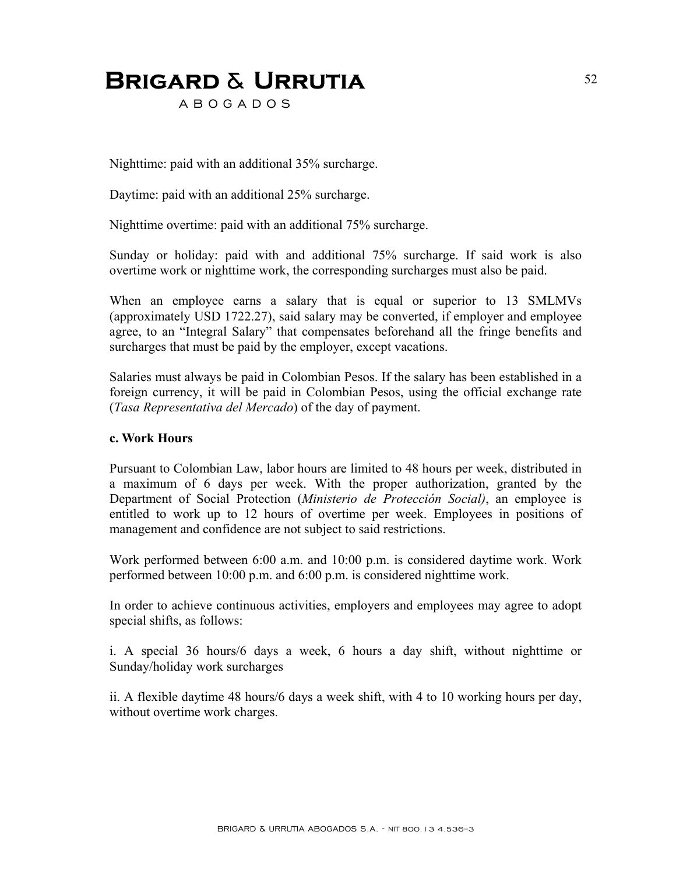A B O G A D O S

Nighttime: paid with an additional 35% surcharge.

Daytime: paid with an additional 25% surcharge.

Nighttime overtime: paid with an additional 75% surcharge.

Sunday or holiday: paid with and additional 75% surcharge. If said work is also overtime work or nighttime work, the corresponding surcharges must also be paid.

When an employee earns a salary that is equal or superior to 13 SMLMVs (approximately USD 1722.27), said salary may be converted, if employer and employee agree, to an "Integral Salary" that compensates beforehand all the fringe benefits and surcharges that must be paid by the employer, except vacations.

Salaries must always be paid in Colombian Pesos. If the salary has been established in a foreign currency, it will be paid in Colombian Pesos, using the official exchange rate (*Tasa Representativa del Mercado*) of the day of payment.

#### **c. Work Hours**

Pursuant to Colombian Law, labor hours are limited to 48 hours per week, distributed in a maximum of 6 days per week. With the proper authorization, granted by the Department of Social Protection (*Ministerio de Protección Social)*, an employee is entitled to work up to 12 hours of overtime per week. Employees in positions of management and confidence are not subject to said restrictions.

Work performed between 6:00 a.m. and 10:00 p.m. is considered daytime work. Work performed between 10:00 p.m. and 6:00 p.m. is considered nighttime work.

In order to achieve continuous activities, employers and employees may agree to adopt special shifts, as follows:

i. A special 36 hours/6 days a week, 6 hours a day shift, without nighttime or Sunday/holiday work surcharges

ii. A flexible daytime 48 hours/6 days a week shift, with 4 to 10 working hours per day, without overtime work charges.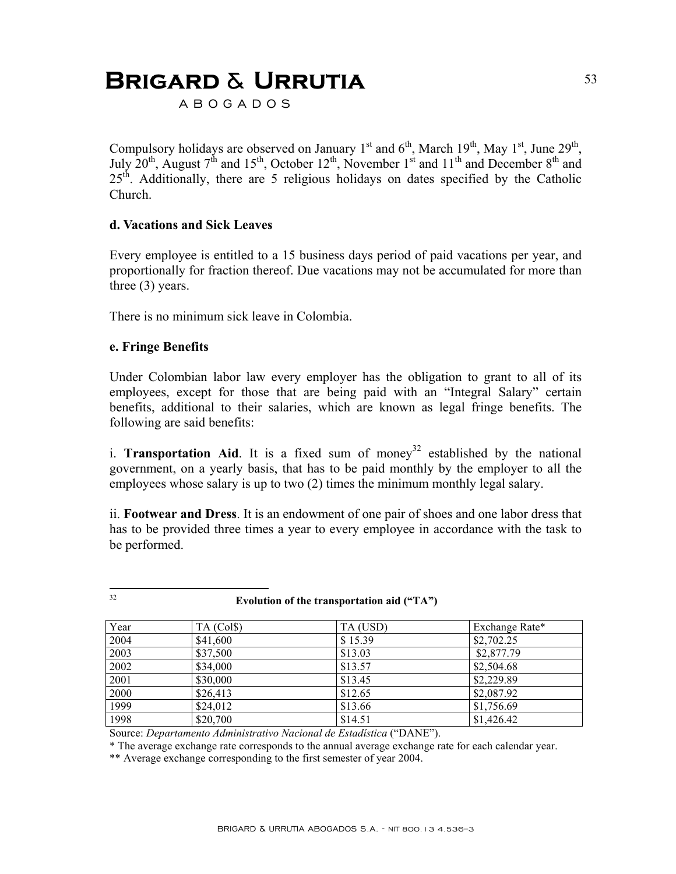A B O G A D O S

Compulsory holidays are observed on January 1<sup>st</sup> and  $6<sup>th</sup>$ , March 19<sup>th</sup>, May 1<sup>st</sup>, June 29<sup>th</sup>, July  $20^{th}$ , August  $7^{th}$  and  $15^{th}$ , October  $12^{th}$ , November  $1^{st}$  and  $11^{th}$  and December  $8^{th}$  and  $25<sup>th</sup>$ . Additionally, there are 5 religious holidays on dates specified by the Catholic Church.

#### **d. Vacations and Sick Leaves**

Every employee is entitled to a 15 business days period of paid vacations per year, and proportionally for fraction thereof. Due vacations may not be accumulated for more than three (3) years.

There is no minimum sick leave in Colombia.

#### **e. Fringe Benefits**

Under Colombian labor law every employer has the obligation to grant to all of its employees, except for those that are being paid with an "Integral Salary" certain benefits, additional to their salaries, which are known as legal fringe benefits. The following are said benefits:

i. **Transportation Aid**. It is a fixed sum of money<sup>32</sup> established by the national government, on a yearly basis, that has to be paid monthly by the employer to all the employees whose salary is up to two (2) times the minimum monthly legal salary.

ii. **Footwear and Dress**. It is an endowment of one pair of shoes and one labor dress that has to be provided three times a year to every employee in accordance with the task to be performed.

| ۱<br>×<br>٩ |
|-------------|

#### Evolution of the transportation aid ("TA")

| Year | TA (Col\$) | TA (USD) | Exchange Rate* |
|------|------------|----------|----------------|
| 2004 | \$41,600   | \$15.39  | \$2,702.25     |
| 2003 | \$37,500   | \$13.03  | \$2,877.79     |
| 2002 | \$34,000   | \$13.57  | \$2,504.68     |
| 2001 | \$30,000   | \$13.45  | \$2,229.89     |
| 2000 | \$26,413   | \$12.65  | \$2,087.92     |
| 1999 | \$24,012   | \$13.66  | \$1,756.69     |
| 1998 | \$20,700   | \$14.51  | \$1,426.42     |

Source: *Departamento Administrativo Nacional de Estadística* ("DANE").

\* The average exchange rate corresponds to the annual average exchange rate for each calendar year.

\*\* Average exchange corresponding to the first semester of year 2004.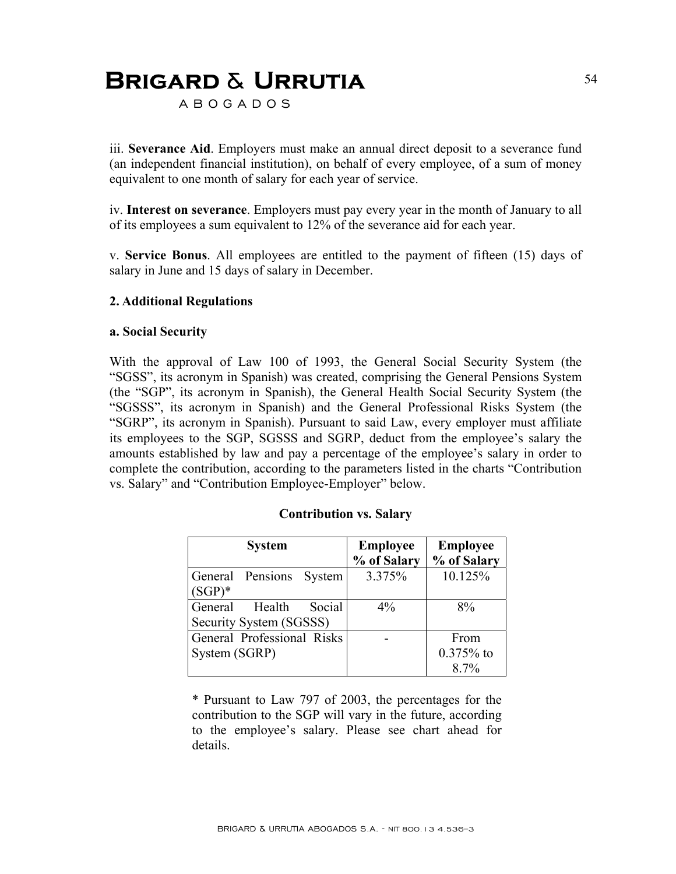A B O G A D O S

iii. **Severance Aid**. Employers must make an annual direct deposit to a severance fund (an independent financial institution), on behalf of every employee, of a sum of money equivalent to one month of salary for each year of service.

iv. **Interest on severance**. Employers must pay every year in the month of January to all of its employees a sum equivalent to 12% of the severance aid for each year.

v. **Service Bonus**. All employees are entitled to the payment of fifteen (15) days of salary in June and 15 days of salary in December.

#### **2. Additional Regulations**

#### **a. Social Security**

With the approval of Law 100 of 1993, the General Social Security System (the "SGSS", its acronym in Spanish) was created, comprising the General Pensions System (the "SGP", its acronym in Spanish), the General Health Social Security System (the "SGSSS", its acronym in Spanish) and the General Professional Risks System (the "SGRP", its acronym in Spanish). Pursuant to said Law, every employer must affiliate its employees to the SGP, SGSSS and SGRP, deduct from the employee's salary the amounts established by law and pay a percentage of the employee's salary in order to complete the contribution, according to the parameters listed in the charts "Contribution vs. Salary" and "Contribution Employee-Employer" below.

| <b>System</b>                                          | <b>Employee</b> | <b>Employee</b>     |  |
|--------------------------------------------------------|-----------------|---------------------|--|
|                                                        | % of Salary     | % of Salary         |  |
| General Pensions<br>System<br>$(SGP)^*$                | 3.375%          | 10.125%             |  |
| Social<br>General<br>Health<br>Security System (SGSSS) | $4\%$           | 8%                  |  |
| General Professional Risks<br>System (SGRP)            |                 | From<br>$0.375%$ to |  |
|                                                        |                 | $8.7\%$             |  |

#### **Contribution vs. Salary**

\* Pursuant to Law 797 of 2003, the percentages for the contribution to the SGP will vary in the future, according to the employee's salary. Please see chart ahead for details.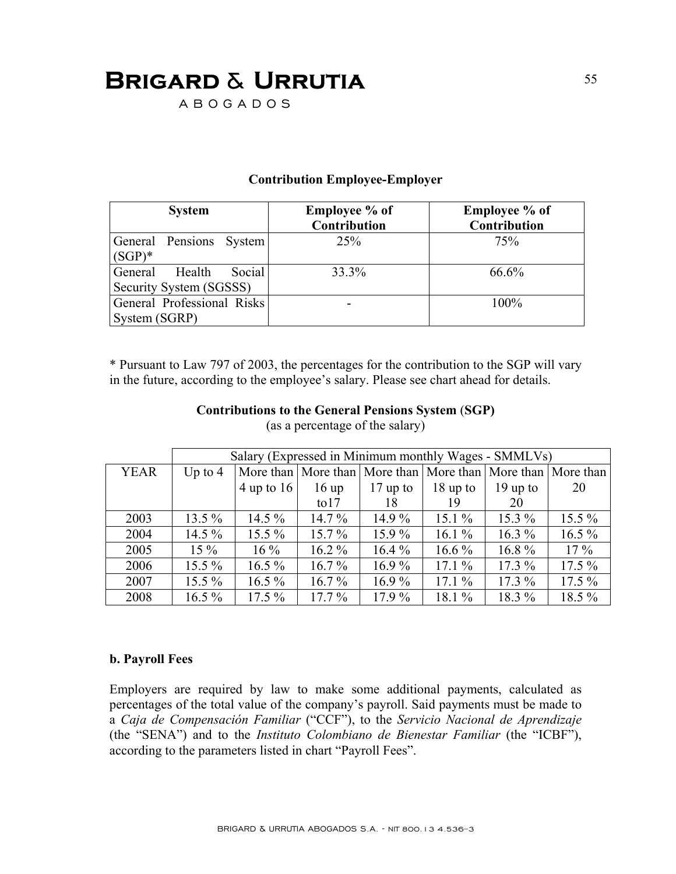A B O G A D O S

### **Contribution Employee-Employer**

| <b>System</b>                                          | <b>Employee</b> % of<br><b>Contribution</b> | <b>Employee</b> % of<br><b>Contribution</b> |
|--------------------------------------------------------|---------------------------------------------|---------------------------------------------|
| General Pensions System<br>$(SGP)^*$                   | 25%                                         | 75%                                         |
| General<br>Health<br>Social<br>Security System (SGSSS) | 33.3%                                       | 66.6%                                       |
| General Professional Risks<br>System (SGRP)            |                                             | 100%                                        |

\* Pursuant to Law 797 of 2003, the percentages for the contribution to the SGP will vary in the future, according to the employee's salary. Please see chart ahead for details.

| (as a percentage of the salary) |                                                      |              |                |            |            |                                                             |          |
|---------------------------------|------------------------------------------------------|--------------|----------------|------------|------------|-------------------------------------------------------------|----------|
|                                 | Salary (Expressed in Minimum monthly Wages - SMMLVs) |              |                |            |            |                                                             |          |
| <b>YEAR</b>                     | Up to $4$                                            |              |                |            |            | More than More than More than More than More than More than |          |
|                                 |                                                      | $4$ up to 16 | 16 up          | $17$ up to | $18$ up to | $19$ up to                                                  | 20       |
|                                 |                                                      |              | $\frac{1}{10}$ | 18         | 19         | 20                                                          |          |
| 2003                            | $13.5\%$                                             | $14.5\%$     | $14.7\%$       | $14.9\%$   | $15.1\%$   | $15.3\%$                                                    | $15.5\%$ |
| 2004                            | $14.5\%$                                             | $15.5\%$     | $15.7\%$       | $15.9\%$   | $16.1\%$   | $16.3\%$                                                    | $16.5\%$ |
| 2005                            | $15\%$                                               | $16\%$       | $16.2\%$       | $16.4\%$   | $16.6\%$   | 16.8%                                                       | $17\%$   |
| 2006                            | $15.5\%$                                             | $16.5\%$     | $16.7\%$       | $16.9\%$   | $17.1\%$   | $17.3\%$                                                    | $17.5\%$ |
| 2007                            | $15.5\%$                                             | $16.5\%$     | $16.7\%$       | $16.9\%$   | $17.1\%$   | $17.3\%$                                                    | $17.5\%$ |
| 2008                            | $16.5\%$                                             | $17.5\%$     | $17.7\%$       | $17.9\%$   | $18.1\%$   | 18.3 %                                                      | 18.5 %   |

#### **Contributions to the General Pensions System** (**SGP)**   $(\cos \theta)$  percentage of the salary)

### **b. Payroll Fees**

Employers are required by law to make some additional payments, calculated as percentages of the total value of the company's payroll. Said payments must be made to a *Caja de Compensación Familiar* ("CCF"), to the *Servicio Nacional de Aprendizaje* (the "SENA") and to the *Instituto Colombiano de Bienestar Familiar* (the "ICBF"), according to the parameters listed in chart "Payroll Fees".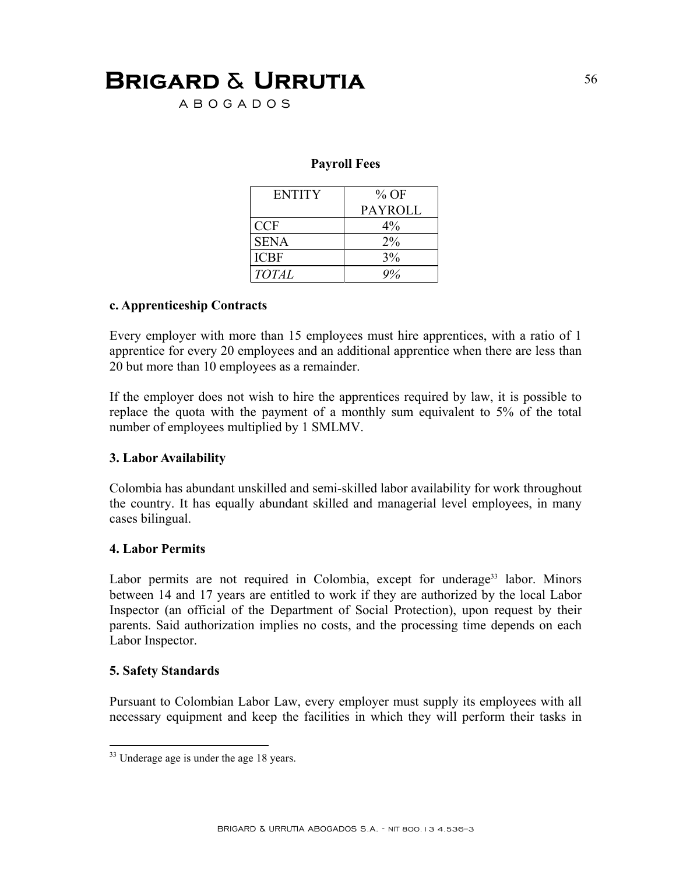A B O G A D O S

#### **Payroll Fees**

| <b>ENTITY</b> | $%$ OF         |
|---------------|----------------|
|               | <b>PAYROLL</b> |
| <b>CCF</b>    | $4\%$          |
| <b>SENA</b>   | 2%             |
| <b>ICBF</b>   | 3%             |
| <b>TOTAL</b>  |                |

#### **c. Apprenticeship Contracts**

Every employer with more than 15 employees must hire apprentices, with a ratio of 1 apprentice for every 20 employees and an additional apprentice when there are less than 20 but more than 10 employees as a remainder.

If the employer does not wish to hire the apprentices required by law, it is possible to replace the quota with the payment of a monthly sum equivalent to 5% of the total number of employees multiplied by 1 SMLMV.

#### **3. Labor Availability**

Colombia has abundant unskilled and semi-skilled labor availability for work throughout the country. It has equally abundant skilled and managerial level employees, in many cases bilingual.

#### **4. Labor Permits**

Labor permits are not required in Colombia, except for underage<sup>33</sup> labor. Minors between 14 and 17 years are entitled to work if they are authorized by the local Labor Inspector (an official of the Department of Social Protection), upon request by their parents. Said authorization implies no costs, and the processing time depends on each Labor Inspector.

#### **5. Safety Standards**

1

Pursuant to Colombian Labor Law, every employer must supply its employees with all necessary equipment and keep the facilities in which they will perform their tasks in

<sup>&</sup>lt;sup>33</sup> Underage age is under the age 18 years.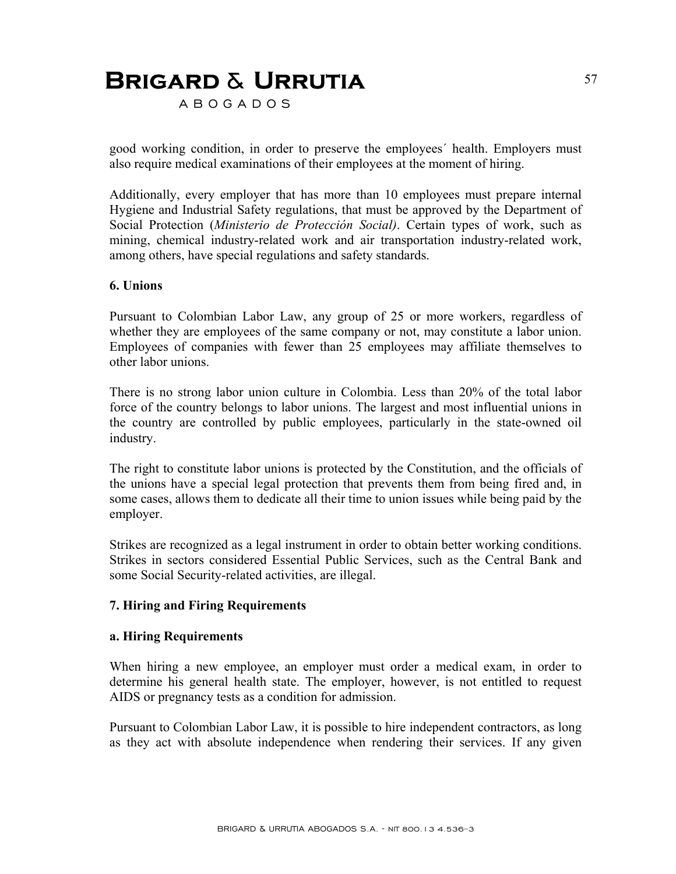A B O G A D O S

good working condition, in order to preserve the employees´ health. Employers must also require medical examinations of their employees at the moment of hiring.

Additionally, every employer that has more than 10 employees must prepare internal Hygiene and Industrial Safety regulations, that must be approved by the Department of Social Protection (*Ministerio de Protección Social)*. Certain types of work, such as mining, chemical industry-related work and air transportation industry-related work, among others, have special regulations and safety standards.

#### **6. Unions**

Pursuant to Colombian Labor Law, any group of 25 or more workers, regardless of whether they are employees of the same company or not, may constitute a labor union. Employees of companies with fewer than 25 employees may affiliate themselves to other labor unions.

There is no strong labor union culture in Colombia. Less than 20% of the total labor force of the country belongs to labor unions. The largest and most influential unions in the country are controlled by public employees, particularly in the state-owned oil industry.

The right to constitute labor unions is protected by the Constitution, and the officials of the unions have a special legal protection that prevents them from being fired and, in some cases, allows them to dedicate all their time to union issues while being paid by the employer.

Strikes are recognized as a legal instrument in order to obtain better working conditions. Strikes in sectors considered Essential Public Services, such as the Central Bank and some Social Security-related activities, are illegal.

#### **7. Hiring and Firing Requirements**

#### **a. Hiring Requirements**

When hiring a new employee, an employer must order a medical exam, in order to determine his general health state. The employer, however, is not entitled to request AIDS or pregnancy tests as a condition for admission.

Pursuant to Colombian Labor Law, it is possible to hire independent contractors, as long as they act with absolute independence when rendering their services. If any given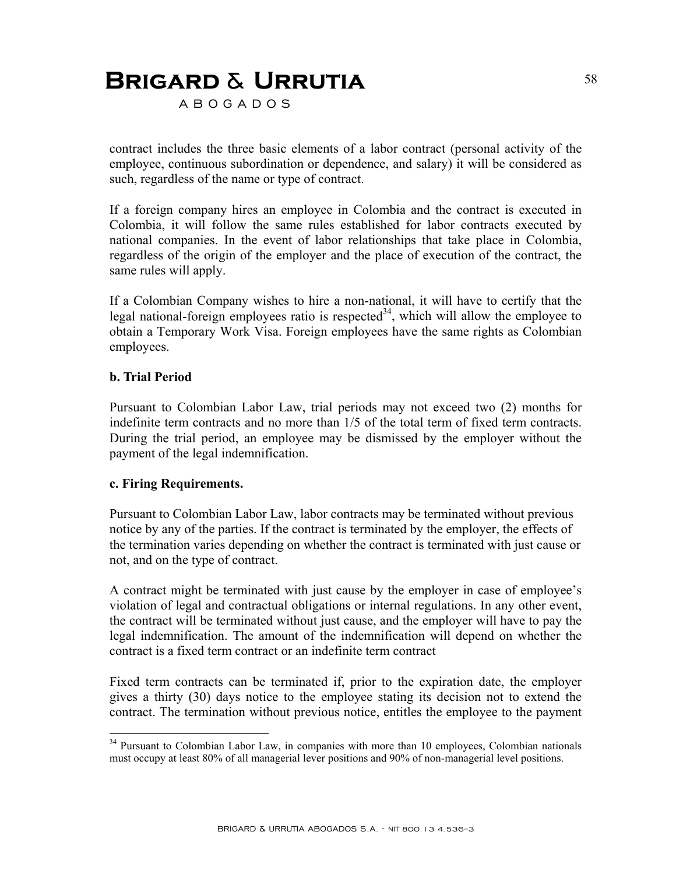A B O G A D O S

contract includes the three basic elements of a labor contract (personal activity of the employee, continuous subordination or dependence, and salary) it will be considered as such, regardless of the name or type of contract.

If a foreign company hires an employee in Colombia and the contract is executed in Colombia, it will follow the same rules established for labor contracts executed by national companies. In the event of labor relationships that take place in Colombia, regardless of the origin of the employer and the place of execution of the contract, the same rules will apply.

If a Colombian Company wishes to hire a non-national, it will have to certify that the legal national-foreign employees ratio is respected<sup>34</sup>, which will allow the employee to obtain a Temporary Work Visa. Foreign employees have the same rights as Colombian employees.

#### **b. Trial Period**

<u>.</u>

Pursuant to Colombian Labor Law, trial periods may not exceed two (2) months for indefinite term contracts and no more than 1/5 of the total term of fixed term contracts. During the trial period, an employee may be dismissed by the employer without the payment of the legal indemnification.

#### **c. Firing Requirements.**

Pursuant to Colombian Labor Law, labor contracts may be terminated without previous notice by any of the parties. If the contract is terminated by the employer, the effects of the termination varies depending on whether the contract is terminated with just cause or not, and on the type of contract.

A contract might be terminated with just cause by the employer in case of employee's violation of legal and contractual obligations or internal regulations. In any other event, the contract will be terminated without just cause, and the employer will have to pay the legal indemnification. The amount of the indemnification will depend on whether the contract is a fixed term contract or an indefinite term contract

Fixed term contracts can be terminated if, prior to the expiration date, the employer gives a thirty (30) days notice to the employee stating its decision not to extend the contract. The termination without previous notice, entitles the employee to the payment

<sup>&</sup>lt;sup>34</sup> Pursuant to Colombian Labor Law, in companies with more than 10 employees, Colombian nationals must occupy at least 80% of all managerial lever positions and 90% of non-managerial level positions.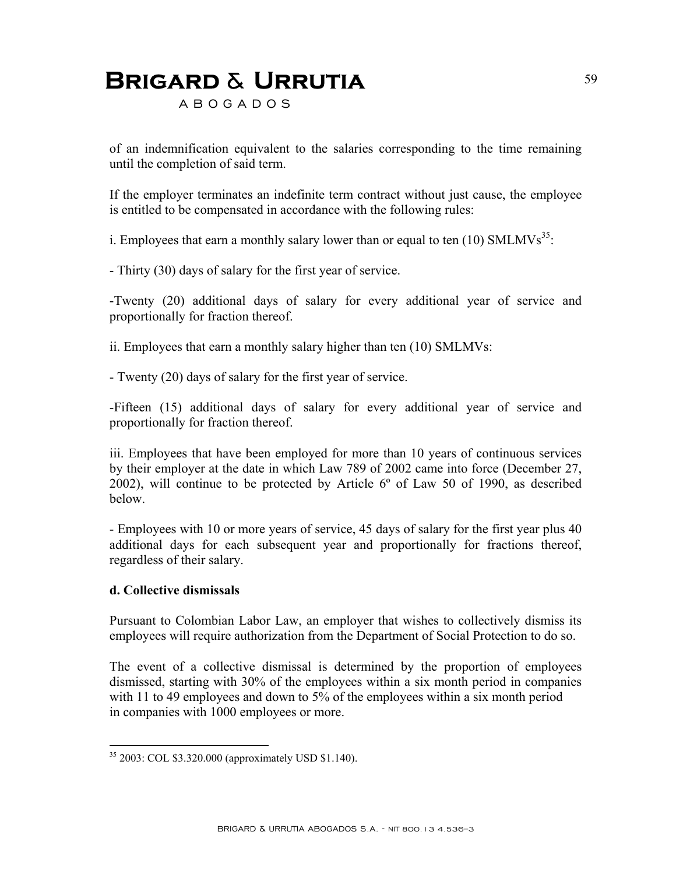A B O G A D O S

of an indemnification equivalent to the salaries corresponding to the time remaining until the completion of said term.

If the employer terminates an indefinite term contract without just cause, the employee is entitled to be compensated in accordance with the following rules:

i. Employees that earn a monthly salary lower than or equal to ten (10)  $SMLMVs<sup>35</sup>$ .

- Thirty (30) days of salary for the first year of service.

-Twenty (20) additional days of salary for every additional year of service and proportionally for fraction thereof.

ii. Employees that earn a monthly salary higher than ten (10) SMLMVs:

- Twenty (20) days of salary for the first year of service.

-Fifteen (15) additional days of salary for every additional year of service and proportionally for fraction thereof.

iii. Employees that have been employed for more than 10 years of continuous services by their employer at the date in which Law 789 of 2002 came into force (December 27, 2002), will continue to be protected by Article 6º of Law 50 of 1990, as described below.

- Employees with 10 or more years of service, 45 days of salary for the first year plus 40 additional days for each subsequent year and proportionally for fractions thereof, regardless of their salary.

#### **d. Collective dismissals**

1

Pursuant to Colombian Labor Law, an employer that wishes to collectively dismiss its employees will require authorization from the Department of Social Protection to do so.

The event of a collective dismissal is determined by the proportion of employees dismissed, starting with 30% of the employees within a six month period in companies with 11 to 49 employees and down to 5% of the employees within a six month period in companies with 1000 employees or more.

<sup>35 2003:</sup> COL \$3.320.000 (approximately USD \$1.140).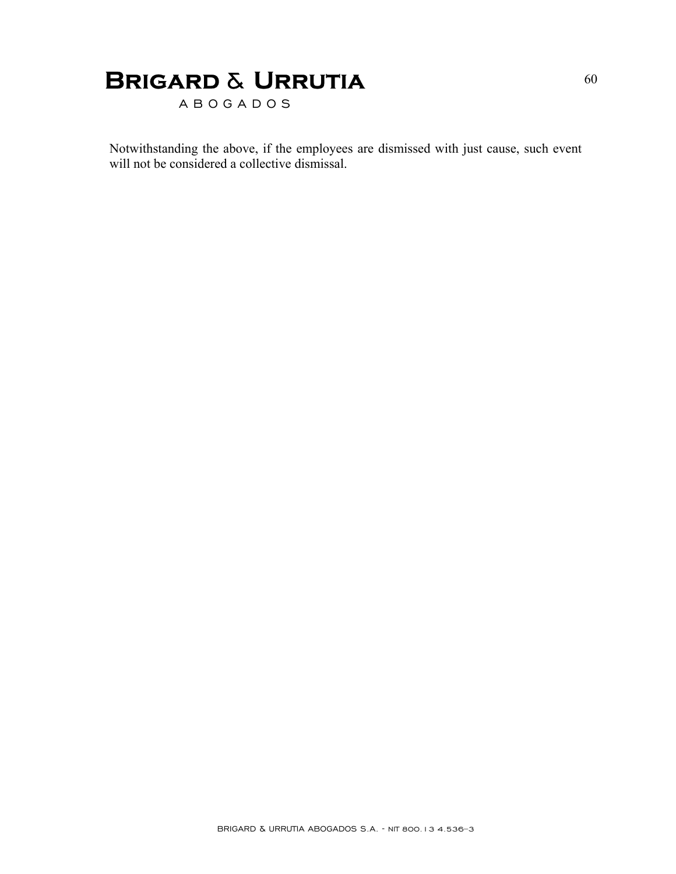A B O G A D O S

Notwithstanding the above, if the employees are dismissed with just cause, such event will not be considered a collective dismissal.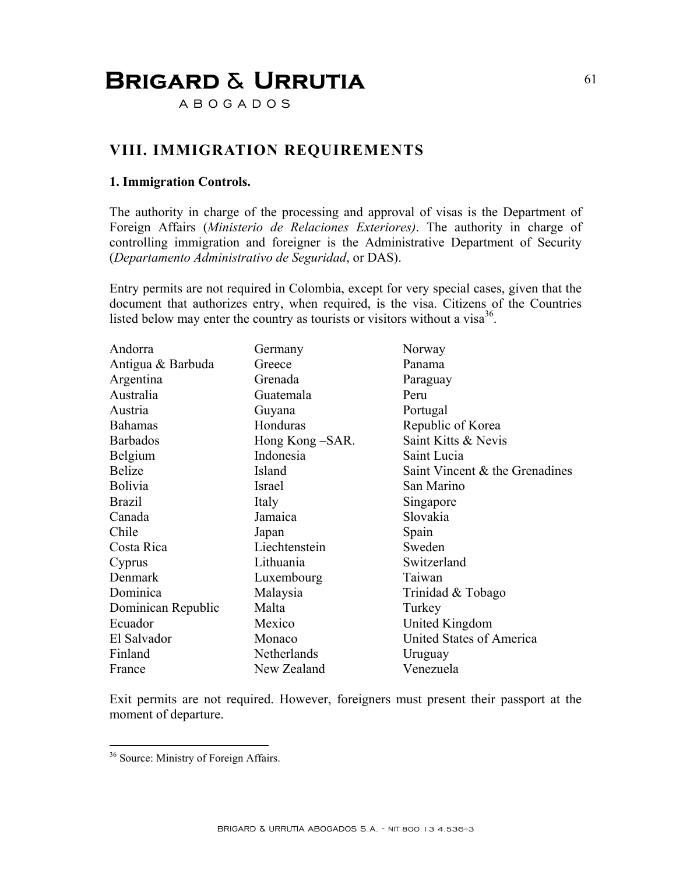A B O G A D O S

### **VIII. IMMIGRATION REQUIREMENTS**

#### **1. Immigration Controls.**

The authority in charge of the processing and approval of visas is the Department of Foreign Affairs (*Ministerio de Relaciones Exteriores)*. The authority in charge of controlling immigration and foreigner is the Administrative Department of Security (*Departamento Administrativo de Seguridad*, or DAS).

Entry permits are not required in Colombia, except for very special cases, given that the document that authorizes entry, when required, is the visa. Citizens of the Countries listed below may enter the country as tourists or visitors without a visa $^{36}$ .

| Andorra            | Germany          | Norway                            |
|--------------------|------------------|-----------------------------------|
| Antigua & Barbuda  | Greece           | Panama                            |
| Argentina          | Grenada          | Paraguay                          |
| Australia          | Guatemala        | Peru                              |
| Austria            | Guyana           | Portugal                          |
| <b>Bahamas</b>     | Honduras         | Republic of Korea                 |
| <b>Barbados</b>    | Hong Kong – SAR. | Saint Kitts & Nevis               |
| Belgium            | Indonesia        | Saint Lucia                       |
| <b>Belize</b>      | Island           | Saint Vincent $\&$ the Grenadines |
| Bolivia            | Israel           | San Marino                        |
| <b>Brazil</b>      | Italy            | Singapore                         |
| Canada             | Jamaica          | Slovakia                          |
| Chile              | Japan            | Spain                             |
| Costa Rica         | Liechtenstein    | Sweden                            |
| Cyprus             | Lithuania        | Switzerland                       |
| Denmark            | Luxembourg       | Taiwan                            |
| Dominica           | Malaysia         | Trinidad & Tobago                 |
| Dominican Republic | Malta            | Turkey                            |
| Ecuador            | Mexico           | United Kingdom                    |
| El Salvador        | Monaco           | United States of America          |
| Finland            | Netherlands      | Uruguay                           |
| France             | New Zealand      | Venezuela                         |

Exit permits are not required. However, foreigners must present their passport at the moment of departure.

1

BRIGARD & URRUTIA ABOGADOS S.A. - NIT 800.13 4.536–3

<sup>&</sup>lt;sup>36</sup> Source: Ministry of Foreign Affairs.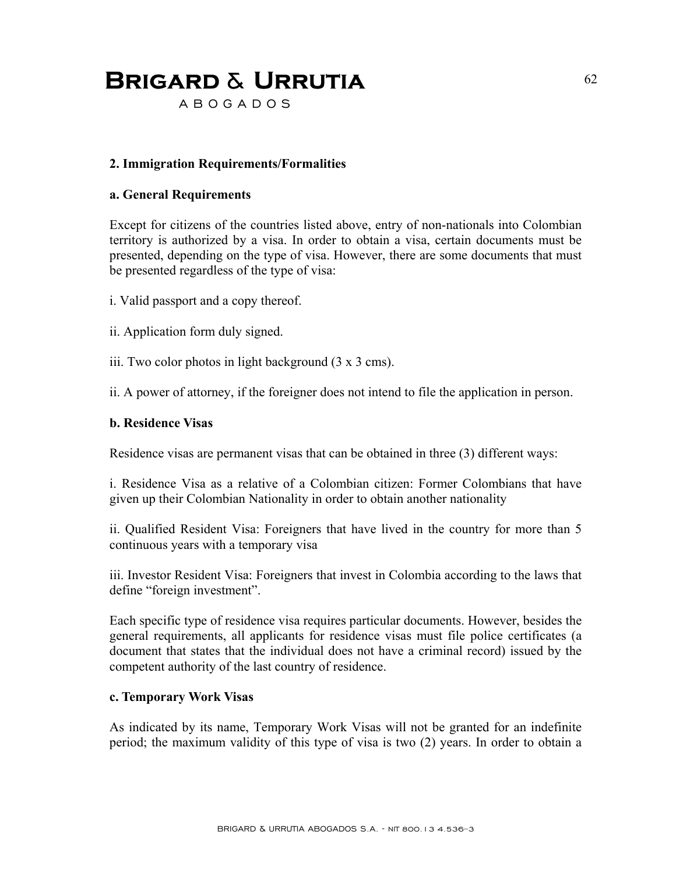A B O G A D O S

### **2. Immigration Requirements/Formalities**

#### **a. General Requirements**

Except for citizens of the countries listed above, entry of non-nationals into Colombian territory is authorized by a visa. In order to obtain a visa, certain documents must be presented, depending on the type of visa. However, there are some documents that must be presented regardless of the type of visa:

i. Valid passport and a copy thereof.

ii. Application form duly signed.

iii. Two color photos in light background (3 x 3 cms).

ii. A power of attorney, if the foreigner does not intend to file the application in person.

#### **b. Residence Visas**

Residence visas are permanent visas that can be obtained in three (3) different ways:

i. Residence Visa as a relative of a Colombian citizen: Former Colombians that have given up their Colombian Nationality in order to obtain another nationality

ii. Qualified Resident Visa: Foreigners that have lived in the country for more than 5 continuous years with a temporary visa

iii. Investor Resident Visa: Foreigners that invest in Colombia according to the laws that define "foreign investment".

Each specific type of residence visa requires particular documents. However, besides the general requirements, all applicants for residence visas must file police certificates (a document that states that the individual does not have a criminal record) issued by the competent authority of the last country of residence.

#### **c. Temporary Work Visas**

As indicated by its name, Temporary Work Visas will not be granted for an indefinite period; the maximum validity of this type of visa is two (2) years. In order to obtain a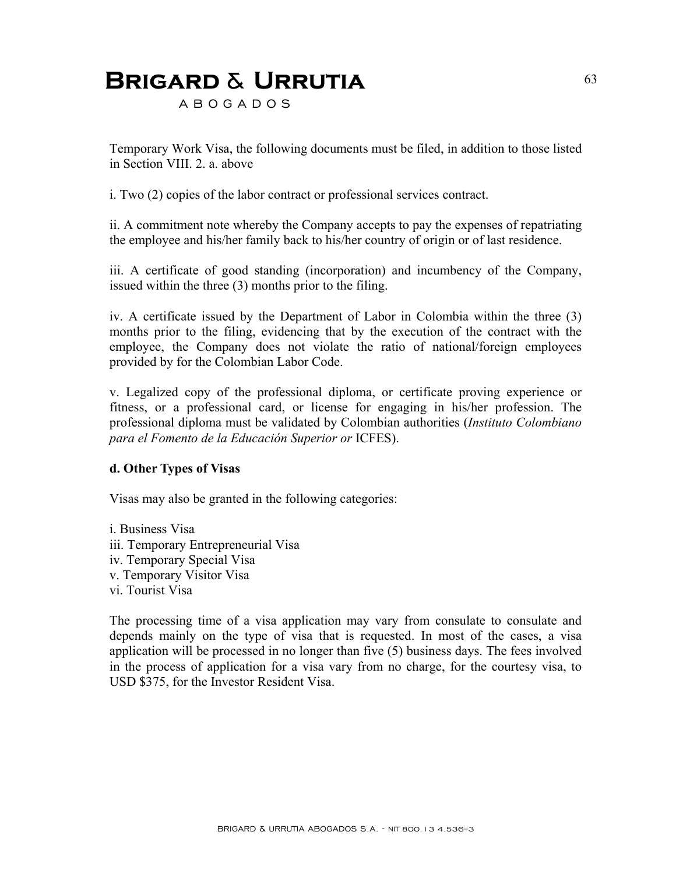A B O G A D O S

Temporary Work Visa, the following documents must be filed, in addition to those listed in Section VIII. 2. a. above

i. Two (2) copies of the labor contract or professional services contract.

ii. A commitment note whereby the Company accepts to pay the expenses of repatriating the employee and his/her family back to his/her country of origin or of last residence.

iii. A certificate of good standing (incorporation) and incumbency of the Company, issued within the three (3) months prior to the filing.

iv. A certificate issued by the Department of Labor in Colombia within the three (3) months prior to the filing, evidencing that by the execution of the contract with the employee, the Company does not violate the ratio of national/foreign employees provided by for the Colombian Labor Code.

v. Legalized copy of the professional diploma, or certificate proving experience or fitness, or a professional card, or license for engaging in his/her profession. The professional diploma must be validated by Colombian authorities (*Instituto Colombiano para el Fomento de la Educación Superior or* ICFES).

#### **d. Other Types of Visas**

Visas may also be granted in the following categories:

i. Business Visa iii. Temporary Entrepreneurial Visa iv. Temporary Special Visa v. Temporary Visitor Visa vi. Tourist Visa

The processing time of a visa application may vary from consulate to consulate and depends mainly on the type of visa that is requested. In most of the cases, a visa application will be processed in no longer than five (5) business days. The fees involved in the process of application for a visa vary from no charge, for the courtesy visa, to USD \$375, for the Investor Resident Visa.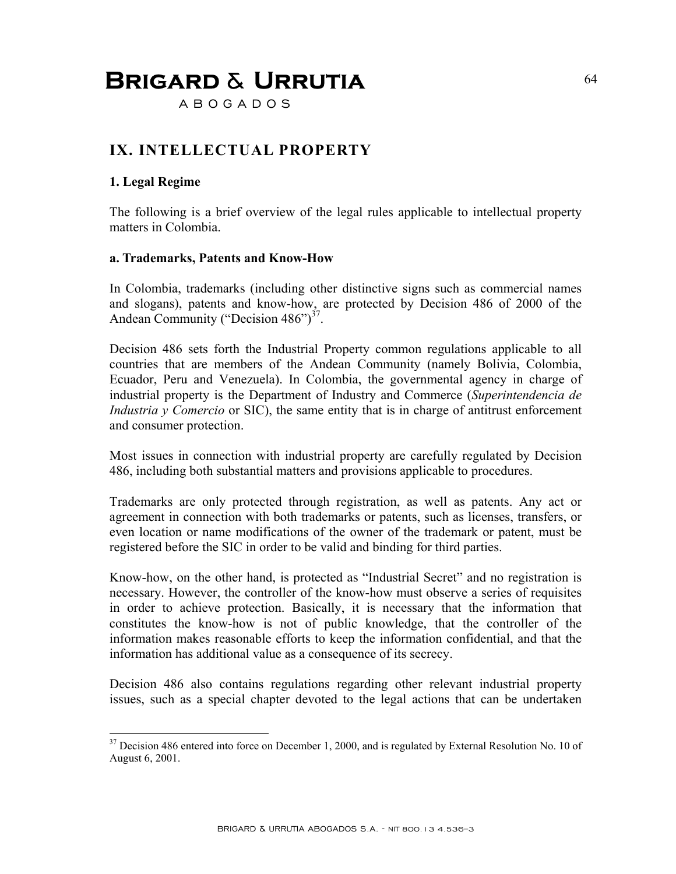A B O G A D O S

### **IX. INTELLECTUAL PROPERTY**

### **1. Legal Regime**

<u>.</u>

The following is a brief overview of the legal rules applicable to intellectual property matters in Colombia.

#### **a. Trademarks, Patents and Know-How**

In Colombia, trademarks (including other distinctive signs such as commercial names and slogans), patents and know-how, are protected by Decision 486 of 2000 of the Andean Community ("Decision  $486$ ")<sup>37</sup>.

Decision 486 sets forth the Industrial Property common regulations applicable to all countries that are members of the Andean Community (namely Bolivia, Colombia, Ecuador, Peru and Venezuela). In Colombia, the governmental agency in charge of industrial property is the Department of Industry and Commerce (*Superintendencia de Industria y Comercio* or SIC), the same entity that is in charge of antitrust enforcement and consumer protection.

Most issues in connection with industrial property are carefully regulated by Decision 486, including both substantial matters and provisions applicable to procedures.

Trademarks are only protected through registration, as well as patents. Any act or agreement in connection with both trademarks or patents, such as licenses, transfers, or even location or name modifications of the owner of the trademark or patent, must be registered before the SIC in order to be valid and binding for third parties.

Know-how, on the other hand, is protected as "Industrial Secret" and no registration is necessary. However, the controller of the know-how must observe a series of requisites in order to achieve protection. Basically, it is necessary that the information that constitutes the know-how is not of public knowledge, that the controller of the information makes reasonable efforts to keep the information confidential, and that the information has additional value as a consequence of its secrecy.

Decision 486 also contains regulations regarding other relevant industrial property issues, such as a special chapter devoted to the legal actions that can be undertaken

 $37$  Decision 486 entered into force on December 1, 2000, and is regulated by External Resolution No. 10 of August 6, 2001.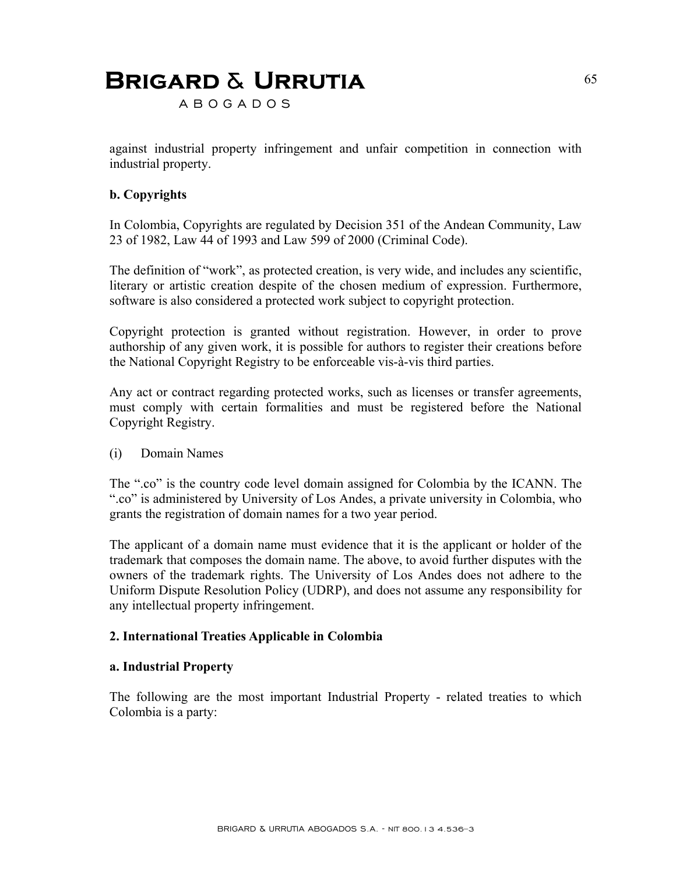A B O G A D O S

against industrial property infringement and unfair competition in connection with industrial property.

### **b. Copyrights**

In Colombia, Copyrights are regulated by Decision 351 of the Andean Community, Law 23 of 1982, Law 44 of 1993 and Law 599 of 2000 (Criminal Code).

The definition of "work", as protected creation, is very wide, and includes any scientific, literary or artistic creation despite of the chosen medium of expression. Furthermore, software is also considered a protected work subject to copyright protection.

Copyright protection is granted without registration. However, in order to prove authorship of any given work, it is possible for authors to register their creations before the National Copyright Registry to be enforceable vis-à-vis third parties.

Any act or contract regarding protected works, such as licenses or transfer agreements, must comply with certain formalities and must be registered before the National Copyright Registry.

(i) Domain Names

The ".co" is the country code level domain assigned for Colombia by the ICANN. The ".co" is administered by University of Los Andes, a private university in Colombia, who grants the registration of domain names for a two year period.

The applicant of a domain name must evidence that it is the applicant or holder of the trademark that composes the domain name. The above, to avoid further disputes with the owners of the trademark rights. The University of Los Andes does not adhere to the Uniform Dispute Resolution Policy (UDRP), and does not assume any responsibility for any intellectual property infringement.

#### **2. International Treaties Applicable in Colombia**

#### **a. Industrial Property**

The following are the most important Industrial Property - related treaties to which Colombia is a party: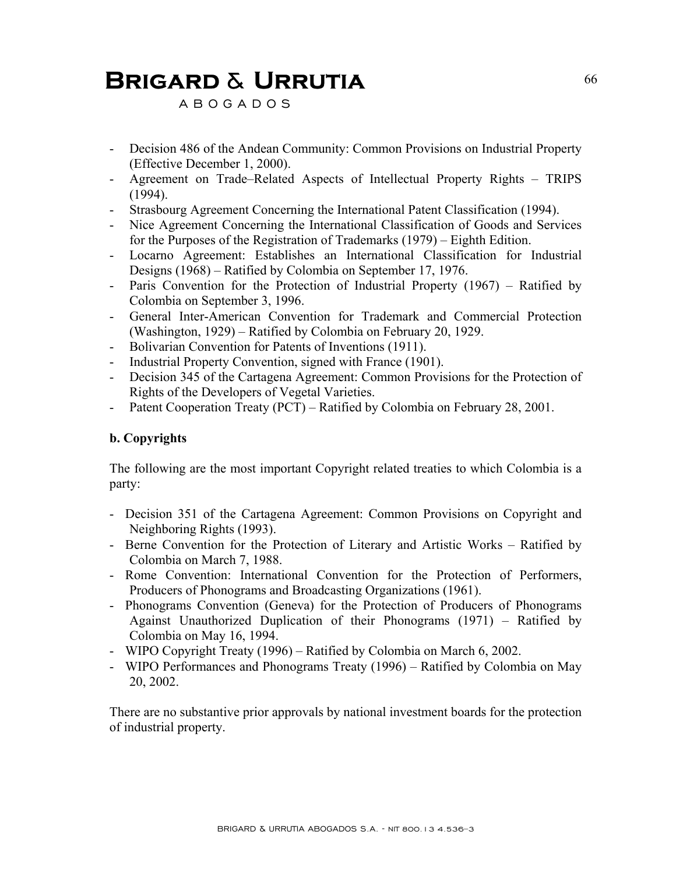A B O G A D O S

- Decision 486 of the Andean Community: Common Provisions on Industrial Property (Effective December 1, 2000).
- Agreement on Trade–Related Aspects of Intellectual Property Rights TRIPS (1994).
- Strasbourg Agreement Concerning the International Patent Classification (1994).
- Nice Agreement Concerning the International Classification of Goods and Services for the Purposes of the Registration of Trademarks (1979) – Eighth Edition.
- Locarno Agreement: Establishes an International Classification for Industrial Designs (1968) – Ratified by Colombia on September 17, 1976.
- Paris Convention for the Protection of Industrial Property (1967) Ratified by Colombia on September 3, 1996.
- General Inter-American Convention for Trademark and Commercial Protection (Washington, 1929) – Ratified by Colombia on February 20, 1929.
- Bolivarian Convention for Patents of Inventions (1911).
- Industrial Property Convention, signed with France (1901).
- Decision 345 of the Cartagena Agreement: Common Provisions for the Protection of Rights of the Developers of Vegetal Varieties.
- Patent Cooperation Treaty (PCT) Ratified by Colombia on February 28, 2001.

### **b. Copyrights**

The following are the most important Copyright related treaties to which Colombia is a party:

- Decision 351 of the Cartagena Agreement: Common Provisions on Copyright and Neighboring Rights (1993).
- Berne Convention for the Protection of Literary and Artistic Works Ratified by Colombia on March 7, 1988.
- Rome Convention: International Convention for the Protection of Performers, Producers of Phonograms and Broadcasting Organizations (1961).
- Phonograms Convention (Geneva) for the Protection of Producers of Phonograms Against Unauthorized Duplication of their Phonograms (1971) – Ratified by Colombia on May 16, 1994.
- WIPO Copyright Treaty (1996) Ratified by Colombia on March 6, 2002.
- WIPO Performances and Phonograms Treaty (1996) Ratified by Colombia on May 20, 2002.

There are no substantive prior approvals by national investment boards for the protection of industrial property.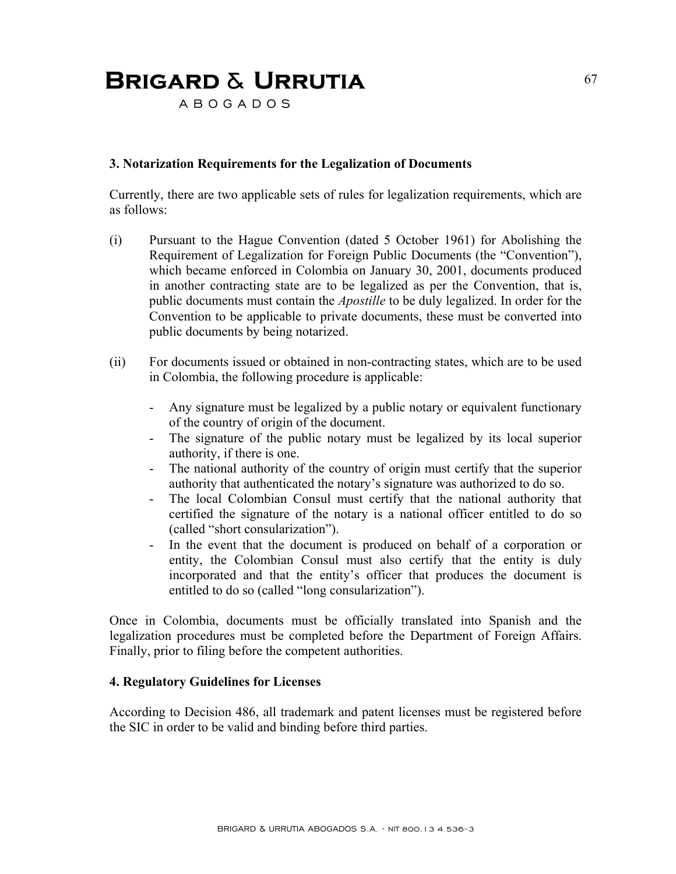A B O G A D O S

#### **3. Notarization Requirements for the Legalization of Documents**

Currently, there are two applicable sets of rules for legalization requirements, which are as follows:

- (i) Pursuant to the Hague Convention (dated 5 October 1961) for Abolishing the Requirement of Legalization for Foreign Public Documents (the "Convention"), which became enforced in Colombia on January 30, 2001, documents produced in another contracting state are to be legalized as per the Convention, that is, public documents must contain the *Apostille* to be duly legalized. In order for the Convention to be applicable to private documents, these must be converted into public documents by being notarized.
- (ii) For documents issued or obtained in non-contracting states, which are to be used in Colombia, the following procedure is applicable:
	- Any signature must be legalized by a public notary or equivalent functionary of the country of origin of the document.
	- The signature of the public notary must be legalized by its local superior authority, if there is one.
	- The national authority of the country of origin must certify that the superior authority that authenticated the notary's signature was authorized to do so.
	- The local Colombian Consul must certify that the national authority that certified the signature of the notary is a national officer entitled to do so (called "short consularization").
	- In the event that the document is produced on behalf of a corporation or entity, the Colombian Consul must also certify that the entity is duly incorporated and that the entity's officer that produces the document is entitled to do so (called "long consularization").

Once in Colombia, documents must be officially translated into Spanish and the legalization procedures must be completed before the Department of Foreign Affairs. Finally, prior to filing before the competent authorities.

#### **4. Regulatory Guidelines for Licenses**

According to Decision 486, all trademark and patent licenses must be registered before the SIC in order to be valid and binding before third parties.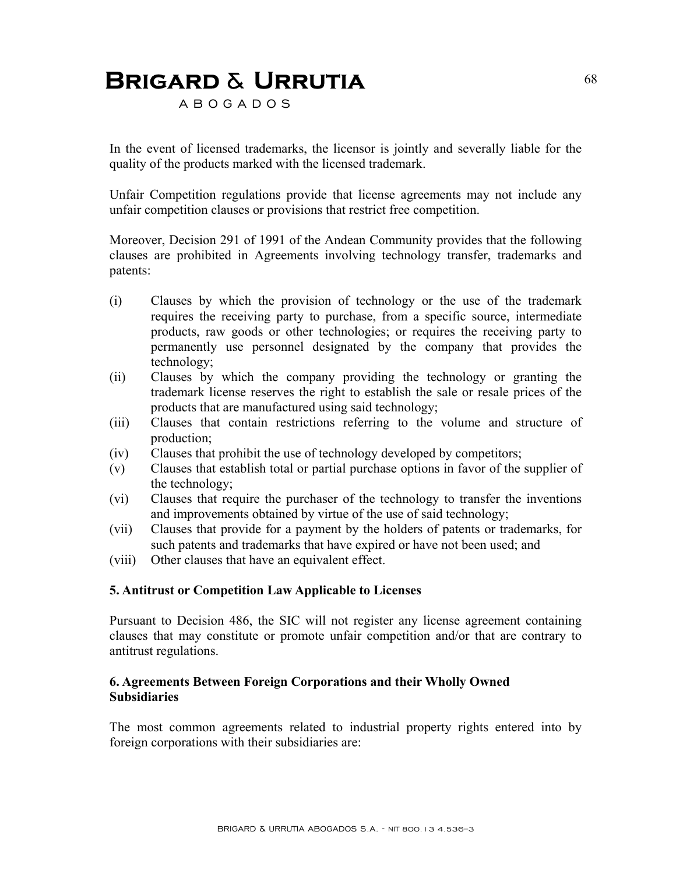A B O G A D O S

In the event of licensed trademarks, the licensor is jointly and severally liable for the quality of the products marked with the licensed trademark.

Unfair Competition regulations provide that license agreements may not include any unfair competition clauses or provisions that restrict free competition.

Moreover, Decision 291 of 1991 of the Andean Community provides that the following clauses are prohibited in Agreements involving technology transfer, trademarks and patents:

- (i) Clauses by which the provision of technology or the use of the trademark requires the receiving party to purchase, from a specific source, intermediate products, raw goods or other technologies; or requires the receiving party to permanently use personnel designated by the company that provides the technology;
- (ii) Clauses by which the company providing the technology or granting the trademark license reserves the right to establish the sale or resale prices of the products that are manufactured using said technology;
- (iii) Clauses that contain restrictions referring to the volume and structure of production;
- (iv) Clauses that prohibit the use of technology developed by competitors;
- (v) Clauses that establish total or partial purchase options in favor of the supplier of the technology;
- (vi) Clauses that require the purchaser of the technology to transfer the inventions and improvements obtained by virtue of the use of said technology;
- (vii) Clauses that provide for a payment by the holders of patents or trademarks, for such patents and trademarks that have expired or have not been used; and
- (viii) Other clauses that have an equivalent effect.

#### **5. Antitrust or Competition Law Applicable to Licenses**

Pursuant to Decision 486, the SIC will not register any license agreement containing clauses that may constitute or promote unfair competition and/or that are contrary to antitrust regulations.

#### **6. Agreements Between Foreign Corporations and their Wholly Owned Subsidiaries**

The most common agreements related to industrial property rights entered into by foreign corporations with their subsidiaries are: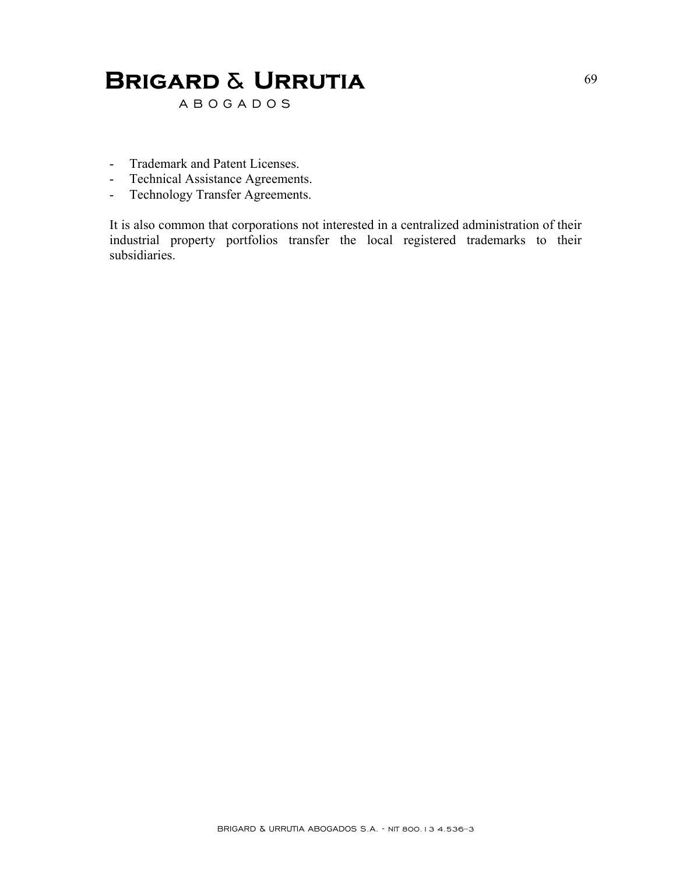A B O G A D O S

- Trademark and Patent Licenses.
- Technical Assistance Agreements.
- Technology Transfer Agreements.

It is also common that corporations not interested in a centralized administration of their industrial property portfolios transfer the local registered trademarks to their subsidiaries.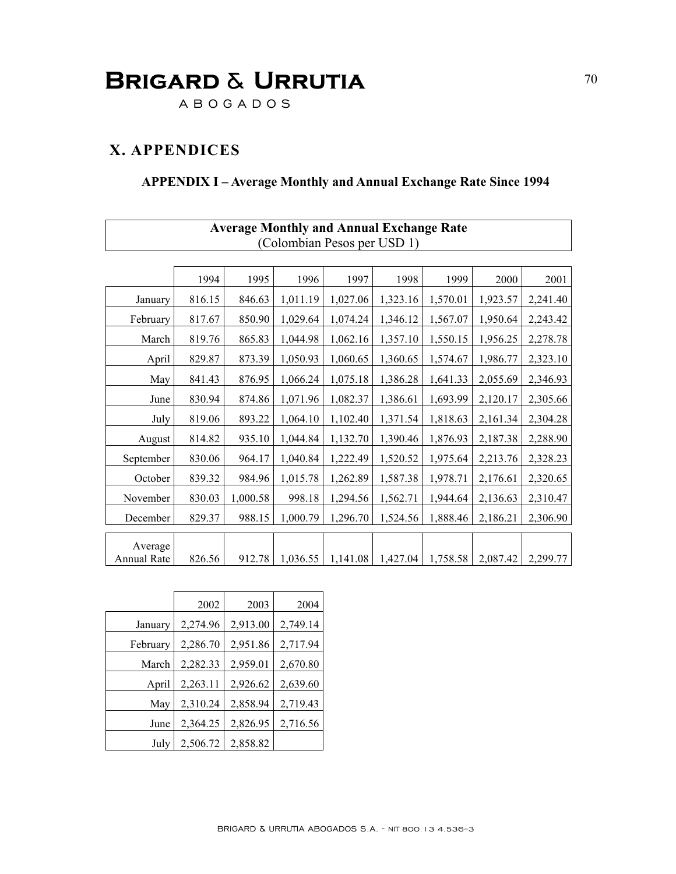A B O G A D O S

### **X. APPENDICES**

 $\Gamma$ 

### **APPENDIX I – Average Monthly and Annual Exchange Rate Since 1994**

|             | <b>Average Monthly and Annual Exchange Rate</b> |          |          |                             |          |          |          |          |
|-------------|-------------------------------------------------|----------|----------|-----------------------------|----------|----------|----------|----------|
|             |                                                 |          |          | (Colombian Pesos per USD 1) |          |          |          |          |
|             |                                                 |          |          |                             |          |          |          |          |
|             | 1994                                            | 1995     | 1996     | 1997                        | 1998     | 1999     | 2000     | 2001     |
| January     | 816.15                                          | 846.63   | 1,011.19 | 1,027.06                    | 1,323.16 | 1,570.01 | 1,923.57 | 2,241.40 |
| February    | 817.67                                          | 850.90   | 1,029.64 | 1,074.24                    | 1,346.12 | 1,567.07 | 1,950.64 | 2,243.42 |
| March       | 819.76                                          | 865.83   | 1,044.98 | 1,062.16                    | 1,357.10 | 1,550.15 | 1,956.25 | 2,278.78 |
| April       | 829.87                                          | 873.39   | 1,050.93 | 1,060.65                    | 1,360.65 | 1,574.67 | 1,986.77 | 2,323.10 |
| May         | 841.43                                          | 876.95   | 1,066.24 | 1,075.18                    | 1,386.28 | 1,641.33 | 2,055.69 | 2,346.93 |
| June        | 830.94                                          | 874.86   | 1,071.96 | 1,082.37                    | 1,386.61 | 1,693.99 | 2,120.17 | 2,305.66 |
| July        | 819.06                                          | 893.22   | 1,064.10 | 1,102.40                    | 1,371.54 | 1,818.63 | 2,161.34 | 2,304.28 |
| August      | 814.82                                          | 935.10   | 1,044.84 | 1,132.70                    | 1,390.46 | 1,876.93 | 2,187.38 | 2,288.90 |
| September   | 830.06                                          | 964.17   | 1,040.84 | 1,222.49                    | 1,520.52 | 1,975.64 | 2,213.76 | 2,328.23 |
| October     | 839.32                                          | 984.96   | 1,015.78 | 1,262.89                    | 1,587.38 | 1,978.71 | 2,176.61 | 2,320.65 |
| November    | 830.03                                          | 1,000.58 | 998.18   | 1,294.56                    | 1,562.71 | 1,944.64 | 2,136.63 | 2,310.47 |
| December    | 829.37                                          | 988.15   | 1,000.79 | 1,296.70                    | 1,524.56 | 1,888.46 | 2,186.21 | 2,306.90 |
| Average     |                                                 |          |          |                             |          |          |          |          |
| Annual Rate | 826.56                                          | 912.78   | 1,036.55 | 1,141.08                    | 1,427.04 | 1,758.58 | 2,087.42 | 2,299.77 |

|          | 2002     | 2003     | 2004     |
|----------|----------|----------|----------|
| January  | 2,274.96 | 2,913.00 | 2,749.14 |
| February | 2,286.70 | 2,951.86 | 2,717.94 |
| March    | 2,282.33 | 2,959.01 | 2,670.80 |
| April    | 2,263.11 | 2,926.62 | 2,639.60 |
| May      | 2,310.24 | 2,858.94 | 2,719.43 |
| June     | 2,364.25 | 2,826.95 | 2,716.56 |
| July     | 2,506.72 | 2,858.82 |          |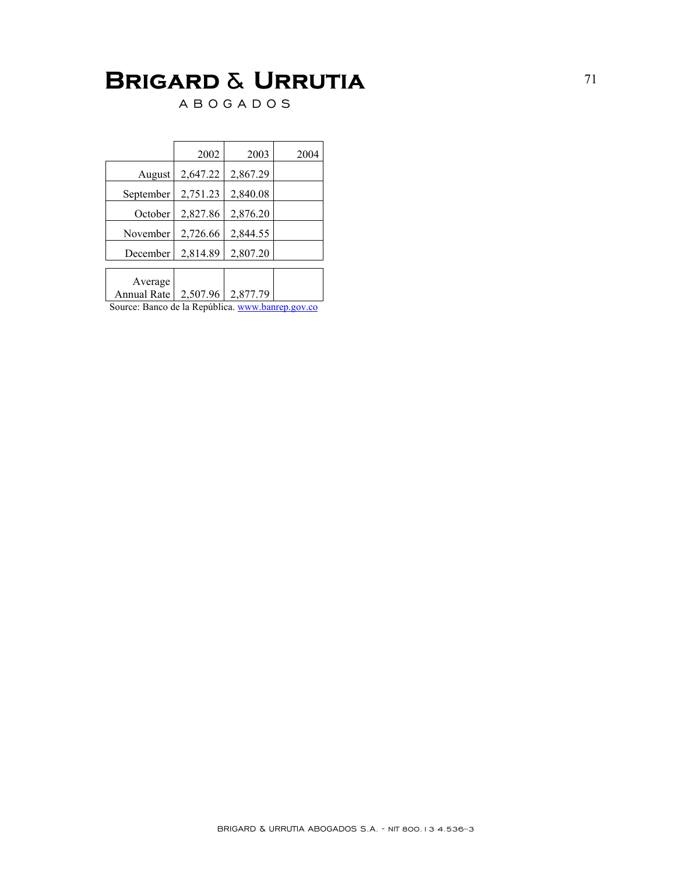A B O G A D O S

|                        | 2002     | 2003     | 2004 |
|------------------------|----------|----------|------|
| August                 | 2,647.22 | 2,867.29 |      |
| September              | 2,751.23 | 2,840.08 |      |
| October                | 2,827.86 | 2,876.20 |      |
| November               | 2,726.66 | 2,844.55 |      |
| December               | 2,814.89 | 2,807.20 |      |
|                        |          |          |      |
| Average<br>Annual Rate | 2,507.96 | 2,877.79 |      |

Source: Banco de la República. www.banrep.gov.co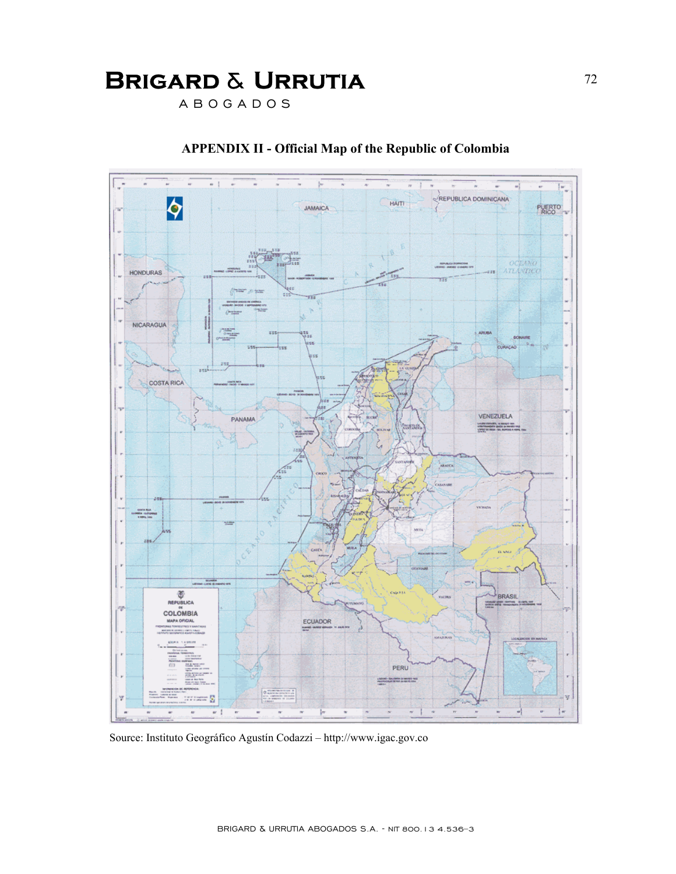A B O G A D O S



### **APPENDIX II - Official Map of the Republic of Colombia**

Source: Instituto Geográfico Agustín Codazzi – http://www.igac.gov.co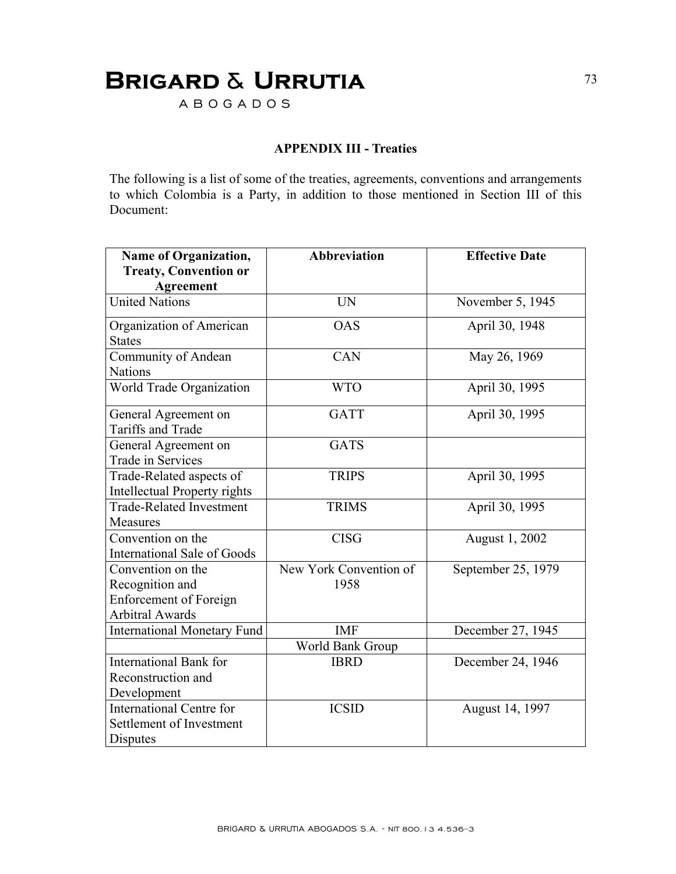## **BRIGARD & URRUTIA** 73

A B O G A D O S

## **APPENDIX III - Treaties**

The following is a list of some of the treaties, agreements, conventions and arrangements to which Colombia is a Party, in addition to those mentioned in Section III of this Document:

| <b>Name of Organization,</b>        | <b>Abbreviation</b>    | <b>Effective Date</b> |
|-------------------------------------|------------------------|-----------------------|
| <b>Treaty, Convention or</b>        |                        |                       |
| Agreement                           |                        |                       |
| <b>United Nations</b>               | <b>UN</b>              | November 5, 1945      |
| Organization of American            | <b>OAS</b>             | April 30, 1948        |
| <b>States</b>                       |                        |                       |
| Community of Andean                 | CAN                    | May 26, 1969          |
| <b>Nations</b>                      |                        |                       |
| World Trade Organization            | <b>WTO</b>             | April 30, 1995        |
| General Agreement on                | <b>GATT</b>            | April 30, 1995        |
| <b>Tariffs and Trade</b>            |                        |                       |
| General Agreement on                | <b>GATS</b>            |                       |
| Trade in Services                   |                        |                       |
| Trade-Related aspects of            | <b>TRIPS</b>           | April 30, 1995        |
| <b>Intellectual Property rights</b> |                        |                       |
| <b>Trade-Related Investment</b>     | <b>TRIMS</b>           | April 30, 1995        |
| Measures                            |                        |                       |
| Convention on the                   | <b>CISG</b>            | August 1, 2002        |
| <b>International Sale of Goods</b>  |                        |                       |
| Convention on the                   | New York Convention of | September 25, 1979    |
| Recognition and                     | 1958                   |                       |
| <b>Enforcement of Foreign</b>       |                        |                       |
| <b>Arbitral Awards</b>              |                        |                       |
| <b>International Monetary Fund</b>  | <b>IMF</b>             | December 27, 1945     |
|                                     | World Bank Group       |                       |
| <b>International Bank for</b>       | <b>IBRD</b>            | December 24, 1946     |
| Reconstruction and                  |                        |                       |
| Development                         |                        |                       |
| <b>International Centre for</b>     | <b>ICSID</b>           | August 14, 1997       |
| Settlement of Investment            |                        |                       |
| Disputes                            |                        |                       |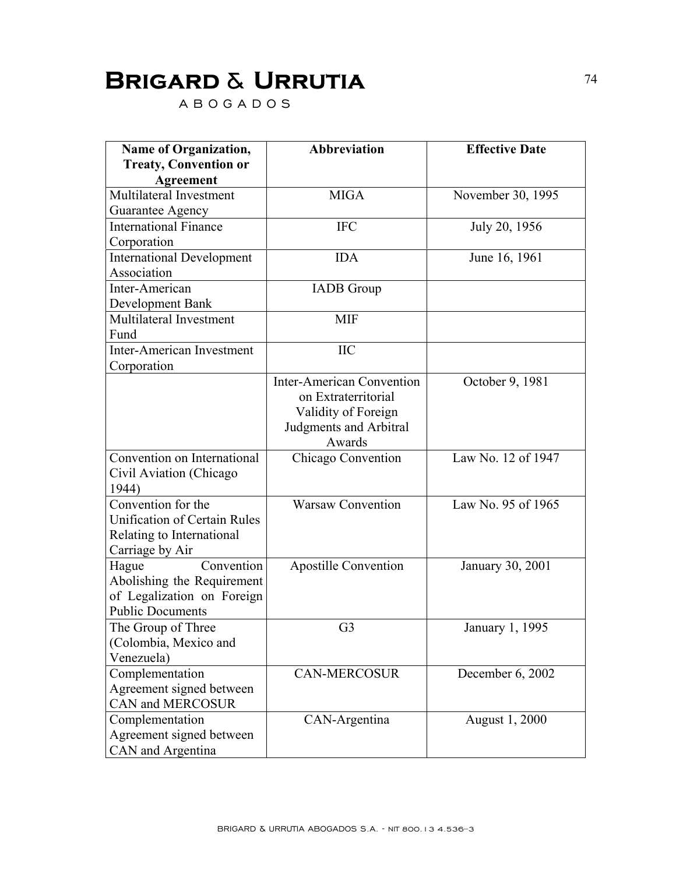## **Brigard** & **Urrutia** <sup>74</sup>

A B O G A D O S

| Name of Organization,               | <b>Abbreviation</b>              | <b>Effective Date</b> |
|-------------------------------------|----------------------------------|-----------------------|
| <b>Treaty, Convention or</b>        |                                  |                       |
| <b>Agreement</b>                    |                                  |                       |
| Multilateral Investment             | <b>MIGA</b>                      | November 30, 1995     |
| Guarantee Agency                    |                                  |                       |
| <b>International Finance</b>        | <b>IFC</b>                       | July 20, 1956         |
| Corporation                         |                                  |                       |
| <b>International Development</b>    | <b>IDA</b>                       | June 16, 1961         |
| Association                         |                                  |                       |
| Inter-American                      | <b>IADB</b> Group                |                       |
| Development Bank                    |                                  |                       |
| Multilateral Investment             | <b>MIF</b>                       |                       |
| Fund                                |                                  |                       |
| Inter-American Investment           | <b>IIC</b>                       |                       |
| Corporation                         |                                  |                       |
|                                     | <b>Inter-American Convention</b> | October 9, 1981       |
|                                     | on Extraterritorial              |                       |
|                                     | Validity of Foreign              |                       |
|                                     | Judgments and Arbitral           |                       |
|                                     | Awards                           |                       |
| Convention on International         | Chicago Convention               | Law No. 12 of 1947    |
| Civil Aviation (Chicago             |                                  |                       |
| 1944)                               |                                  |                       |
| Convention for the                  | <b>Warsaw Convention</b>         | Law No. 95 of 1965    |
| <b>Unification of Certain Rules</b> |                                  |                       |
| Relating to International           |                                  |                       |
| Carriage by Air                     |                                  |                       |
| Convention<br>Hague                 | <b>Apostille Convention</b>      | January 30, 2001      |
| Abolishing the Requirement          |                                  |                       |
| of Legalization on Foreign          |                                  |                       |
| <b>Public Documents</b>             |                                  |                       |
| The Group of Three                  | G <sub>3</sub>                   | January 1, 1995       |
| (Colombia, Mexico and               |                                  |                       |
| Venezuela)                          |                                  |                       |
| Complementation                     | <b>CAN-MERCOSUR</b>              | December 6, 2002      |
| Agreement signed between            |                                  |                       |
| CAN and MERCOSUR                    |                                  |                       |
| Complementation                     | CAN-Argentina                    | August 1, 2000        |
| Agreement signed between            |                                  |                       |
| CAN and Argentina                   |                                  |                       |